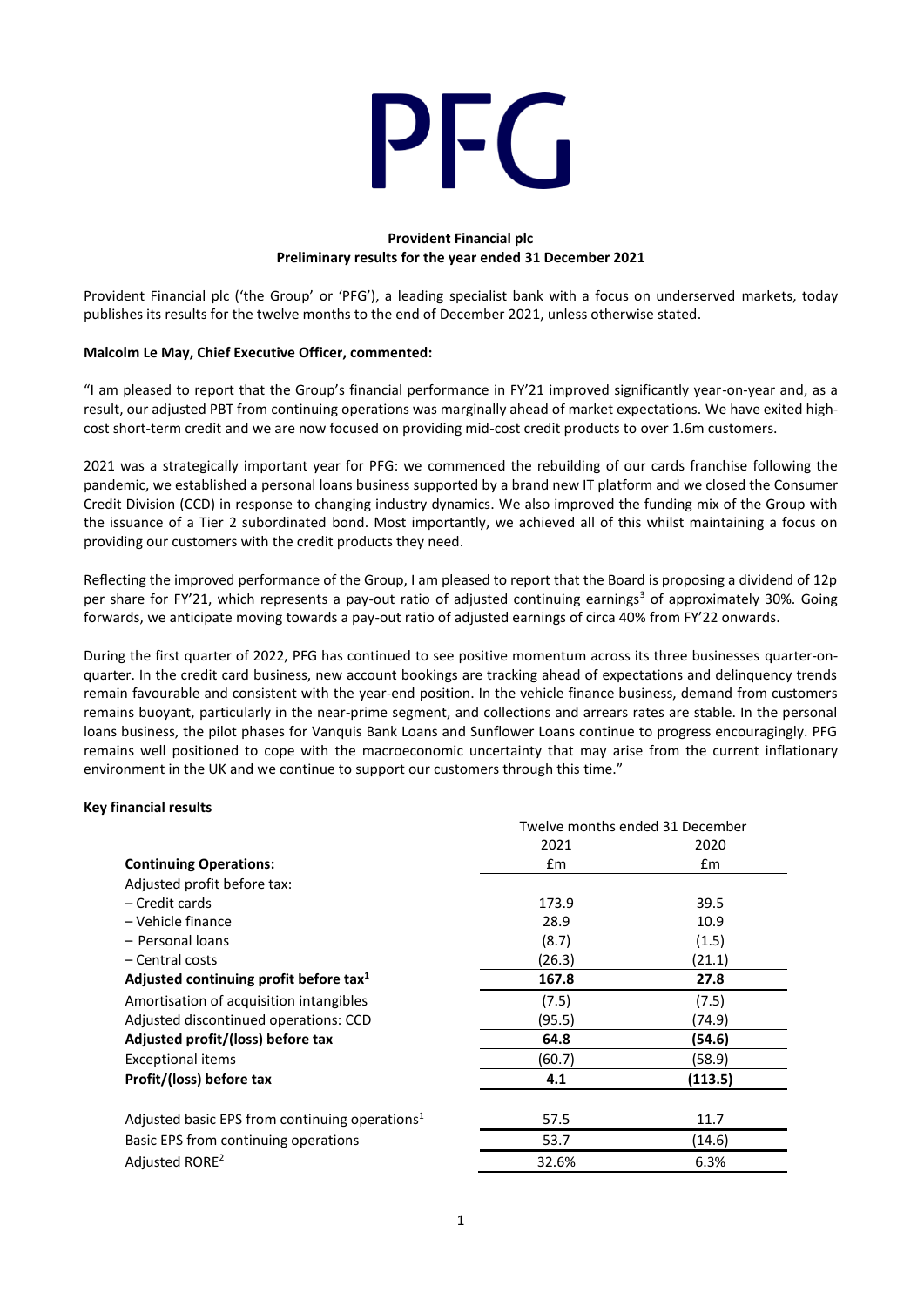

# **Provident Financial plc Preliminary results for the year ended 31 December 2021**

Provident Financial plc ('the Group' or 'PFG'), a leading specialist bank with a focus on underserved markets, today publishes its results for the twelve months to the end of December 2021, unless otherwise stated.

## **Malcolm Le May, Chief Executive Officer, commented:**

"I am pleased to report that the Group's financial performance in FY'21 improved significantly year-on-year and, as a result, our adjusted PBT from continuing operations was marginally ahead of market expectations. We have exited highcost short-term credit and we are now focused on providing mid-cost credit products to over 1.6m customers.

2021 was a strategically important year for PFG: we commenced the rebuilding of our cards franchise following the pandemic, we established a personal loans business supported by a brand new IT platform and we closed the Consumer Credit Division (CCD) in response to changing industry dynamics. We also improved the funding mix of the Group with the issuance of a Tier 2 subordinated bond. Most importantly, we achieved all of this whilst maintaining a focus on providing our customers with the credit products they need.

Reflecting the improved performance of the Group, I am pleased to report that the Board is proposing a dividend of 12p per share for FY'21, which represents a pay-out ratio of adjusted continuing earnings<sup>3</sup> of approximately 30%. Going forwards, we anticipate moving towards a pay-out ratio of adjusted earnings of circa 40% from FY'22 onwards.

During the first quarter of 2022, PFG has continued to see positive momentum across its three businesses quarter-onquarter. In the credit card business, new account bookings are tracking ahead of expectations and delinquency trends remain favourable and consistent with the year-end position. In the vehicle finance business, demand from customers remains buoyant, particularly in the near-prime segment, and collections and arrears rates are stable. In the personal loans business, the pilot phases for Vanquis Bank Loans and Sunflower Loans continue to progress encouragingly. PFG remains well positioned to cope with the macroeconomic uncertainty that may arise from the current inflationary environment in the UK and we continue to support our customers through this time."

## **Key financial results**

|                                                            | Twelve months ended 31 December |               |  |
|------------------------------------------------------------|---------------------------------|---------------|--|
|                                                            | 2021                            | 2020          |  |
| <b>Continuing Operations:</b>                              | $\mathsf{fm}$                   | $\mathsf{fm}$ |  |
| Adjusted profit before tax:                                |                                 |               |  |
| – Credit cards                                             | 173.9                           | 39.5          |  |
| - Vehicle finance                                          | 28.9                            | 10.9          |  |
| - Personal loans                                           | (8.7)                           | (1.5)         |  |
| – Central costs                                            | (26.3)                          | (21.1)        |  |
| Adjusted continuing profit before tax <sup>1</sup>         | 167.8                           | 27.8          |  |
| Amortisation of acquisition intangibles                    | (7.5)                           | (7.5)         |  |
| Adjusted discontinued operations: CCD                      | (95.5)                          | (74.9)        |  |
| Adjusted profit/(loss) before tax                          | 64.8                            | (54.6)        |  |
| <b>Exceptional items</b>                                   | (60.7)                          | (58.9)        |  |
| Profit/(loss) before tax                                   | 4.1                             | (113.5)       |  |
|                                                            |                                 |               |  |
| Adjusted basic EPS from continuing operations <sup>1</sup> | 57.5                            | 11.7          |  |
| Basic EPS from continuing operations                       | 53.7                            | (14.6)        |  |
| Adjusted RORE <sup>2</sup>                                 | 32.6%                           | 6.3%          |  |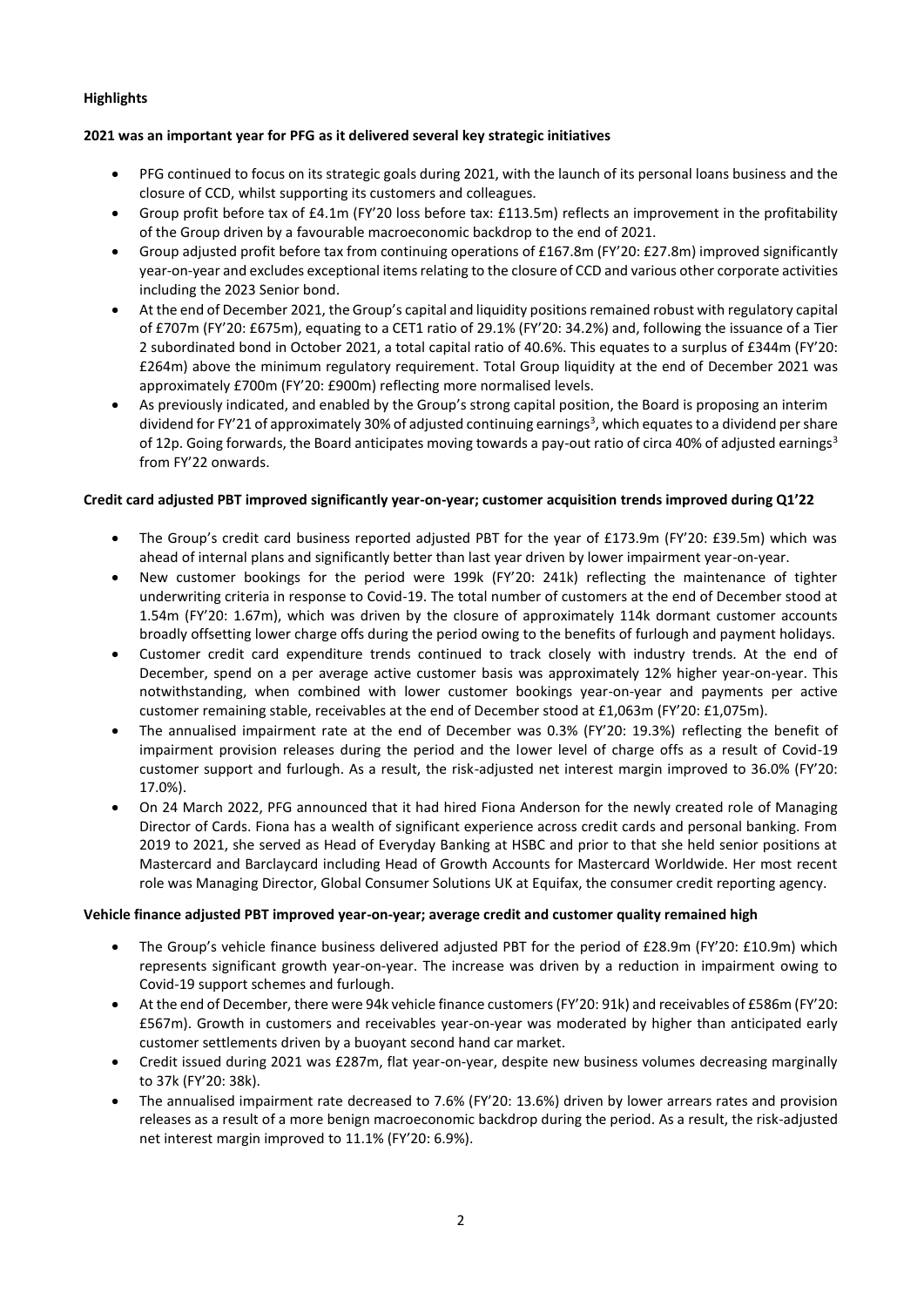# **Highlights**

# **2021 was an important year for PFG as it delivered several key strategic initiatives**

- PFG continued to focus on its strategic goals during 2021, with the launch of its personal loans business and the closure of CCD, whilst supporting its customers and colleagues.
- Group profit before tax of £4.1m (FY'20 loss before tax: £113.5m) reflects an improvement in the profitability of the Group driven by a favourable macroeconomic backdrop to the end of 2021.
- Group adjusted profit before tax from continuing operations of £167.8m (FY'20: £27.8m) improved significantly year-on-year and excludes exceptional items relating to the closure of CCD and various other corporate activities including the 2023 Senior bond.
- At the end of December 2021, the Group's capital and liquidity positions remained robust with regulatory capital of £707m (FY'20: £675m), equating to a CET1 ratio of 29.1% (FY'20: 34.2%) and, following the issuance of a Tier 2 subordinated bond in October 2021, a total capital ratio of 40.6%. This equates to a surplus of £344m (FY'20: £264m) above the minimum regulatory requirement. Total Group liquidity at the end of December 2021 was approximately £700m (FY'20: £900m) reflecting more normalised levels.
- As previously indicated, and enabled by the Group's strong capital position, the Board is proposing an interim dividend for FY'21 of approximately 30% of adjusted continuing earnings<sup>3</sup>, which equates to a dividend per share of 12p. Going forwards, the Board anticipates moving towards a pay-out ratio of circa 40% of adjusted earnings<sup>3</sup> from FY'22 onwards.

## **Credit card adjusted PBT improved significantly year-on-year; customer acquisition trends improved during Q1'22**

- The Group's credit card business reported adjusted PBT for the year of £173.9m (FY'20: £39.5m) which was ahead of internal plans and significantly better than last year driven by lower impairment year-on-year.
- New customer bookings for the period were 199k (FY'20: 241k) reflecting the maintenance of tighter underwriting criteria in response to Covid-19. The total number of customers at the end of December stood at 1.54m (FY'20: 1.67m), which was driven by the closure of approximately 114k dormant customer accounts broadly offsetting lower charge offs during the period owing to the benefits of furlough and payment holidays.
- Customer credit card expenditure trends continued to track closely with industry trends. At the end of December, spend on a per average active customer basis was approximately 12% higher year-on-year. This notwithstanding, when combined with lower customer bookings year-on-year and payments per active customer remaining stable, receivables at the end of December stood at £1,063m (FY'20: £1,075m).
- The annualised impairment rate at the end of December was 0.3% (FY'20: 19.3%) reflecting the benefit of impairment provision releases during the period and the lower level of charge offs as a result of Covid-19 customer support and furlough. As a result, the risk-adjusted net interest margin improved to 36.0% (FY'20: 17.0%).
- On 24 March 2022, PFG announced that it had hired Fiona Anderson for the newly created role of Managing Director of Cards. Fiona has a wealth of significant experience across credit cards and personal banking. From 2019 to 2021, she served as Head of Everyday Banking at HSBC and prior to that she held senior positions at Mastercard and Barclaycard including Head of Growth Accounts for Mastercard Worldwide. Her most recent role was Managing Director, Global Consumer Solutions UK at Equifax, the consumer credit reporting agency.

## **Vehicle finance adjusted PBT improved year-on-year; average credit and customer quality remained high**

- The Group's vehicle finance business delivered adjusted PBT for the period of £28.9m (FY'20: £10.9m) which represents significant growth year-on-year. The increase was driven by a reduction in impairment owing to Covid-19 support schemes and furlough.
- At the end of December, there were 94k vehicle finance customers (FY'20: 91k) and receivables of £586m (FY'20: £567m). Growth in customers and receivables year-on-year was moderated by higher than anticipated early customer settlements driven by a buoyant second hand car market.
- Credit issued during 2021 was £287m, flat year-on-year, despite new business volumes decreasing marginally to 37k (FY'20: 38k).
- The annualised impairment rate decreased to 7.6% (FY'20: 13.6%) driven by lower arrears rates and provision releases as a result of a more benign macroeconomic backdrop during the period. As a result, the risk-adjusted net interest margin improved to 11.1% (FY'20: 6.9%).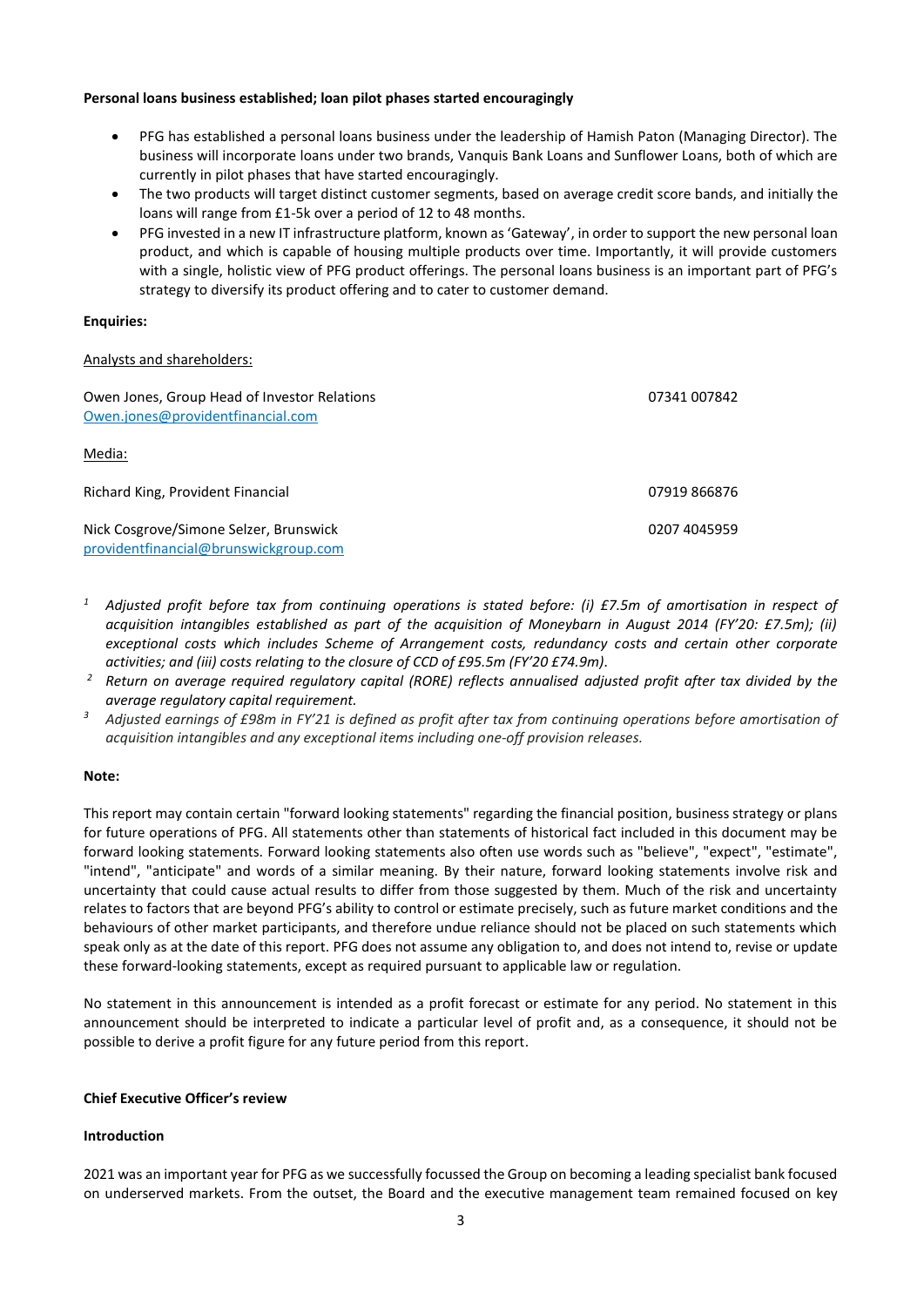### **Personal loans business established; loan pilot phases started encouragingly**

- PFG has established a personal loans business under the leadership of Hamish Paton (Managing Director). The business will incorporate loans under two brands, Vanquis Bank Loans and Sunflower Loans, both of which are currently in pilot phases that have started encouragingly.
- The two products will target distinct customer segments, based on average credit score bands, and initially the loans will range from £1-5k over a period of 12 to 48 months.
- PFG invested in a new IT infrastructure platform, known as 'Gateway', in order to support the new personal loan product, and which is capable of housing multiple products over time. Importantly, it will provide customers with a single, holistic view of PFG product offerings. The personal loans business is an important part of PFG's strategy to diversify its product offering and to cater to customer demand.

### **Enquiries:**

### Analysts and shareholders:

| Owen Jones, Group Head of Investor Relations<br>Owen.jones@providentfinancial.com | 07341 007842 |
|-----------------------------------------------------------------------------------|--------------|
| Media:                                                                            |              |
| Richard King, Provident Financial                                                 | 07919 866876 |
| Nick Cosgrove/Simone Selzer, Brunswick<br>providentfinancial@brunswickgroup.com   | 0207 4045959 |

- *<sup>1</sup> Adjusted profit before tax from continuing operations is stated before: (i) £7.5m of amortisation in respect of acquisition intangibles established as part of the acquisition of Moneybarn in August 2014 (FY'20: £7.5m); (ii) exceptional costs which includes Scheme of Arrangement costs, redundancy costs and certain other corporate activities; and (iii) costs relating to the closure of CCD of £95.5m (FY'20 £74.9m).*
- *<sup>2</sup> Return on average required regulatory capital (RORE) reflects annualised adjusted profit after tax divided by the average regulatory capital requirement.*
- *<sup>3</sup>Adjusted earnings of £98m in FY'21 is defined as profit after tax from continuing operations before amortisation of acquisition intangibles and any exceptional items including one-off provision releases.*

## **Note:**

This report may contain certain "forward looking statements" regarding the financial position, business strategy or plans for future operations of PFG. All statements other than statements of historical fact included in this document may be forward looking statements. Forward looking statements also often use words such as "believe", "expect", "estimate", "intend", "anticipate" and words of a similar meaning. By their nature, forward looking statements involve risk and uncertainty that could cause actual results to differ from those suggested by them. Much of the risk and uncertainty relates to factors that are beyond PFG's ability to control or estimate precisely, such as future market conditions and the behaviours of other market participants, and therefore undue reliance should not be placed on such statements which speak only as at the date of this report. PFG does not assume any obligation to, and does not intend to, revise or update these forward-looking statements, except as required pursuant to applicable law or regulation.

No statement in this announcement is intended as a profit forecast or estimate for any period. No statement in this announcement should be interpreted to indicate a particular level of profit and, as a consequence, it should not be possible to derive a profit figure for any future period from this report.

### **Chief Executive Officer's review**

#### **Introduction**

2021 was an important year for PFG as we successfully focussed the Group on becoming a leading specialist bank focused on underserved markets. From the outset, the Board and the executive management team remained focused on key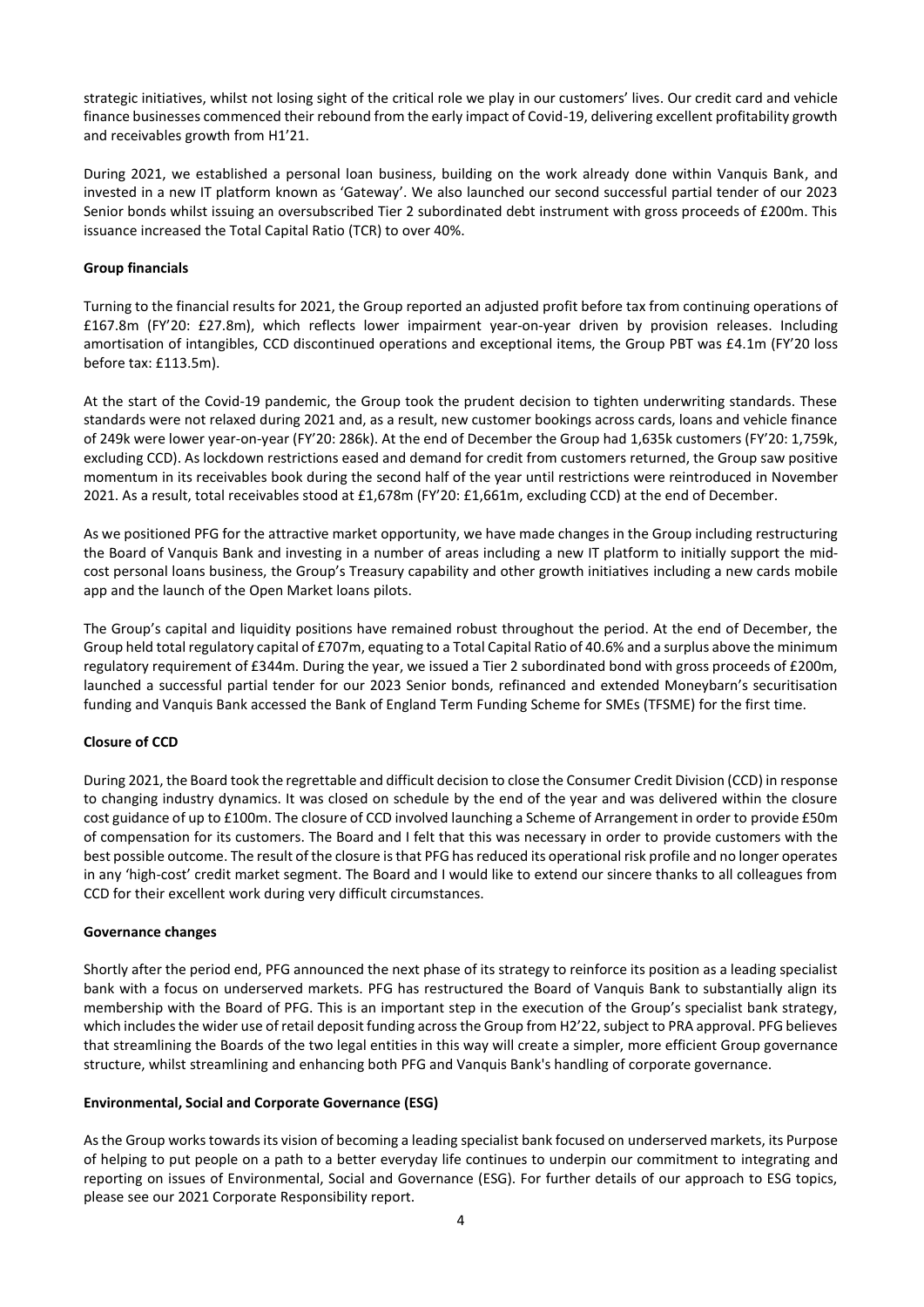strategic initiatives, whilst not losing sight of the critical role we play in our customers' lives. Our credit card and vehicle finance businesses commenced their rebound from the early impact of Covid-19, delivering excellent profitability growth and receivables growth from H1'21.

During 2021, we established a personal loan business, building on the work already done within Vanquis Bank, and invested in a new IT platform known as 'Gateway'. We also launched our second successful partial tender of our 2023 Senior bonds whilst issuing an oversubscribed Tier 2 subordinated debt instrument with gross proceeds of £200m. This issuance increased the Total Capital Ratio (TCR) to over 40%.

# **Group financials**

Turning to the financial results for 2021, the Group reported an adjusted profit before tax from continuing operations of £167.8m (FY'20: £27.8m), which reflects lower impairment year-on-year driven by provision releases. Including amortisation of intangibles, CCD discontinued operations and exceptional items, the Group PBT was £4.1m (FY'20 loss before tax: £113.5m).

At the start of the Covid-19 pandemic, the Group took the prudent decision to tighten underwriting standards. These standards were not relaxed during 2021 and, as a result, new customer bookings across cards, loans and vehicle finance of 249k were lower year-on-year (FY'20: 286k). At the end of December the Group had 1,635k customers (FY'20: 1,759k, excluding CCD). As lockdown restrictions eased and demand for credit from customers returned, the Group saw positive momentum in its receivables book during the second half of the year until restrictions were reintroduced in November 2021. As a result, total receivables stood at £1,678m (FY'20: £1,661m, excluding CCD) at the end of December.

As we positioned PFG for the attractive market opportunity, we have made changes in the Group including restructuring the Board of Vanquis Bank and investing in a number of areas including a new IT platform to initially support the midcost personal loans business, the Group's Treasury capability and other growth initiatives including a new cards mobile app and the launch of the Open Market loans pilots.

The Group's capital and liquidity positions have remained robust throughout the period. At the end of December, the Group held total regulatory capital of £707m, equating to a Total Capital Ratio of 40.6% and a surplus above the minimum regulatory requirement of £344m. During the year, we issued a Tier 2 subordinated bond with gross proceeds of £200m, launched a successful partial tender for our 2023 Senior bonds, refinanced and extended Moneybarn's securitisation funding and Vanquis Bank accessed the Bank of England Term Funding Scheme for SMEs (TFSME) for the first time.

## **Closure of CCD**

During 2021, the Board took the regrettable and difficult decision to close the Consumer Credit Division (CCD) in response to changing industry dynamics. It was closed on schedule by the end of the year and was delivered within the closure cost guidance of up to £100m. The closure of CCD involved launching a Scheme of Arrangement in order to provide £50m of compensation for its customers. The Board and I felt that this was necessary in order to provide customers with the best possible outcome. The result of the closure is that PFG has reduced its operational risk profile and no longer operates in any 'high-cost' credit market segment. The Board and I would like to extend our sincere thanks to all colleagues from CCD for their excellent work during very difficult circumstances.

## **Governance changes**

Shortly after the period end, PFG announced the next phase of its strategy to reinforce its position as a leading specialist bank with a focus on underserved markets. PFG has restructured the Board of Vanquis Bank to substantially align its membership with the Board of PFG. This is an important step in the execution of the Group's specialist bank strategy, which includes the wider use of retail deposit funding across the Group from H2'22, subject to PRA approval. PFG believes that streamlining the Boards of the two legal entities in this way will create a simpler, more efficient Group governance structure, whilst streamlining and enhancing both PFG and Vanquis Bank's handling of corporate governance.

## **Environmental, Social and Corporate Governance (ESG)**

As the Group works towards its vision of becoming a leading specialist bank focused on underserved markets, its Purpose of helping to put people on a path to a better everyday life continues to underpin our commitment to integrating and reporting on issues of Environmental, Social and Governance (ESG). For further details of our approach to ESG topics, please see our 2021 Corporate Responsibility report.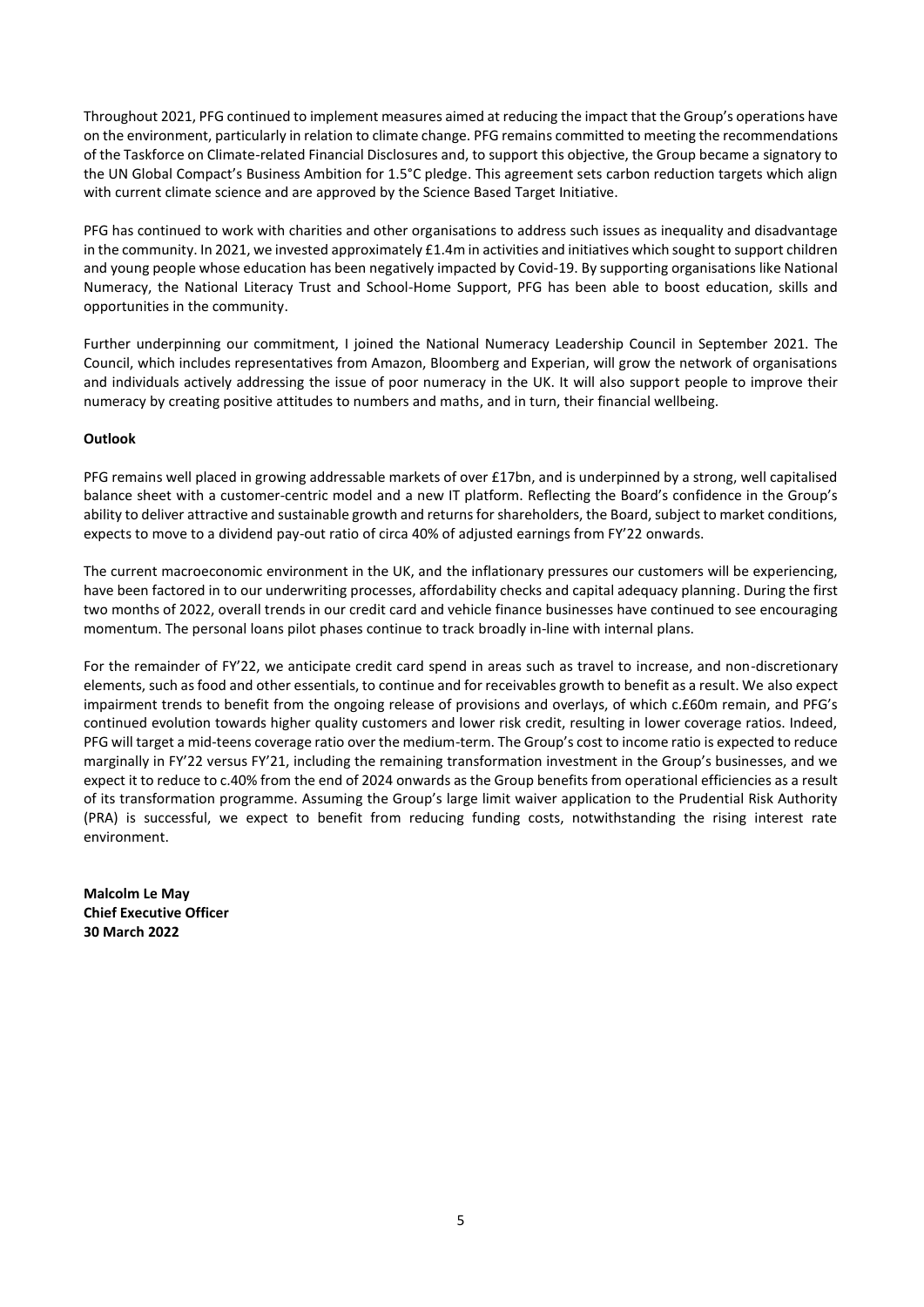Throughout 2021, PFG continued to implement measures aimed at reducing the impact that the Group's operations have on the environment, particularly in relation to climate change. PFG remains committed to meeting the recommendations of the Taskforce on Climate-related Financial Disclosures and, to support this objective, the Group became a signatory to the UN Global Compact's Business Ambition for 1.5°C pledge. This agreement sets carbon reduction targets which align with current climate science and are approved by the Science Based Target Initiative.

PFG has continued to work with charities and other organisations to address such issues as inequality and disadvantage in the community. In 2021, we invested approximately £1.4m in activities and initiatives which sought to support children and young people whose education has been negatively impacted by Covid-19. By supporting organisations like National Numeracy, the National Literacy Trust and School-Home Support, PFG has been able to boost education, skills and opportunities in the community.

Further underpinning our commitment, I joined the National Numeracy Leadership Council in September 2021. The Council, which includes representatives from Amazon, Bloomberg and Experian, will grow the network of organisations and individuals actively addressing the issue of poor numeracy in the UK. It will also support people to improve their numeracy by creating positive attitudes to numbers and maths, and in turn, their financial wellbeing.

## **Outlook**

PFG remains well placed in growing addressable markets of over £17bn, and is underpinned by a strong, well capitalised balance sheet with a customer-centric model and a new IT platform. Reflecting the Board's confidence in the Group's ability to deliver attractive and sustainable growth and returns for shareholders, the Board, subject to market conditions, expects to move to a dividend pay-out ratio of circa 40% of adjusted earnings from FY'22 onwards.

The current macroeconomic environment in the UK, and the inflationary pressures our customers will be experiencing, have been factored in to our underwriting processes, affordability checks and capital adequacy planning. During the first two months of 2022, overall trends in our credit card and vehicle finance businesses have continued to see encouraging momentum. The personal loans pilot phases continue to track broadly in-line with internal plans.

For the remainder of FY'22, we anticipate credit card spend in areas such as travel to increase, and non-discretionary elements, such as food and other essentials, to continue and for receivables growth to benefit as a result. We also expect impairment trends to benefit from the ongoing release of provisions and overlays, of which c.£60m remain, and PFG's continued evolution towards higher quality customers and lower risk credit, resulting in lower coverage ratios. Indeed, PFG will target a mid-teens coverage ratio over the medium-term. The Group's cost to income ratio is expected to reduce marginally in FY'22 versus FY'21, including the remaining transformation investment in the Group's businesses, and we expect it to reduce to c.40% from the end of 2024 onwards as the Group benefits from operational efficiencies as a result of its transformation programme. Assuming the Group's large limit waiver application to the Prudential Risk Authority (PRA) is successful, we expect to benefit from reducing funding costs, notwithstanding the rising interest rate environment.

**Malcolm Le May Chief Executive Officer 30 March 2022**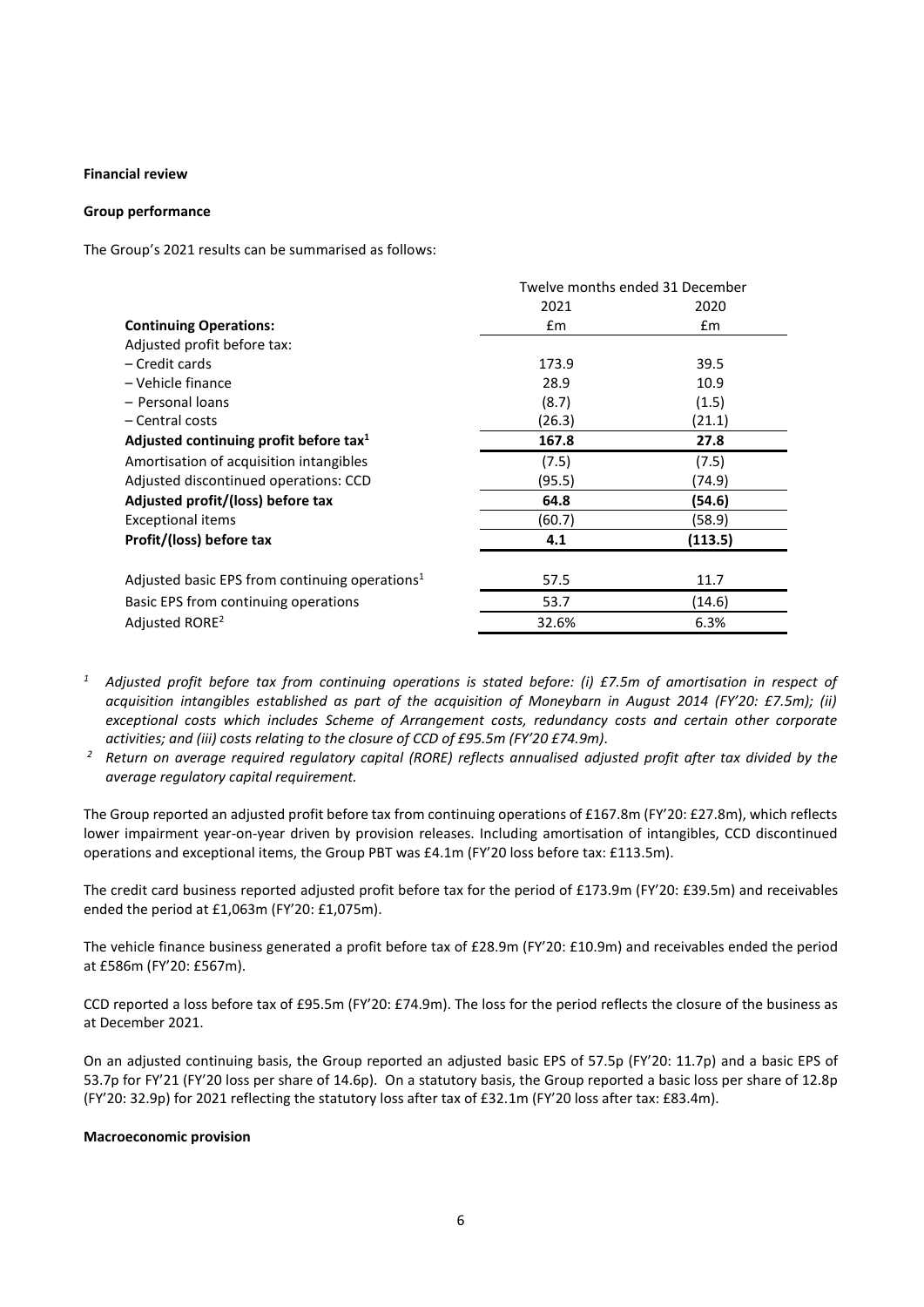#### **Financial review**

#### **Group performance**

The Group's 2021 results can be summarised as follows:

|                                                            | Twelve months ended 31 December |               |  |
|------------------------------------------------------------|---------------------------------|---------------|--|
|                                                            | 2021                            | 2020          |  |
| <b>Continuing Operations:</b>                              | $\mathsf{fm}$                   | $\mathsf{fm}$ |  |
| Adjusted profit before tax:                                |                                 |               |  |
| - Credit cards                                             | 173.9                           | 39.5          |  |
| - Vehicle finance                                          | 28.9                            | 10.9          |  |
| - Personal loans                                           | (8.7)                           | (1.5)         |  |
| - Central costs                                            | (26.3)                          | (21.1)        |  |
| Adjusted continuing profit before tax <sup>1</sup>         | 167.8                           | 27.8          |  |
| Amortisation of acquisition intangibles                    | (7.5)                           | (7.5)         |  |
| Adjusted discontinued operations: CCD                      | (95.5)                          | (74.9)        |  |
| Adjusted profit/(loss) before tax                          | 64.8                            | (54.6)        |  |
| Exceptional items                                          | (60.7)                          | (58.9)        |  |
| Profit/(loss) before tax                                   | 4.1                             | (113.5)       |  |
| Adjusted basic EPS from continuing operations <sup>1</sup> | 57.5                            | 11.7          |  |
| Basic EPS from continuing operations                       | 53.7                            | (14.6)        |  |
| Adjusted RORE <sup>2</sup>                                 | 32.6%                           | 6.3%          |  |

- *<sup>1</sup> Adjusted profit before tax from continuing operations is stated before: (i) £7.5m of amortisation in respect of acquisition intangibles established as part of the acquisition of Moneybarn in August 2014 (FY'20: £7.5m); (ii) exceptional costs which includes Scheme of Arrangement costs, redundancy costs and certain other corporate activities; and (iii) costs relating to the closure of CCD of £95.5m (FY'20 £74.9m).*
- *<sup>2</sup> Return on average required regulatory capital (RORE) reflects annualised adjusted profit after tax divided by the average regulatory capital requirement.*

The Group reported an adjusted profit before tax from continuing operations of £167.8m (FY'20: £27.8m), which reflects lower impairment year-on-year driven by provision releases. Including amortisation of intangibles, CCD discontinued operations and exceptional items, the Group PBT was £4.1m (FY'20 loss before tax: £113.5m).

The credit card business reported adjusted profit before tax for the period of £173.9m (FY'20: £39.5m) and receivables ended the period at £1,063m (FY'20: £1,075m).

The vehicle finance business generated a profit before tax of £28.9m (FY'20: £10.9m) and receivables ended the period at £586m (FY'20: £567m).

CCD reported a loss before tax of £95.5m (FY'20: £74.9m). The loss for the period reflects the closure of the business as at December 2021.

On an adjusted continuing basis, the Group reported an adjusted basic EPS of 57.5p (FY'20: 11.7p) and a basic EPS of 53.7p for FY'21 (FY'20 loss per share of 14.6p). On a statutory basis, the Group reported a basic loss per share of 12.8p (FY'20: 32.9p) for 2021 reflecting the statutory loss after tax of £32.1m (FY'20 loss after tax: £83.4m).

#### **Macroeconomic provision**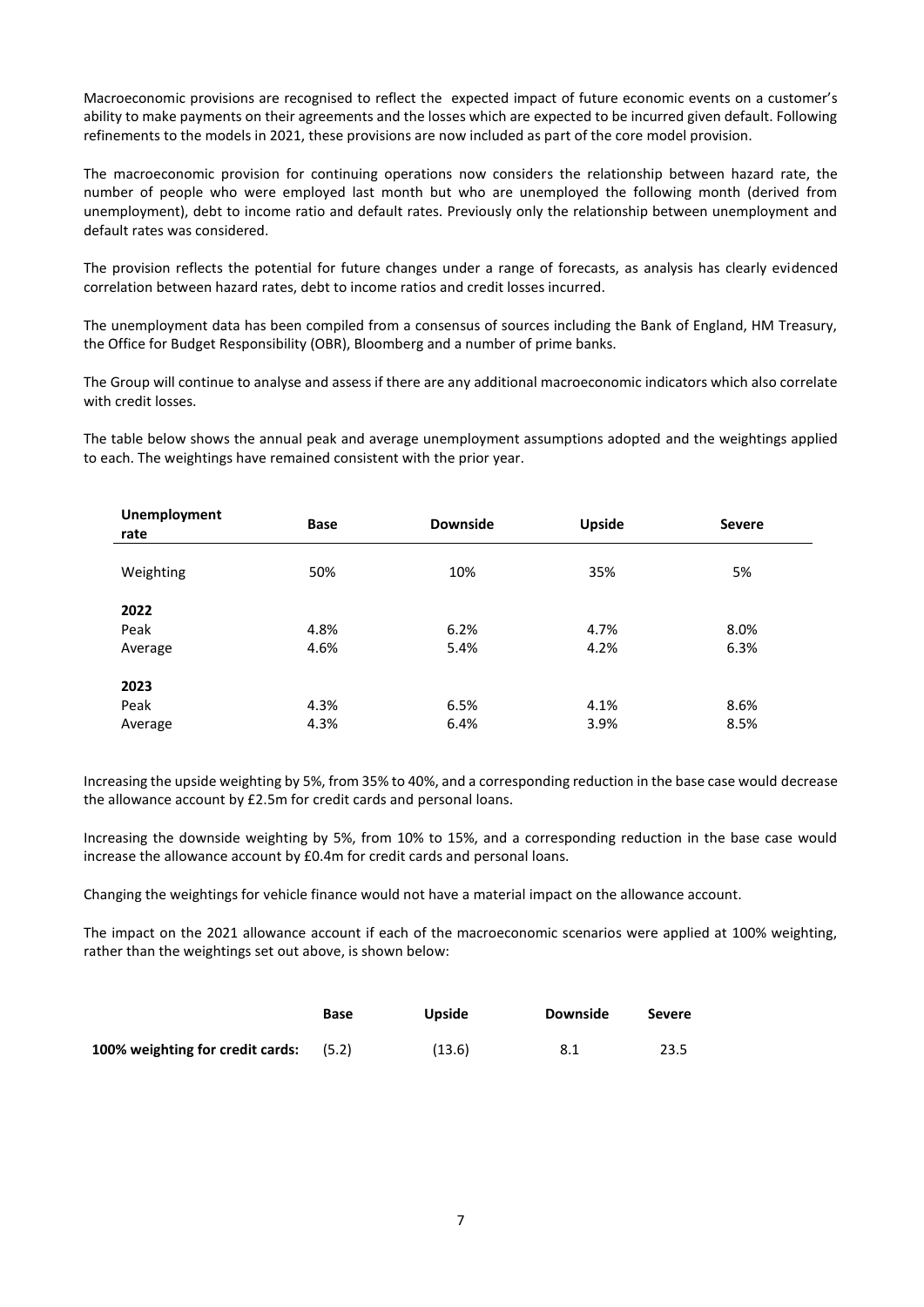Macroeconomic provisions are recognised to reflect the expected impact of future economic events on a customer's ability to make payments on their agreements and the losses which are expected to be incurred given default. Following refinements to the models in 2021, these provisions are now included as part of the core model provision.

The macroeconomic provision for continuing operations now considers the relationship between hazard rate, the number of people who were employed last month but who are unemployed the following month (derived from unemployment), debt to income ratio and default rates. Previously only the relationship between unemployment and default rates was considered.

The provision reflects the potential for future changes under a range of forecasts, as analysis has clearly evidenced correlation between hazard rates, debt to income ratios and credit losses incurred.

The unemployment data has been compiled from a consensus of sources including the Bank of England, HM Treasury, the Office for Budget Responsibility (OBR), Bloomberg and a number of prime banks.

The Group will continue to analyse and assess if there are any additional macroeconomic indicators which also correlate with credit losses.

The table below shows the annual peak and average unemployment assumptions adopted and the weightings applied to each. The weightings have remained consistent with the prior year.

| <b>Unemployment</b><br>rate | Base | <b>Downside</b> | <b>Upside</b> | <b>Severe</b> |
|-----------------------------|------|-----------------|---------------|---------------|
| Weighting                   | 50%  | 10%             | 35%           | 5%            |
| 2022                        |      |                 |               |               |
| Peak                        | 4.8% | 6.2%            | 4.7%          | 8.0%          |
| Average                     | 4.6% | 5.4%            | 4.2%          | 6.3%          |
| 2023                        |      |                 |               |               |
| Peak                        | 4.3% | 6.5%            | 4.1%          | 8.6%          |
| Average                     | 4.3% | 6.4%            | 3.9%          | 8.5%          |

Increasing the upside weighting by 5%, from 35% to 40%, and a corresponding reduction in the base case would decrease the allowance account by £2.5m for credit cards and personal loans.

Increasing the downside weighting by 5%, from 10% to 15%, and a corresponding reduction in the base case would increase the allowance account by £0.4m for credit cards and personal loans.

Changing the weightings for vehicle finance would not have a material impact on the allowance account.

The impact on the 2021 allowance account if each of the macroeconomic scenarios were applied at 100% weighting, rather than the weightings set out above, is shown below:

|                                               | Base | <b>Upside</b> | Downside | <b>Severe</b> |
|-----------------------------------------------|------|---------------|----------|---------------|
| <b>100% weighting for credit cards:</b> (5.2) |      | (13.6)        | 8.1      | 23.5          |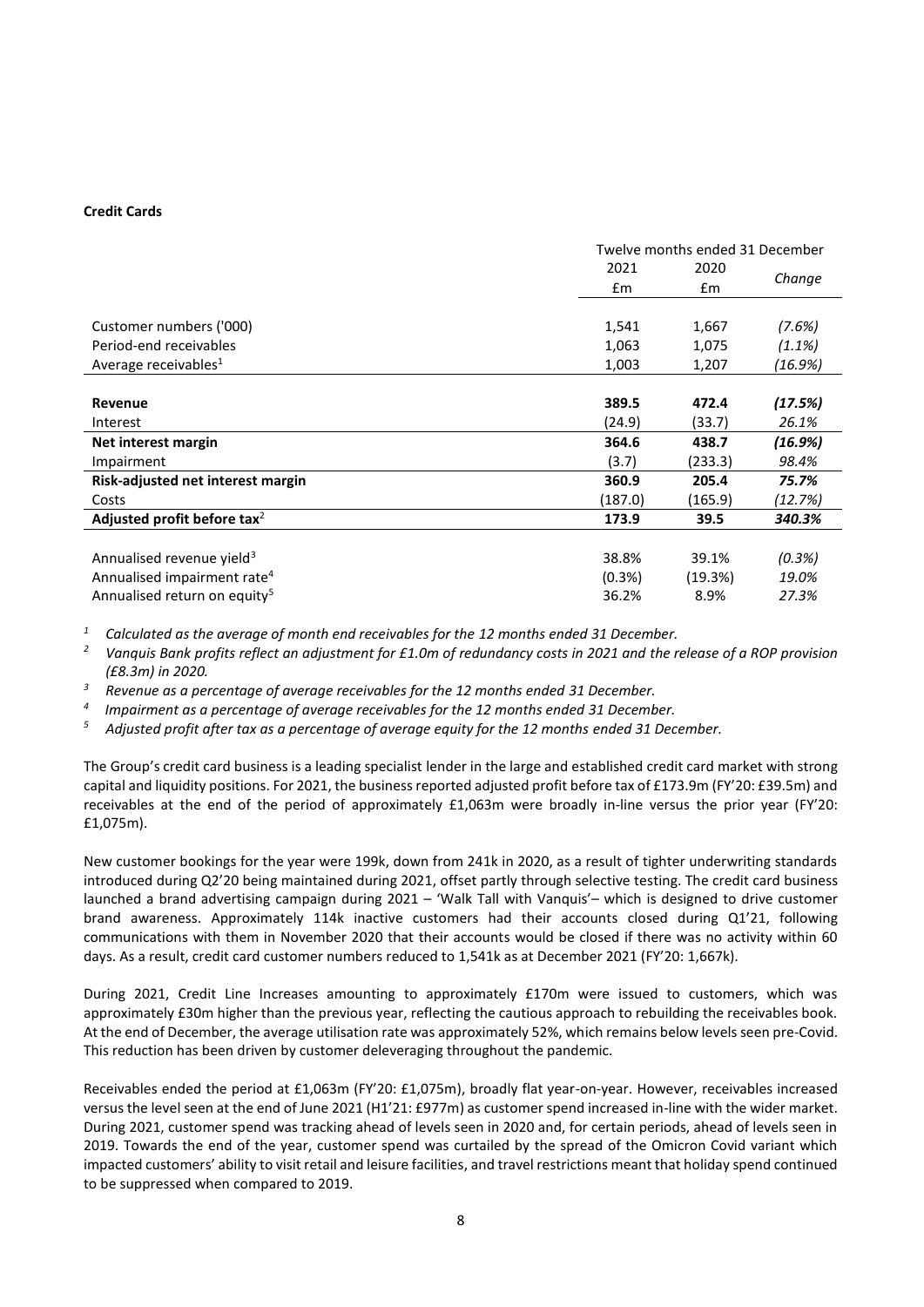### **Credit Cards**

|                                          | Twelve months ended 31 December |         |         |
|------------------------------------------|---------------------------------|---------|---------|
|                                          | 2021                            | 2020    |         |
|                                          | $\mathsf{fm}$                   | £m      | Change  |
|                                          |                                 |         |         |
| Customer numbers ('000)                  | 1,541                           | 1,667   | (7.6%)  |
| Period-end receivables                   | 1,063                           | 1,075   | (1.1%)  |
| Average receivables <sup>1</sup>         | 1,003                           | 1,207   | (16.9%) |
|                                          |                                 |         |         |
| <b>Revenue</b>                           | 389.5                           | 472.4   | (17.5%) |
| Interest                                 | (24.9)                          | (33.7)  | 26.1%   |
| Net interest margin                      | 364.6                           | 438.7   | (16.9%) |
| Impairment                               | (3.7)                           | (233.3) | 98.4%   |
| Risk-adjusted net interest margin        | 360.9                           | 205.4   | 75.7%   |
| Costs                                    | (187.0)                         | (165.9) | (12.7%) |
| Adjusted profit before tax <sup>2</sup>  | 173.9                           | 39.5    | 340.3%  |
|                                          |                                 |         |         |
| Annualised revenue yield <sup>3</sup>    | 38.8%                           | 39.1%   | (0.3%)  |
| Annualised impairment rate <sup>4</sup>  | (0.3%)                          | (19.3%) | 19.0%   |
| Annualised return on equity <sup>5</sup> | 36.2%                           | 8.9%    | 27.3%   |

*<sup>1</sup> Calculated as the average of month end receivables for the 12 months ended 31 December.*

*<sup>2</sup> Vanquis Bank profits reflect an adjustment for £1.0m of redundancy costs in 2021 and the release of a ROP provision (£8.3m) in 2020.*

*<sup>3</sup> Revenue as a percentage of average receivables for the 12 months ended 31 December.*

*4 Impairment as a percentage of average receivables for the 12 months ended 31 December.*

*<sup>5</sup> Adjusted profit after tax as a percentage of average equity for the 12 months ended 31 December.*

The Group's credit card business is a leading specialist lender in the large and established credit card market with strong capital and liquidity positions. For 2021, the business reported adjusted profit before tax of £173.9m (FY'20: £39.5m) and receivables at the end of the period of approximately £1,063m were broadly in-line versus the prior year (FY'20: £1,075m).

New customer bookings for the year were 199k, down from 241k in 2020, as a result of tighter underwriting standards introduced during Q2'20 being maintained during 2021, offset partly through selective testing. The credit card business launched a brand advertising campaign during 2021 – 'Walk Tall with Vanquis'– which is designed to drive customer brand awareness. Approximately 114k inactive customers had their accounts closed during Q1'21, following communications with them in November 2020 that their accounts would be closed if there was no activity within 60 days. As a result, credit card customer numbers reduced to 1,541k as at December 2021 (FY'20: 1,667k).

During 2021, Credit Line Increases amounting to approximately £170m were issued to customers, which was approximately £30m higher than the previous year, reflecting the cautious approach to rebuilding the receivables book. At the end of December, the average utilisation rate was approximately 52%, which remains below levels seen pre-Covid. This reduction has been driven by customer deleveraging throughout the pandemic.

Receivables ended the period at £1,063m (FY'20: £1,075m), broadly flat year-on-year. However, receivables increased versus the level seen at the end of June 2021 (H1'21: £977m) as customer spend increased in-line with the wider market. During 2021, customer spend was tracking ahead of levels seen in 2020 and, for certain periods, ahead of levels seen in 2019. Towards the end of the year, customer spend was curtailed by the spread of the Omicron Covid variant which impacted customers' ability to visit retail and leisure facilities, and travel restrictions meant that holiday spend continued to be suppressed when compared to 2019.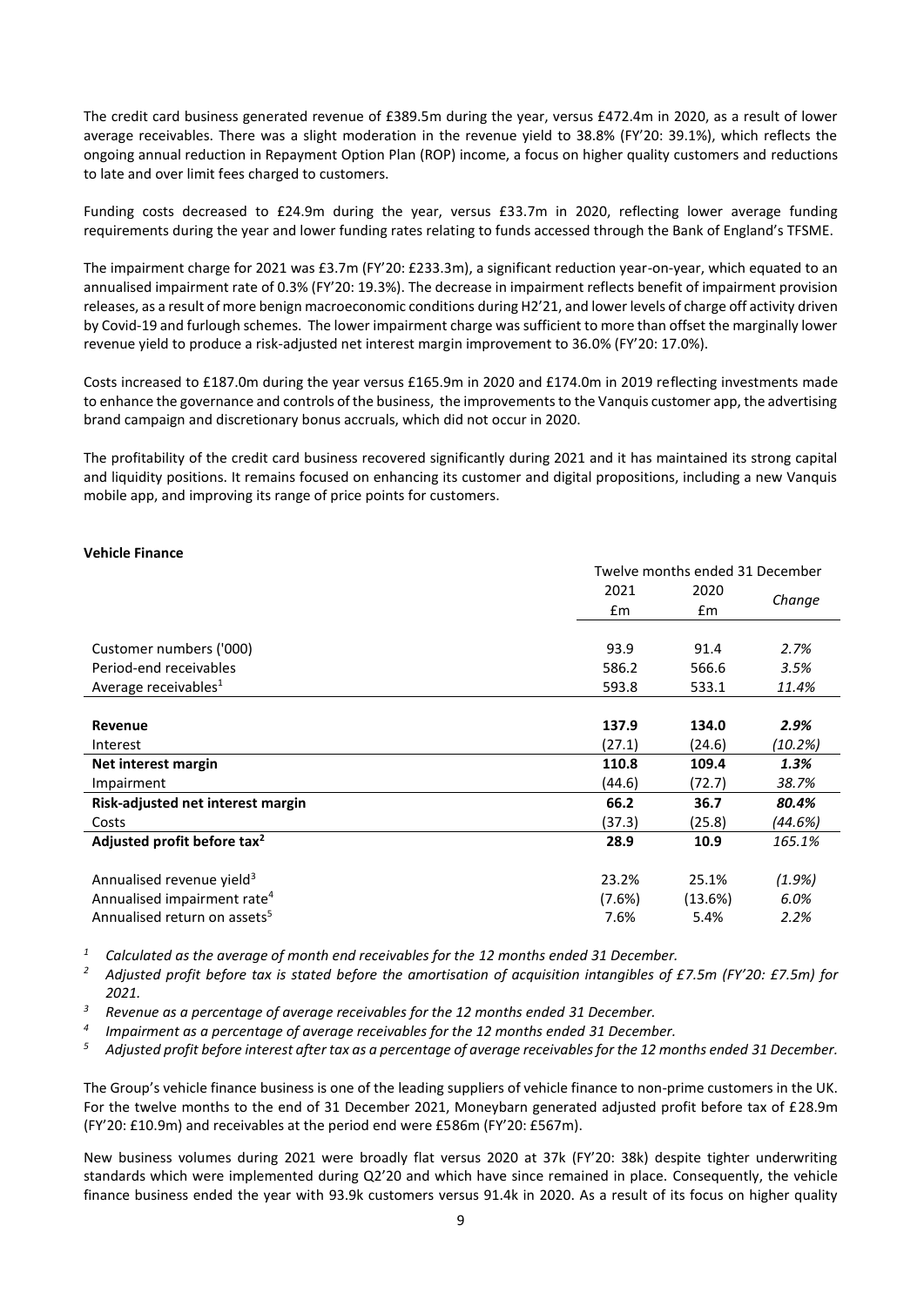The credit card business generated revenue of £389.5m during the year, versus £472.4m in 2020, as a result of lower average receivables. There was a slight moderation in the revenue yield to 38.8% (FY'20: 39.1%), which reflects the ongoing annual reduction in Repayment Option Plan (ROP) income, a focus on higher quality customers and reductions to late and over limit fees charged to customers.

Funding costs decreased to £24.9m during the year, versus £33.7m in 2020, reflecting lower average funding requirements during the year and lower funding rates relating to funds accessed through the Bank of England's TFSME.

The impairment charge for 2021 was £3.7m (FY'20: £233.3m), a significant reduction year-on-year, which equated to an annualised impairment rate of 0.3% (FY'20: 19.3%). The decrease in impairment reflects benefit of impairment provision releases, as a result of more benign macroeconomic conditions during H2'21, and lower levels of charge off activity driven by Covid-19 and furlough schemes. The lower impairment charge was sufficient to more than offset the marginally lower revenue yield to produce a risk-adjusted net interest margin improvement to 36.0% (FY'20: 17.0%).

Costs increased to £187.0m during the year versus £165.9m in 2020 and £174.0m in 2019 reflecting investments made to enhance the governance and controls of the business, the improvements to the Vanquis customer app, the advertising brand campaign and discretionary bonus accruals, which did not occur in 2020.

The profitability of the credit card business recovered significantly during 2021 and it has maintained its strong capital and liquidity positions. It remains focused on enhancing its customer and digital propositions, including a new Vanquis mobile app, and improving its range of price points for customers.

### **Vehicle Finance**

|                                          | Twelve months ended 31 December |         |         |  |
|------------------------------------------|---------------------------------|---------|---------|--|
|                                          | 2021                            | 2020    |         |  |
|                                          | £m                              | £m      | Change  |  |
|                                          |                                 |         |         |  |
| Customer numbers ('000)                  | 93.9                            | 91.4    | 2.7%    |  |
| Period-end receivables                   | 586.2                           | 566.6   | 3.5%    |  |
| Average receivables <sup>1</sup>         | 593.8                           | 533.1   | 11.4%   |  |
|                                          |                                 |         |         |  |
| Revenue                                  | 137.9                           | 134.0   | 2.9%    |  |
| Interest                                 | (27.1)                          | (24.6)  | (10.2%) |  |
| Net interest margin                      | 110.8                           | 109.4   | 1.3%    |  |
| Impairment                               | (44.6)                          | (72.7)  | 38.7%   |  |
| Risk-adjusted net interest margin        | 66.2                            | 36.7    | 80.4%   |  |
| Costs                                    | (37.3)                          | (25.8)  | (44.6%) |  |
| Adjusted profit before tax <sup>2</sup>  | 28.9                            | 10.9    | 165.1%  |  |
|                                          |                                 |         |         |  |
| Annualised revenue yield <sup>3</sup>    | 23.2%                           | 25.1%   | (1.9%)  |  |
| Annualised impairment rate <sup>4</sup>  | (7.6%)                          | (13.6%) | 6.0%    |  |
| Annualised return on assets <sup>5</sup> | 7.6%                            | 5.4%    | 2.2%    |  |

*<sup>1</sup> Calculated as the average of month end receivables for the 12 months ended 31 December.* 

*<sup>2</sup> Adjusted profit before tax is stated before the amortisation of acquisition intangibles of £7.5m (FY'20: £7.5m) for 2021.* 

*<sup>3</sup> Revenue as a percentage of average receivables for the 12 months ended 31 December.*

*4 Impairment as a percentage of average receivables for the 12 months ended 31 December.*

*<sup>5</sup> Adjusted profit before interest after tax as a percentage of average receivables for the 12 months ended 31 December.*

The Group's vehicle finance business is one of the leading suppliers of vehicle finance to non-prime customers in the UK. For the twelve months to the end of 31 December 2021, Moneybarn generated adjusted profit before tax of £28.9m (FY'20: £10.9m) and receivables at the period end were £586m (FY'20: £567m).

New business volumes during 2021 were broadly flat versus 2020 at 37k (FY'20: 38k) despite tighter underwriting standards which were implemented during Q2'20 and which have since remained in place. Consequently, the vehicle finance business ended the year with 93.9k customers versus 91.4k in 2020. As a result of its focus on higher quality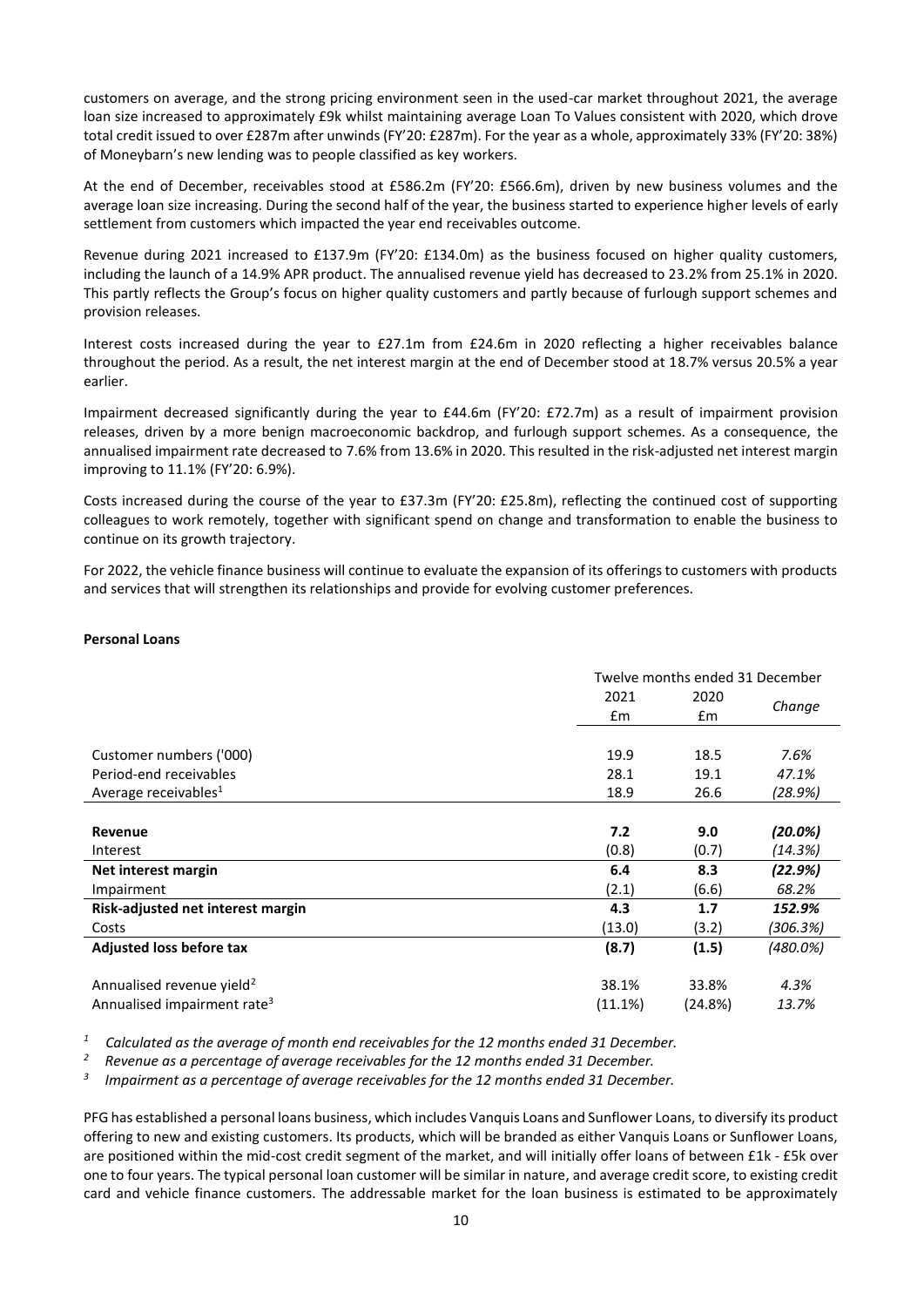customers on average, and the strong pricing environment seen in the used-car market throughout 2021, the average loan size increased to approximately £9k whilst maintaining average Loan To Values consistent with 2020, which drove total credit issued to over £287m after unwinds (FY'20: £287m). For the year as a whole, approximately 33% (FY'20: 38%) of Moneybarn's new lending was to people classified as key workers.

At the end of December, receivables stood at £586.2m (FY'20: £566.6m), driven by new business volumes and the average loan size increasing. During the second half of the year, the business started to experience higher levels of early settlement from customers which impacted the year end receivables outcome.

Revenue during 2021 increased to £137.9m (FY'20: £134.0m) as the business focused on higher quality customers, including the launch of a 14.9% APR product. The annualised revenue yield has decreased to 23.2% from 25.1% in 2020. This partly reflects the Group's focus on higher quality customers and partly because of furlough support schemes and provision releases.

Interest costs increased during the year to £27.1m from £24.6m in 2020 reflecting a higher receivables balance throughout the period. As a result, the net interest margin at the end of December stood at 18.7% versus 20.5% a year earlier.

Impairment decreased significantly during the year to £44.6m (FY'20: £72.7m) as a result of impairment provision releases, driven by a more benign macroeconomic backdrop, and furlough support schemes. As a consequence, the annualised impairment rate decreased to 7.6% from 13.6% in 2020. This resulted in the risk-adjusted net interest margin improving to 11.1% (FY'20: 6.9%).

Costs increased during the course of the year to £37.3m (FY'20: £25.8m), reflecting the continued cost of supporting colleagues to work remotely, together with significant spend on change and transformation to enable the business to continue on its growth trajectory.

For 2022, the vehicle finance business will continue to evaluate the expansion of its offerings to customers with products and services that will strengthen its relationships and provide for evolving customer preferences.

### **Personal Loans**

|                                         | Twelve months ended 31 December |         |          |
|-----------------------------------------|---------------------------------|---------|----------|
|                                         | 2021                            | 2020    |          |
|                                         | $\mathsf{fm}$                   | £m      | Change   |
|                                         |                                 |         |          |
| Customer numbers ('000)                 | 19.9                            | 18.5    | 7.6%     |
| Period-end receivables                  | 28.1                            | 19.1    | 47.1%    |
| Average receivables <sup>1</sup>        | 18.9                            | 26.6    | (28.9%)  |
|                                         |                                 |         |          |
| Revenue                                 | 7.2                             | 9.0     | (20.0%)  |
| Interest                                | (0.8)                           | (0.7)   | (14.3%)  |
| Net interest margin                     | 6.4                             | 8.3     | (22.9%)  |
| Impairment                              | (2.1)                           | (6.6)   | 68.2%    |
| Risk-adjusted net interest margin       | 4.3                             | 1.7     | 152.9%   |
| Costs                                   | (13.0)                          | (3.2)   | (306.3%) |
| Adjusted loss before tax                | (8.7)                           | (1.5)   | (480.0%) |
| Annualised revenue yield <sup>2</sup>   | 38.1%                           | 33.8%   | 4.3%     |
| Annualised impairment rate <sup>3</sup> | (11.1%)                         | (24.8%) | 13.7%    |

*<sup>1</sup> Calculated as the average of month end receivables for the 12 months ended 31 December.*

*2 Revenue as a percentage of average receivables for the 12 months ended 31 December.*

*3 Impairment as a percentage of average receivables for the 12 months ended 31 December.*

PFG has established a personal loans business, which includes Vanquis Loans and Sunflower Loans, to diversify its product offering to new and existing customers. Its products, which will be branded as either Vanquis Loans or Sunflower Loans, are positioned within the mid-cost credit segment of the market, and will initially offer loans of between £1k - £5k over one to four years. The typical personal loan customer will be similar in nature, and average credit score, to existing credit card and vehicle finance customers. The addressable market for the loan business is estimated to be approximately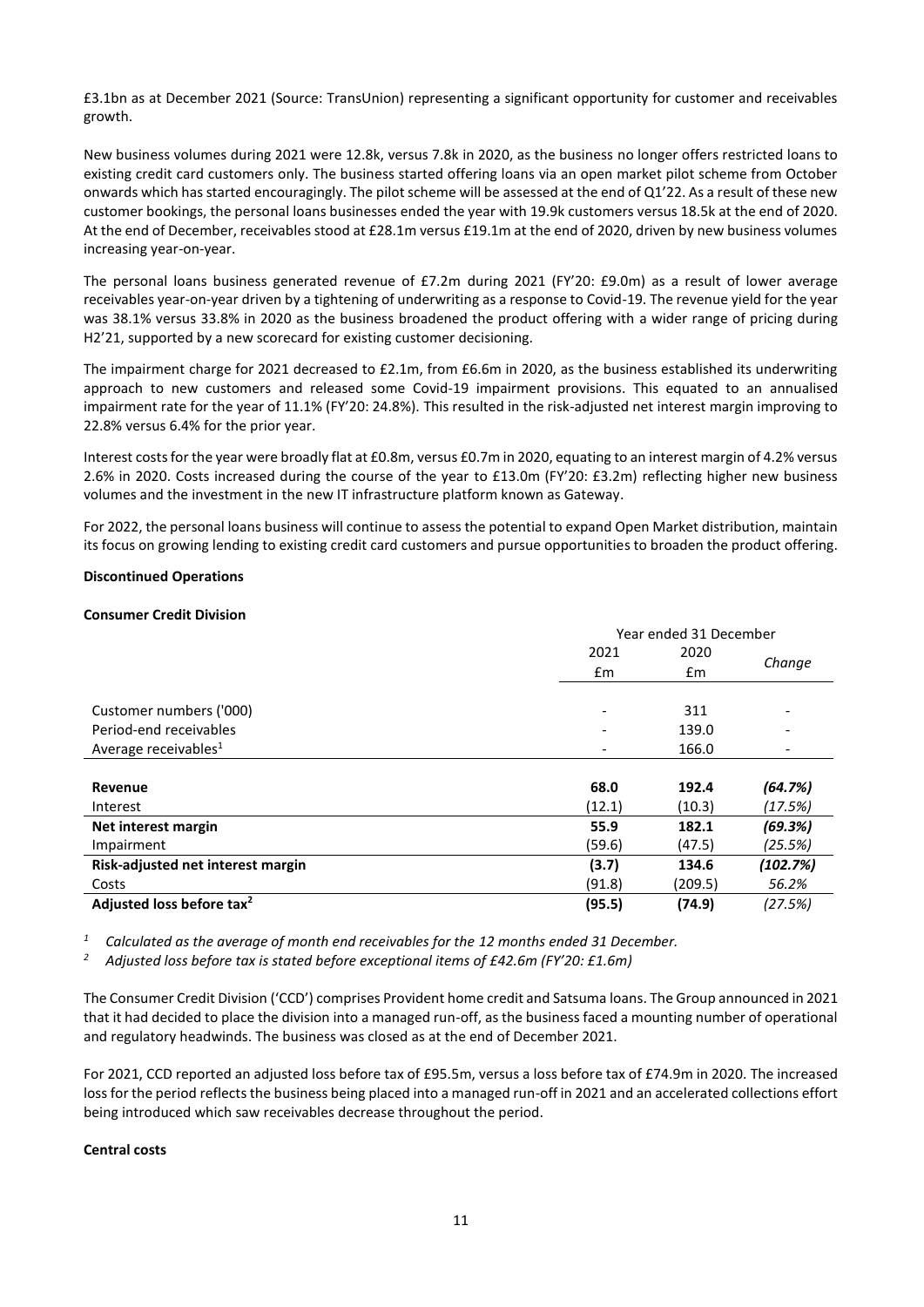£3.1bn as at December 2021 (Source: TransUnion) representing a significant opportunity for customer and receivables growth.

New business volumes during 2021 were 12.8k, versus 7.8k in 2020, as the business no longer offers restricted loans to existing credit card customers only. The business started offering loans via an open market pilot scheme from October onwards which has started encouragingly. The pilot scheme will be assessed at the end of Q1'22. As a result of these new customer bookings, the personal loans businesses ended the year with 19.9k customers versus 18.5k at the end of 2020. At the end of December, receivables stood at £28.1m versus £19.1m at the end of 2020, driven by new business volumes increasing year-on-year.

The personal loans business generated revenue of £7.2m during 2021 (FY'20: £9.0m) as a result of lower average receivables year-on-year driven by a tightening of underwriting as a response to Covid-19. The revenue yield for the year was 38.1% versus 33.8% in 2020 as the business broadened the product offering with a wider range of pricing during H2'21, supported by a new scorecard for existing customer decisioning.

The impairment charge for 2021 decreased to £2.1m, from £6.6m in 2020, as the business established its underwriting approach to new customers and released some Covid-19 impairment provisions. This equated to an annualised impairment rate for the year of 11.1% (FY'20: 24.8%). This resulted in the risk-adjusted net interest margin improving to 22.8% versus 6.4% for the prior year.

Interest costs for the year were broadly flat at £0.8m, versus £0.7m in 2020, equating to an interest margin of 4.2% versus 2.6% in 2020. Costs increased during the course of the year to £13.0m (FY'20: £3.2m) reflecting higher new business volumes and the investment in the new IT infrastructure platform known as Gateway.

For 2022, the personal loans business will continue to assess the potential to expand Open Market distribution, maintain its focus on growing lending to existing credit card customers and pursue opportunities to broaden the product offering.

#### **Discontinued Operations**

#### **Consumer Credit Division**

|                                       | Year ended 31 December       |               |          |
|---------------------------------------|------------------------------|---------------|----------|
|                                       | 2021                         | 2020          | Change   |
|                                       | £m                           | $\mathsf{fm}$ |          |
|                                       |                              |               |          |
| Customer numbers ('000)               | $\qquad \qquad \blacksquare$ | 311           |          |
| Period-end receivables                |                              | 139.0         |          |
| Average receivables <sup>1</sup>      |                              | 166.0         |          |
|                                       |                              |               |          |
| Revenue                               | 68.0                         | 192.4         | (64.7%)  |
| Interest                              | (12.1)                       | (10.3)        | (17.5%)  |
| Net interest margin                   | 55.9                         | 182.1         | (69.3%)  |
| Impairment                            | (59.6)                       | (47.5)        | (25.5%)  |
| Risk-adjusted net interest margin     | (3.7)                        | 134.6         | (102.7%) |
| Costs                                 | (91.8)                       | (209.5)       | 56.2%    |
| Adjusted loss before tax <sup>2</sup> | (95.5)                       | (74.9)        | (27.5%)  |

*<sup>1</sup> Calculated as the average of month end receivables for the 12 months ended 31 December.*

*<sup>2</sup> Adjusted loss before tax is stated before exceptional items of £42.6m (FY'20: £1.6m)* 

The Consumer Credit Division ('CCD') comprises Provident home credit and Satsuma loans. The Group announced in 2021 that it had decided to place the division into a managed run-off, as the business faced a mounting number of operational and regulatory headwinds. The business was closed as at the end of December 2021.

For 2021, CCD reported an adjusted loss before tax of £95.5m, versus a loss before tax of £74.9m in 2020. The increased loss for the period reflects the business being placed into a managed run-off in 2021 and an accelerated collections effort being introduced which saw receivables decrease throughout the period.

### **Central costs**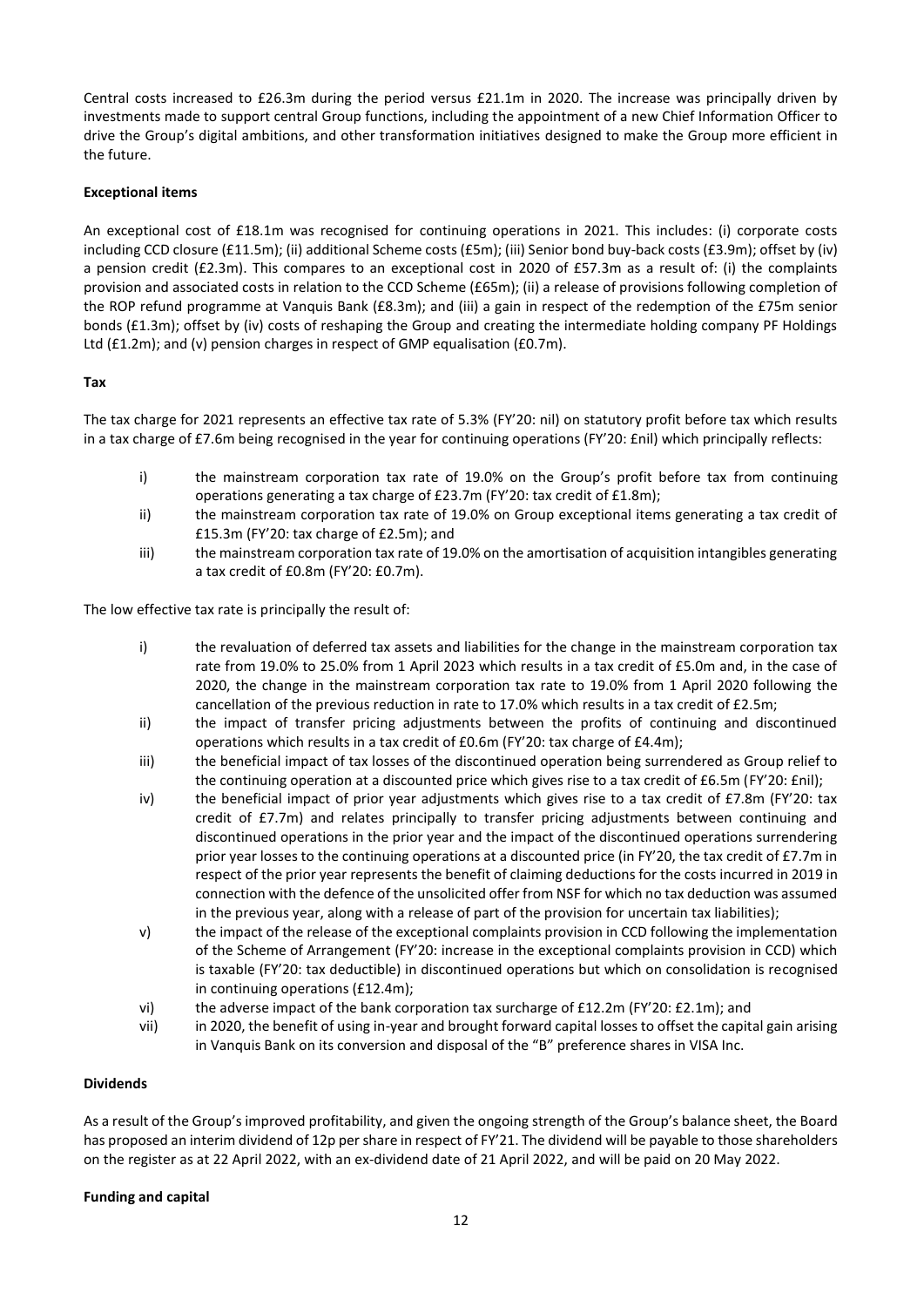Central costs increased to £26.3m during the period versus £21.1m in 2020. The increase was principally driven by investments made to support central Group functions, including the appointment of a new Chief Information Officer to drive the Group's digital ambitions, and other transformation initiatives designed to make the Group more efficient in the future.

# **Exceptional items**

An exceptional cost of £18.1m was recognised for continuing operations in 2021. This includes: (i) corporate costs including CCD closure (£11.5m); (ii) additional Scheme costs (£5m); (iii) Senior bond buy-back costs (£3.9m); offset by (iv) a pension credit (£2.3m). This compares to an exceptional cost in 2020 of £57.3m as a result of: (i) the complaints provision and associated costs in relation to the CCD Scheme (£65m); (ii) a release of provisions following completion of the ROP refund programme at Vanquis Bank (£8.3m); and (iii) a gain in respect of the redemption of the £75m senior bonds (£1.3m); offset by (iv) costs of reshaping the Group and creating the intermediate holding company PF Holdings Ltd (£1.2m); and (v) pension charges in respect of GMP equalisation (£0.7m).

# **Tax**

The tax charge for 2021 represents an effective tax rate of 5.3% (FY'20: nil) on statutory profit before tax which results in a tax charge of £7.6m being recognised in the year for continuing operations (FY'20: £nil) which principally reflects:

- i) the mainstream corporation tax rate of 19.0% on the Group's profit before tax from continuing operations generating a tax charge of £23.7m (FY'20: tax credit of £1.8m);
- ii) the mainstream corporation tax rate of 19.0% on Group exceptional items generating a tax credit of £15.3m (FY'20: tax charge of £2.5m); and
- iii) the mainstream corporation tax rate of 19.0% on the amortisation of acquisition intangibles generating a tax credit of £0.8m (FY'20: £0.7m).

The low effective tax rate is principally the result of:

- i) the revaluation of deferred tax assets and liabilities for the change in the mainstream corporation tax rate from 19.0% to 25.0% from 1 April 2023 which results in a tax credit of £5.0m and, in the case of 2020, the change in the mainstream corporation tax rate to 19.0% from 1 April 2020 following the cancellation of the previous reduction in rate to 17.0% which results in a tax credit of £2.5m;
- ii) the impact of transfer pricing adjustments between the profits of continuing and discontinued operations which results in a tax credit of £0.6m (FY'20: tax charge of £4.4m);
- iii) the beneficial impact of tax losses of the discontinued operation being surrendered as Group relief to the continuing operation at a discounted price which gives rise to a tax credit of £6.5m (FY'20: £nil);
- iv) the beneficial impact of prior year adjustments which gives rise to a tax credit of £7.8m (FY'20: tax credit of £7.7m) and relates principally to transfer pricing adjustments between continuing and discontinued operations in the prior year and the impact of the discontinued operations surrendering prior year losses to the continuing operations at a discounted price (in FY'20, the tax credit of £7.7m in respect of the prior year represents the benefit of claiming deductions for the costs incurred in 2019 in connection with the defence of the unsolicited offer from NSF for which no tax deduction was assumed in the previous year, along with a release of part of the provision for uncertain tax liabilities);
- v) the impact of the release of the exceptional complaints provision in CCD following the implementation of the Scheme of Arrangement (FY'20: increase in the exceptional complaints provision in CCD) which is taxable (FY'20: tax deductible) in discontinued operations but which on consolidation is recognised in continuing operations (£12.4m);
- vi) the adverse impact of the bank corporation tax surcharge of £12.2m (FY'20: £2.1m); and
- vii) in 2020, the benefit of using in-year and brought forward capital losses to offset the capital gain arising in Vanquis Bank on its conversion and disposal of the "B" preference shares in VISA Inc.

## **Dividends**

As a result of the Group's improved profitability, and given the ongoing strength of the Group's balance sheet, the Board has proposed an interim dividend of 12p per share in respect of FY'21. The dividend will be payable to those shareholders on the register as at 22 April 2022, with an ex-dividend date of 21 April 2022, and will be paid on 20 May 2022.

## **Funding and capital**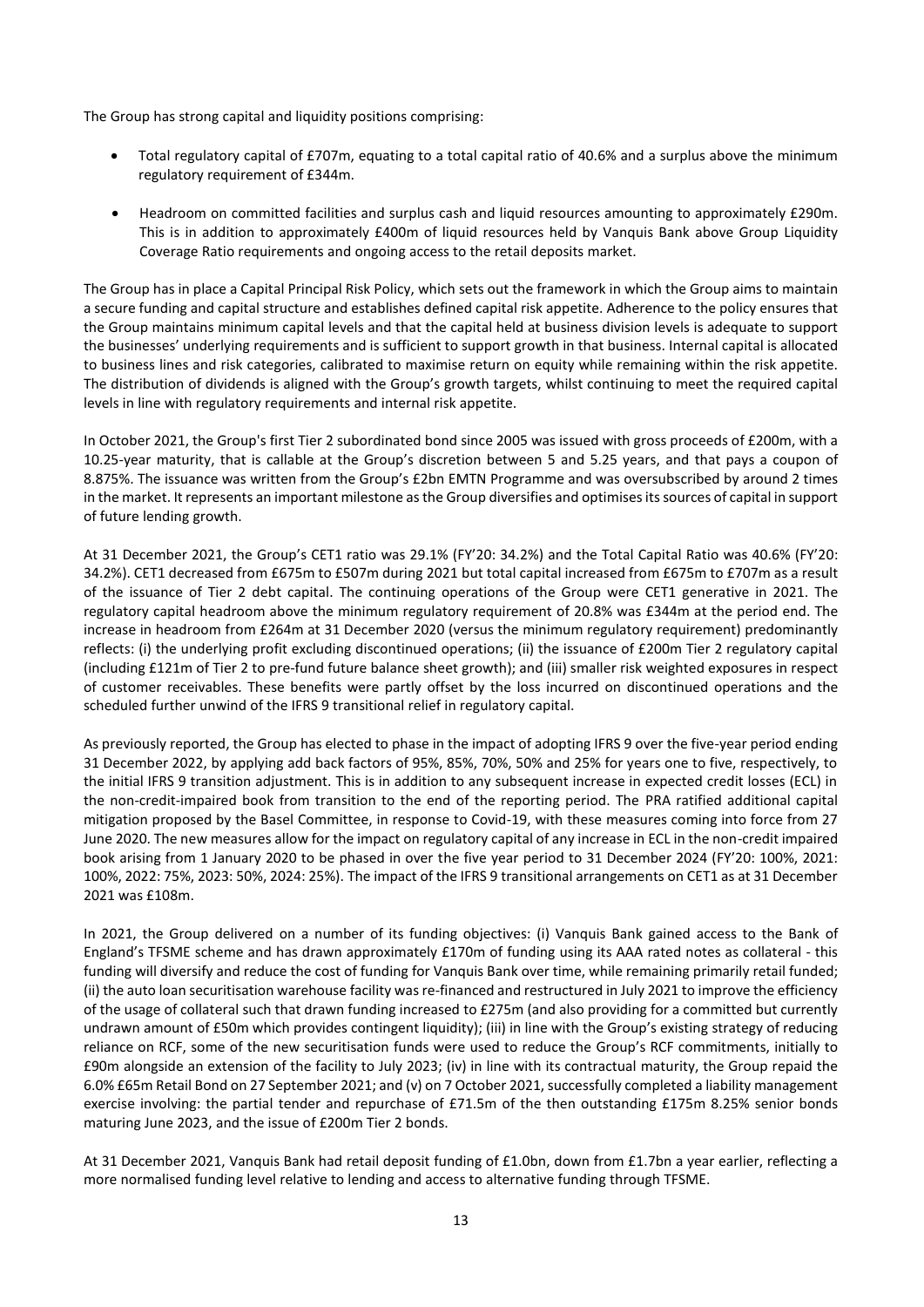The Group has strong capital and liquidity positions comprising:

- Total regulatory capital of £707m, equating to a total capital ratio of 40.6% and a surplus above the minimum regulatory requirement of £344m.
- Headroom on committed facilities and surplus cash and liquid resources amounting to approximately £290m. This is in addition to approximately £400m of liquid resources held by Vanquis Bank above Group Liquidity Coverage Ratio requirements and ongoing access to the retail deposits market.

The Group has in place a Capital Principal Risk Policy, which sets out the framework in which the Group aims to maintain a secure funding and capital structure and establishes defined capital risk appetite. Adherence to the policy ensures that the Group maintains minimum capital levels and that the capital held at business division levels is adequate to support the businesses' underlying requirements and is sufficient to support growth in that business. Internal capital is allocated to business lines and risk categories, calibrated to maximise return on equity while remaining within the risk appetite. The distribution of dividends is aligned with the Group's growth targets, whilst continuing to meet the required capital levels in line with regulatory requirements and internal risk appetite.

In October 2021, the Group's first Tier 2 subordinated bond since 2005 was issued with gross proceeds of £200m, with a 10.25-year maturity, that is callable at the Group's discretion between 5 and 5.25 years, and that pays a coupon of 8.875%. The issuance was written from the Group's £2bn EMTN Programme and was oversubscribed by around 2 times in the market. It represents an important milestone asthe Group diversifies and optimisesitssources of capital in support of future lending growth.

At 31 December 2021, the Group's CET1 ratio was 29.1% (FY'20: 34.2%) and the Total Capital Ratio was 40.6% (FY'20: 34.2%). CET1 decreased from £675m to £507m during 2021 but total capital increased from £675m to £707m as a result of the issuance of Tier 2 debt capital. The continuing operations of the Group were CET1 generative in 2021. The regulatory capital headroom above the minimum regulatory requirement of 20.8% was £344m at the period end. The increase in headroom from £264m at 31 December 2020 (versus the minimum regulatory requirement) predominantly reflects: (i) the underlying profit excluding discontinued operations; (ii) the issuance of £200m Tier 2 regulatory capital (including £121m of Tier 2 to pre-fund future balance sheet growth); and (iii) smaller risk weighted exposures in respect of customer receivables. These benefits were partly offset by the loss incurred on discontinued operations and the scheduled further unwind of the IFRS 9 transitional relief in regulatory capital.

As previously reported, the Group has elected to phase in the impact of adopting IFRS 9 over the five-year period ending 31 December 2022, by applying add back factors of 95%, 85%, 70%, 50% and 25% for years one to five, respectively, to the initial IFRS 9 transition adjustment. This is in addition to any subsequent increase in expected credit losses (ECL) in the non-credit-impaired book from transition to the end of the reporting period. The PRA ratified additional capital mitigation proposed by the Basel Committee, in response to Covid-19, with these measures coming into force from 27 June 2020. The new measures allow for the impact on regulatory capital of any increase in ECL in the non-credit impaired book arising from 1 January 2020 to be phased in over the five year period to 31 December 2024 (FY'20: 100%, 2021: 100%, 2022: 75%, 2023: 50%, 2024: 25%). The impact of the IFRS 9 transitional arrangements on CET1 as at 31 December 2021 was £108m.

In 2021, the Group delivered on a number of its funding objectives: (i) Vanquis Bank gained access to the Bank of England's TFSME scheme and has drawn approximately £170m of funding using its AAA rated notes as collateral - this funding will diversify and reduce the cost of funding for Vanquis Bank over time, while remaining primarily retail funded; (ii) the auto loan securitisation warehouse facility was re-financed and restructured in July 2021 to improve the efficiency of the usage of collateral such that drawn funding increased to £275m (and also providing for a committed but currently undrawn amount of £50m which provides contingent liquidity); (iii) in line with the Group's existing strategy of reducing reliance on RCF, some of the new securitisation funds were used to reduce the Group's RCF commitments, initially to £90m alongside an extension of the facility to July 2023; (iv) in line with its contractual maturity, the Group repaid the 6.0% £65m Retail Bond on 27 September 2021; and (v) on 7 October 2021, successfully completed a liability management exercise involving: the partial tender and repurchase of £71.5m of the then outstanding £175m 8.25% senior bonds maturing June 2023, and the issue of £200m Tier 2 bonds.

At 31 December 2021, Vanquis Bank had retail deposit funding of £1.0bn, down from £1.7bn a year earlier, reflecting a more normalised funding level relative to lending and access to alternative funding through TFSME.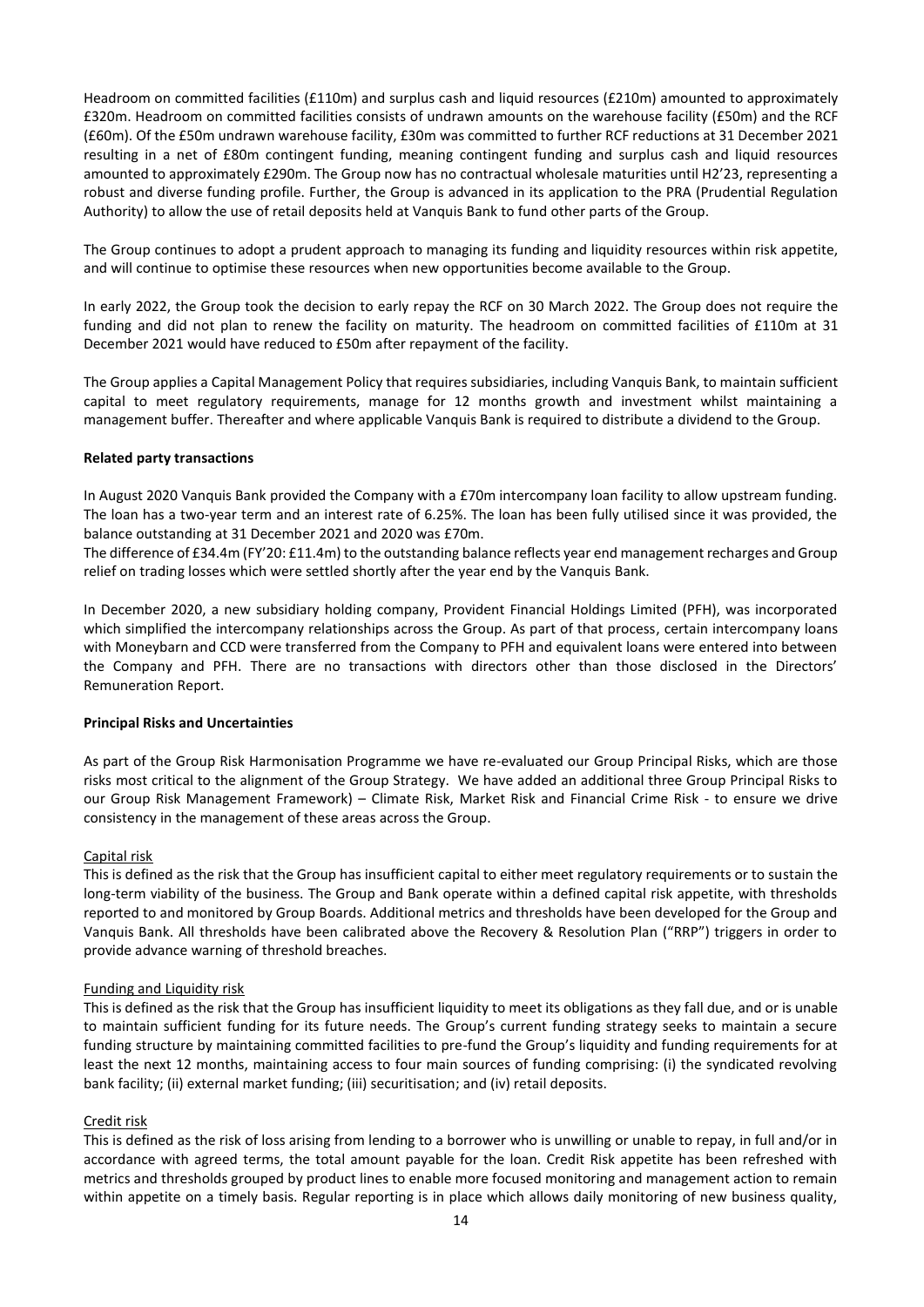Headroom on committed facilities (£110m) and surplus cash and liquid resources (£210m) amounted to approximately £320m. Headroom on committed facilities consists of undrawn amounts on the warehouse facility (£50m) and the RCF (£60m). Of the £50m undrawn warehouse facility, £30m was committed to further RCF reductions at 31 December 2021 resulting in a net of £80m contingent funding, meaning contingent funding and surplus cash and liquid resources amounted to approximately £290m. The Group now has no contractual wholesale maturities until H2'23, representing a robust and diverse funding profile. Further, the Group is advanced in its application to the PRA (Prudential Regulation Authority) to allow the use of retail deposits held at Vanquis Bank to fund other parts of the Group.

The Group continues to adopt a prudent approach to managing its funding and liquidity resources within risk appetite, and will continue to optimise these resources when new opportunities become available to the Group.

In early 2022, the Group took the decision to early repay the RCF on 30 March 2022. The Group does not require the funding and did not plan to renew the facility on maturity. The headroom on committed facilities of £110m at 31 December 2021 would have reduced to £50m after repayment of the facility.

The Group applies a Capital Management Policy that requires subsidiaries, including Vanquis Bank, to maintain sufficient capital to meet regulatory requirements, manage for 12 months growth and investment whilst maintaining a management buffer. Thereafter and where applicable Vanquis Bank is required to distribute a dividend to the Group.

### **Related party transactions**

In August 2020 Vanquis Bank provided the Company with a £70m intercompany loan facility to allow upstream funding. The loan has a two-year term and an interest rate of 6.25%. The loan has been fully utilised since it was provided, the balance outstanding at 31 December 2021 and 2020 was £70m.

The difference of £34.4m (FY'20: £11.4m) to the outstanding balance reflects year end management recharges and Group relief on trading losses which were settled shortly after the year end by the Vanquis Bank.

In December 2020, a new subsidiary holding company, Provident Financial Holdings Limited (PFH), was incorporated which simplified the intercompany relationships across the Group. As part of that process, certain intercompany loans with Moneybarn and CCD were transferred from the Company to PFH and equivalent loans were entered into between the Company and PFH. There are no transactions with directors other than those disclosed in the Directors' Remuneration Report.

#### **Principal Risks and Uncertainties**

As part of the Group Risk Harmonisation Programme we have re-evaluated our Group Principal Risks, which are those risks most critical to the alignment of the Group Strategy. We have added an additional three Group Principal Risks to our Group Risk Management Framework) – Climate Risk, Market Risk and Financial Crime Risk - to ensure we drive consistency in the management of these areas across the Group.

#### Capital risk

This is defined as the risk that the Group has insufficient capital to either meet regulatory requirements or to sustain the long-term viability of the business. The Group and Bank operate within a defined capital risk appetite, with thresholds reported to and monitored by Group Boards. Additional metrics and thresholds have been developed for the Group and Vanquis Bank. All thresholds have been calibrated above the Recovery & Resolution Plan ("RRP") triggers in order to provide advance warning of threshold breaches.

#### Funding and Liquidity risk

This is defined as the risk that the Group has insufficient liquidity to meet its obligations as they fall due, and or is unable to maintain sufficient funding for its future needs. The Group's current funding strategy seeks to maintain a secure funding structure by maintaining committed facilities to pre-fund the Group's liquidity and funding requirements for at least the next 12 months, maintaining access to four main sources of funding comprising: (i) the syndicated revolving bank facility; (ii) external market funding; (iii) securitisation; and (iv) retail deposits.

### Credit risk

This is defined as the risk of loss arising from lending to a borrower who is unwilling or unable to repay, in full and/or in accordance with agreed terms, the total amount payable for the loan. Credit Risk appetite has been refreshed with metrics and thresholds grouped by product lines to enable more focused monitoring and management action to remain within appetite on a timely basis. Regular reporting is in place which allows daily monitoring of new business quality,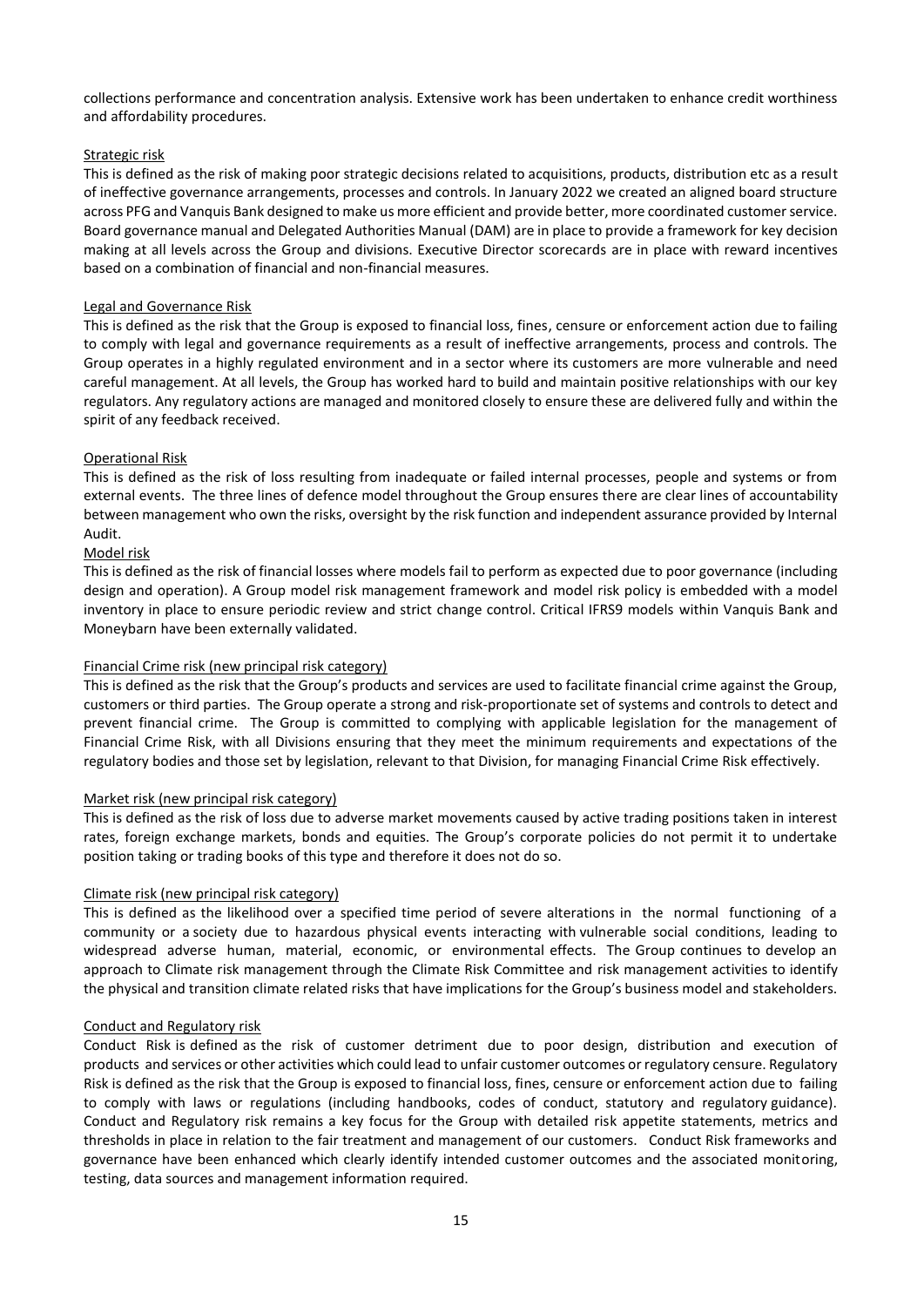collections performance and concentration analysis. Extensive work has been undertaken to enhance credit worthiness and affordability procedures.

# Strategic risk

This is defined as the risk of making poor strategic decisions related to acquisitions, products, distribution etc as a result of ineffective governance arrangements, processes and controls. In January 2022 we created an aligned board structure across PFG and Vanquis Bank designed to make us more efficient and provide better, more coordinated customer service. Board governance manual and Delegated Authorities Manual (DAM) are in place to provide a framework for key decision making at all levels across the Group and divisions. Executive Director scorecards are in place with reward incentives based on a combination of financial and non-financial measures.

# Legal and Governance Risk

This is defined as the risk that the Group is exposed to financial loss, fines, censure or enforcement action due to failing to comply with legal and governance requirements as a result of ineffective arrangements, process and controls. The Group operates in a highly regulated environment and in a sector where its customers are more vulnerable and need careful management. At all levels, the Group has worked hard to build and maintain positive relationships with our key regulators. Any regulatory actions are managed and monitored closely to ensure these are delivered fully and within the spirit of any feedback received.

# Operational Risk

This is defined as the risk of loss resulting from inadequate or failed internal processes, people and systems or from external events. The three lines of defence model throughout the Group ensures there are clear lines of accountability between management who own the risks, oversight by the risk function and independent assurance provided by Internal Audit.

# Model risk

This is defined as the risk of financial losses where models fail to perform as expected due to poor governance (including design and operation). A Group model risk management framework and model risk policy is embedded with a model inventory in place to ensure periodic review and strict change control. Critical IFRS9 models within Vanquis Bank and Moneybarn have been externally validated.

## Financial Crime risk (new principal risk category)

This is defined as the risk that the Group's products and services are used to facilitate financial crime against the Group, customers or third parties. The Group operate a strong and risk-proportionate set of systems and controls to detect and prevent financial crime. The Group is committed to complying with applicable legislation for the management of Financial Crime Risk, with all Divisions ensuring that they meet the minimum requirements and expectations of the regulatory bodies and those set by legislation, relevant to that Division, for managing Financial Crime Risk effectively.

## Market risk (new principal risk category)

This is defined as the risk of loss due to adverse market movements caused by active trading positions taken in interest rates, foreign exchange markets, bonds and equities. The Group's corporate policies do not permit it to undertake position taking or trading books of this type and therefore it does not do so.

## Climate risk (new principal risk category)

This is defined as the likelihood over a specified time period of severe alterations in the normal functioning of a community or a society due to hazardous physical events interacting with vulnerable social conditions, leading to widespread adverse human, material, economic, or environmental effects. The Group continues to develop an approach to Climate risk management through the Climate Risk Committee and risk management activities to identify the physical and transition climate related risks that have implications for the Group's business model and stakeholders.

## Conduct and Regulatory risk

Conduct Risk is defined as the risk of customer detriment due to poor design, distribution and execution of products and services or other activities which could lead to unfair customer outcomes or regulatory censure. Regulatory Risk is defined as the risk that the Group is exposed to financial loss, fines, censure or enforcement action due to failing to comply with laws or regulations (including handbooks, codes of conduct, statutory and regulatory guidance). Conduct and Regulatory risk remains a key focus for the Group with detailed risk appetite statements, metrics and thresholds in place in relation to the fair treatment and management of our customers. Conduct Risk frameworks and governance have been enhanced which clearly identify intended customer outcomes and the associated monitoring, testing, data sources and management information required.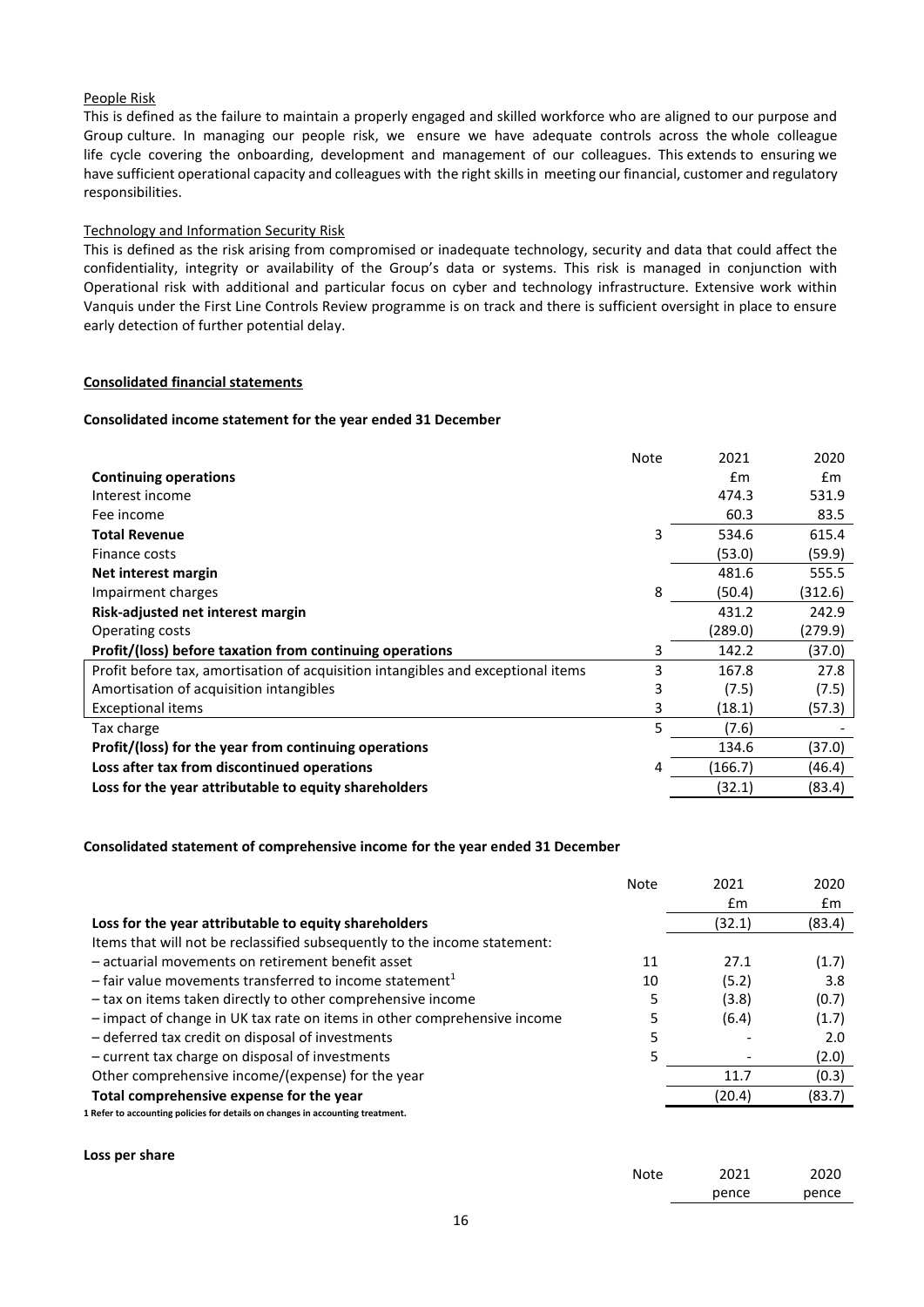# People Risk

This is defined as the failure to maintain a properly engaged and skilled workforce who are aligned to our purpose and Group culture. In managing our people risk, we ensure we have adequate controls across the whole colleague life cycle covering the onboarding, development and management of our colleagues. This extends to ensuring we have sufficient operational capacity and colleagues with the right skills in meeting our financial, customer and regulatory responsibilities.

#### Technology and Information Security Risk

This is defined as the risk arising from compromised or inadequate technology, security and data that could affect the confidentiality, integrity or availability of the Group's data or systems. This risk is managed in conjunction with Operational risk with additional and particular focus on cyber and technology infrastructure. Extensive work within Vanquis under the First Line Controls Review programme is on track and there is sufficient oversight in place to ensure early detection of further potential delay.

#### **Consolidated financial statements**

#### **Consolidated income statement for the year ended 31 December**

|                                                                                  | <b>Note</b> | 2021    | 2020    |
|----------------------------------------------------------------------------------|-------------|---------|---------|
| <b>Continuing operations</b>                                                     |             | Em      | Em      |
| Interest income                                                                  |             | 474.3   | 531.9   |
| Fee income                                                                       |             | 60.3    | 83.5    |
| <b>Total Revenue</b>                                                             | 3           | 534.6   | 615.4   |
| Finance costs                                                                    |             | (53.0)  | (59.9)  |
| Net interest margin                                                              |             | 481.6   | 555.5   |
| Impairment charges                                                               | 8           | (50.4)  | (312.6) |
| Risk-adjusted net interest margin                                                |             | 431.2   | 242.9   |
| Operating costs                                                                  |             | (289.0) | (279.9) |
| Profit/(loss) before taxation from continuing operations                         | 3           | 142.2   | (37.0)  |
| Profit before tax, amortisation of acquisition intangibles and exceptional items | 3           | 167.8   | 27.8    |
| Amortisation of acquisition intangibles                                          | 3           | (7.5)   | (7.5)   |
| Exceptional items                                                                | 3           | (18.1)  | (57.3)  |
| Tax charge                                                                       | 5           | (7.6)   |         |
| Profit/(loss) for the year from continuing operations                            |             | 134.6   | (37.0)  |
| Loss after tax from discontinued operations                                      | 4           | (166.7) | (46.4)  |
| Loss for the year attributable to equity shareholders                            |             | (32.1)  | (83.4)  |

#### **Consolidated statement of comprehensive income for the year ended 31 December**

|                                                                                | <b>Note</b> | 2021   | 2020   |
|--------------------------------------------------------------------------------|-------------|--------|--------|
|                                                                                |             | £m     | £m     |
| Loss for the year attributable to equity shareholders                          |             | (32.1) | (83.4) |
| Items that will not be reclassified subsequently to the income statement:      |             |        |        |
| - actuarial movements on retirement benefit asset                              | 11          | 27.1   | (1.7)  |
| $-$ fair value movements transferred to income statement <sup>1</sup>          | 10          | (5.2)  | 3.8    |
| - tax on items taken directly to other comprehensive income                    |             | (3.8)  | (0.7)  |
| - impact of change in UK tax rate on items in other comprehensive income       | 5           | (6.4)  | (1.7)  |
| - deferred tax credit on disposal of investments                               |             |        | 2.0    |
| - current tax charge on disposal of investments                                | 5           |        | (2.0)  |
| Other comprehensive income/(expense) for the year                              |             | 11.7   | (0.3)  |
| Total comprehensive expense for the year                                       |             | (20.4) | (83.7) |
| 1 Refer to accounting policies for details on changes in accounting treatment. |             |        |        |
|                                                                                |             |        |        |

**Loss per share**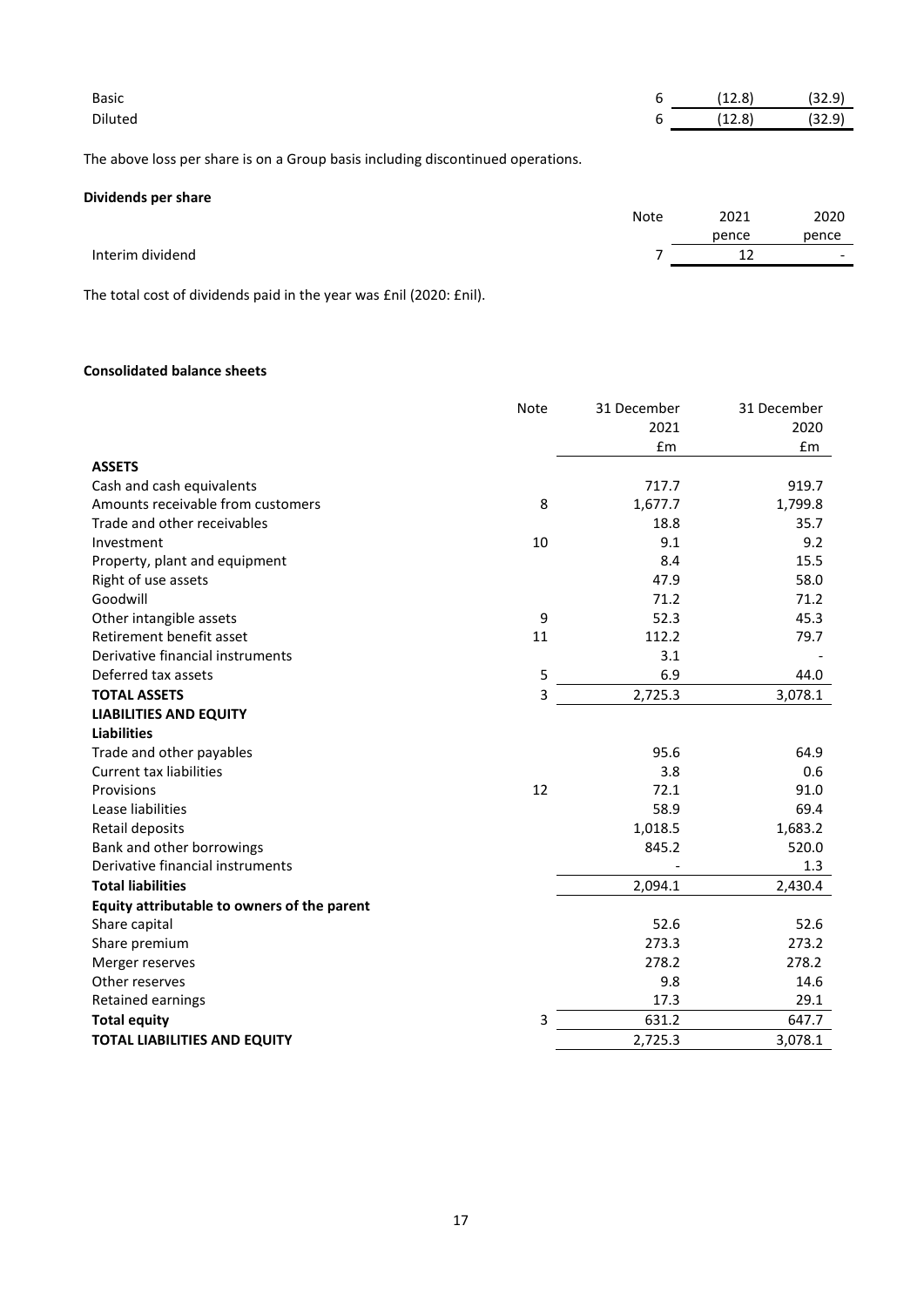| Basic                                                                           | 6           | (12.8) | (32.9) |
|---------------------------------------------------------------------------------|-------------|--------|--------|
| <b>Diluted</b>                                                                  | 6           | (12.8) | (32.9) |
| The above loss per share is on a Group basis including discontinued operations. |             |        |        |
| Dividends per share                                                             |             |        |        |
|                                                                                 | <b>Note</b> | 2021   | 2020   |
|                                                                                 |             | pence  | pence  |
| Interim dividend                                                                |             | 12     |        |

The total cost of dividends paid in the year was £nil (2020: £nil).

# **Consolidated balance sheets**

|                                             | <b>Note</b>    | 31 December | 31 December |
|---------------------------------------------|----------------|-------------|-------------|
|                                             |                | 2021        | 2020        |
|                                             |                | £m          | £m          |
| <b>ASSETS</b>                               |                |             |             |
| Cash and cash equivalents                   |                | 717.7       | 919.7       |
| Amounts receivable from customers           | 8              | 1,677.7     | 1,799.8     |
| Trade and other receivables                 |                | 18.8        | 35.7        |
| Investment                                  | 10             | 9.1         | 9.2         |
| Property, plant and equipment               |                | 8.4         | 15.5        |
| Right of use assets                         |                | 47.9        | 58.0        |
| Goodwill                                    |                | 71.2        | 71.2        |
| Other intangible assets                     | 9              | 52.3        | 45.3        |
| Retirement benefit asset                    | 11             | 112.2       | 79.7        |
| Derivative financial instruments            |                | 3.1         |             |
| Deferred tax assets                         | 5              | 6.9         | 44.0        |
| <b>TOTAL ASSETS</b>                         | $\overline{3}$ | 2,725.3     | 3,078.1     |
| <b>LIABILITIES AND EQUITY</b>               |                |             |             |
| <b>Liabilities</b>                          |                |             |             |
| Trade and other payables                    |                | 95.6        | 64.9        |
| <b>Current tax liabilities</b>              |                | 3.8         | 0.6         |
| Provisions                                  | 12             | 72.1        | 91.0        |
| Lease liabilities                           |                | 58.9        | 69.4        |
| Retail deposits                             |                | 1,018.5     | 1,683.2     |
| Bank and other borrowings                   |                | 845.2       | 520.0       |
| Derivative financial instruments            |                |             | 1.3         |
| <b>Total liabilities</b>                    |                | 2,094.1     | 2,430.4     |
| Equity attributable to owners of the parent |                |             |             |
| Share capital                               |                | 52.6        | 52.6        |
| Share premium                               |                | 273.3       | 273.2       |
| Merger reserves                             |                | 278.2       | 278.2       |
| Other reserves                              |                | 9.8         | 14.6        |
| Retained earnings                           |                | 17.3        | 29.1        |
| <b>Total equity</b>                         | 3              | 631.2       | 647.7       |
| <b>TOTAL LIABILITIES AND EQUITY</b>         |                | 2,725.3     | 3,078.1     |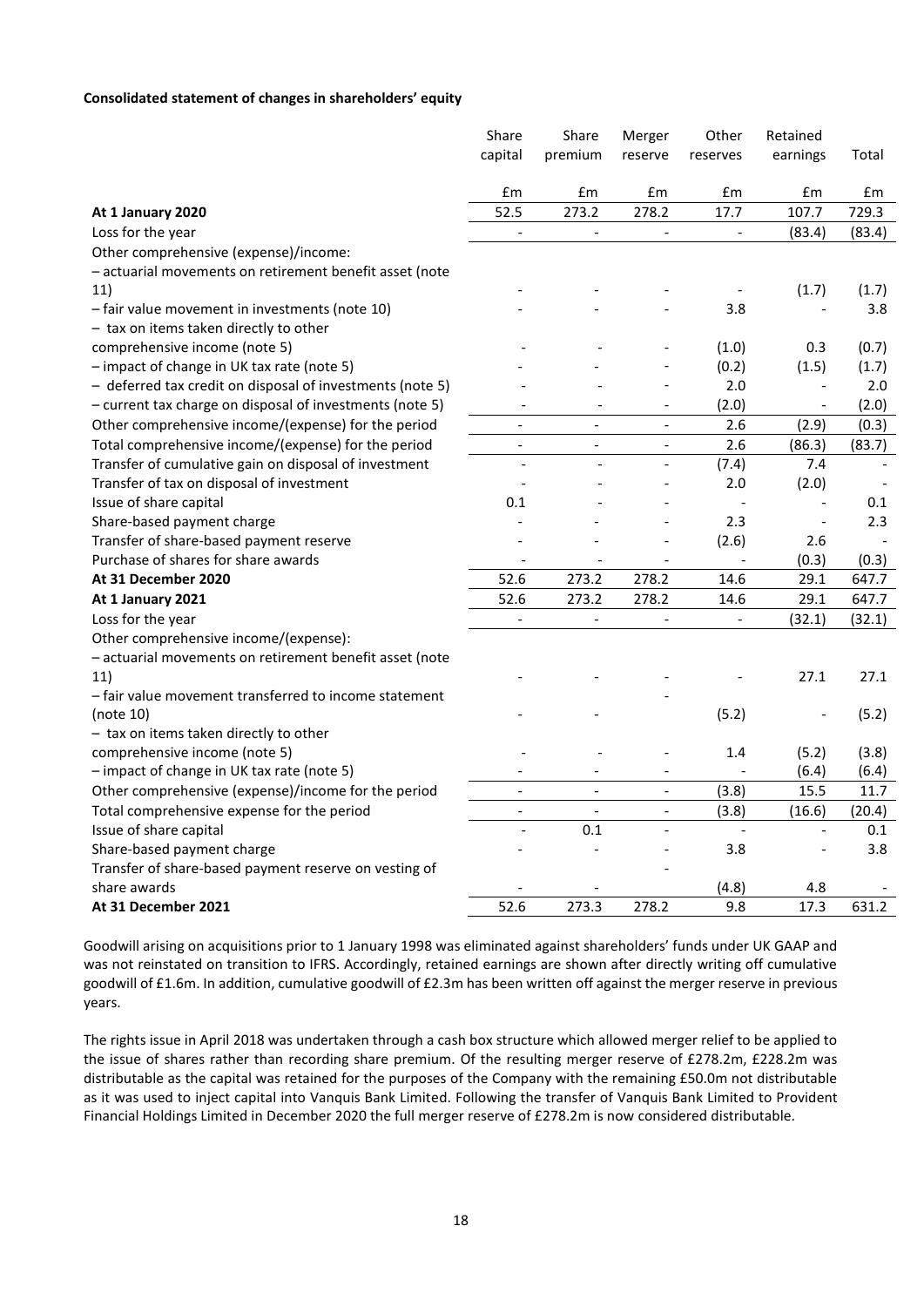#### **Consolidated statement of changes in shareholders' equity**

|                                                           | Share                    | Share                    | Merger         | Other          | Retained                 |        |
|-----------------------------------------------------------|--------------------------|--------------------------|----------------|----------------|--------------------------|--------|
|                                                           | capital                  | premium                  | reserve        | reserves       | earnings                 | Total  |
|                                                           |                          |                          |                |                |                          |        |
|                                                           | £m                       | £m                       | £m             | £m             | £m                       | £m     |
| At 1 January 2020                                         | 52.5                     | 273.2                    | 278.2          | 17.7           | 107.7                    | 729.3  |
| Loss for the year                                         | $\overline{\phantom{0}}$ | $\Box$                   |                | $\blacksquare$ | (83.4)                   | (83.4) |
| Other comprehensive (expense)/income:                     |                          |                          |                |                |                          |        |
| - actuarial movements on retirement benefit asset (note   |                          |                          |                |                |                          |        |
| 11)                                                       |                          |                          |                |                | (1.7)                    | (1.7)  |
| - fair value movement in investments (note 10)            |                          |                          |                | 3.8            |                          | 3.8    |
| - tax on items taken directly to other                    |                          |                          |                |                |                          |        |
| comprehensive income (note 5)                             |                          |                          |                | (1.0)          | 0.3                      | (0.7)  |
| - impact of change in UK tax rate (note 5)                |                          |                          |                | (0.2)          | (1.5)                    | (1.7)  |
| - deferred tax credit on disposal of investments (note 5) |                          |                          |                | 2.0            |                          | 2.0    |
| - current tax charge on disposal of investments (note 5)  |                          |                          |                | (2.0)          |                          | (2.0)  |
| Other comprehensive income/(expense) for the period       | $\overline{\phantom{a}}$ | $\overline{a}$           | $\overline{a}$ | 2.6            | (2.9)                    | (0.3)  |
| Total comprehensive income/(expense) for the period       | $\overline{\phantom{0}}$ | $\overline{\phantom{a}}$ | $\overline{a}$ | 2.6            | (86.3)                   | (83.7) |
| Transfer of cumulative gain on disposal of investment     | $\overline{a}$           | $\overline{a}$           | $\overline{a}$ | (7.4)          | 7.4                      |        |
| Transfer of tax on disposal of investment                 |                          |                          | $\overline{a}$ | 2.0            | (2.0)                    |        |
| Issue of share capital                                    | 0.1                      |                          |                |                |                          | 0.1    |
| Share-based payment charge                                |                          |                          |                | 2.3            |                          | 2.3    |
| Transfer of share-based payment reserve                   |                          |                          |                | (2.6)          | 2.6                      |        |
| Purchase of shares for share awards                       |                          |                          |                |                | (0.3)                    | (0.3)  |
| At 31 December 2020                                       | 52.6                     | 273.2                    | 278.2          | 14.6           | 29.1                     | 647.7  |
| At 1 January 2021                                         | 52.6                     | 273.2                    | 278.2          | 14.6           | 29.1                     | 647.7  |
| Loss for the year                                         | $\overline{\phantom{0}}$ | $\blacksquare$           | $\frac{1}{2}$  | $\blacksquare$ | (32.1)                   | (32.1) |
| Other comprehensive income/(expense):                     |                          |                          |                |                |                          |        |
| - actuarial movements on retirement benefit asset (note   |                          |                          |                |                |                          |        |
| 11)                                                       |                          |                          |                |                | 27.1                     | 27.1   |
| - fair value movement transferred to income statement     |                          |                          |                |                |                          |        |
| (note 10)                                                 |                          |                          |                | (5.2)          |                          | (5.2)  |
| - tax on items taken directly to other                    |                          |                          |                |                |                          |        |
| comprehensive income (note 5)                             |                          |                          |                | 1.4            | (5.2)                    | (3.8)  |
| - impact of change in UK tax rate (note 5)                |                          |                          | L.             |                | (6.4)                    | (6.4)  |
| Other comprehensive (expense)/income for the period       |                          |                          |                | (3.8)          | 15.5                     | 11.7   |
| Total comprehensive expense for the period                | $\overline{a}$           | $\overline{\phantom{0}}$ | $\overline{a}$ | (3.8)          | (16.6)                   | (20.4) |
| Issue of share capital                                    |                          | 0.1                      | $\overline{a}$ |                | $\overline{\phantom{a}}$ | 0.1    |
| Share-based payment charge                                |                          |                          |                | 3.8            |                          | 3.8    |
| Transfer of share-based payment reserve on vesting of     |                          |                          |                |                |                          |        |
| share awards                                              |                          |                          |                | (4.8)          | 4.8                      |        |
| At 31 December 2021                                       | 52.6                     | 273.3                    | 278.2          | 9.8            | 17.3                     | 631.2  |

Goodwill arising on acquisitions prior to 1 January 1998 was eliminated against shareholders' funds under UK GAAP and was not reinstated on transition to IFRS. Accordingly, retained earnings are shown after directly writing off cumulative goodwill of £1.6m. In addition, cumulative goodwill of £2.3m has been written off against the merger reserve in previous years.

The rights issue in April 2018 was undertaken through a cash box structure which allowed merger relief to be applied to the issue of shares rather than recording share premium. Of the resulting merger reserve of £278.2m, £228.2m was distributable as the capital was retained for the purposes of the Company with the remaining £50.0m not distributable as it was used to inject capital into Vanquis Bank Limited. Following the transfer of Vanquis Bank Limited to Provident Financial Holdings Limited in December 2020 the full merger reserve of £278.2m is now considered distributable.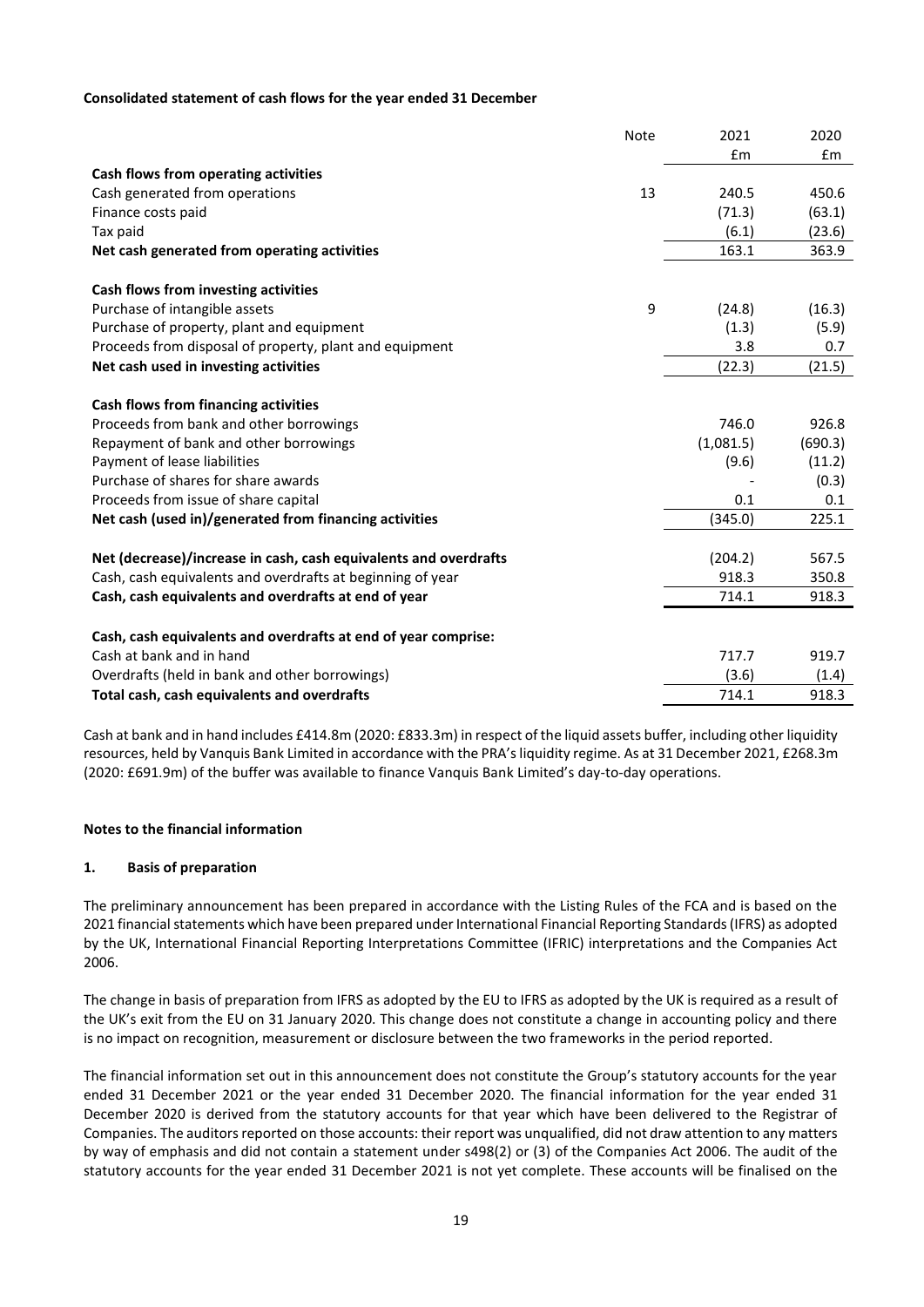### **Consolidated statement of cash flows for the year ended 31 December**

|                                                                  | <b>Note</b> | 2021      | 2020    |
|------------------------------------------------------------------|-------------|-----------|---------|
|                                                                  |             | £m        | Em      |
| Cash flows from operating activities                             |             |           |         |
| Cash generated from operations                                   | 13          | 240.5     | 450.6   |
| Finance costs paid                                               |             | (71.3)    | (63.1)  |
| Tax paid                                                         |             | (6.1)     | (23.6)  |
| Net cash generated from operating activities                     |             | 163.1     | 363.9   |
| Cash flows from investing activities                             |             |           |         |
| Purchase of intangible assets                                    | 9           | (24.8)    | (16.3)  |
| Purchase of property, plant and equipment                        |             | (1.3)     | (5.9)   |
| Proceeds from disposal of property, plant and equipment          |             | 3.8       | 0.7     |
| Net cash used in investing activities                            |             | (22.3)    | (21.5)  |
| Cash flows from financing activities                             |             |           |         |
| Proceeds from bank and other borrowings                          |             | 746.0     | 926.8   |
| Repayment of bank and other borrowings                           |             | (1,081.5) | (690.3) |
| Payment of lease liabilities                                     |             | (9.6)     | (11.2)  |
| Purchase of shares for share awards                              |             |           | (0.3)   |
| Proceeds from issue of share capital                             |             | 0.1       | 0.1     |
| Net cash (used in)/generated from financing activities           |             | (345.0)   | 225.1   |
| Net (decrease)/increase in cash, cash equivalents and overdrafts |             | (204.2)   | 567.5   |
| Cash, cash equivalents and overdrafts at beginning of year       |             | 918.3     | 350.8   |
| Cash, cash equivalents and overdrafts at end of year             |             | 714.1     | 918.3   |
|                                                                  |             |           |         |
| Cash, cash equivalents and overdrafts at end of year comprise:   |             |           |         |
| Cash at bank and in hand                                         |             | 717.7     | 919.7   |
| Overdrafts (held in bank and other borrowings)                   |             | (3.6)     | (1.4)   |
| Total cash, cash equivalents and overdrafts                      |             | 714.1     | 918.3   |

Cash at bank and in hand includes £414.8m (2020: £833.3m) in respect of the liquid assets buffer, including other liquidity resources, held by Vanquis Bank Limited in accordance with the PRA's liquidity regime. As at 31 December 2021, £268.3m (2020: £691.9m) of the buffer was available to finance Vanquis Bank Limited's day-to-day operations.

# **Notes to the financial information**

## **1. Basis of preparation**

The preliminary announcement has been prepared in accordance with the Listing Rules of the FCA and is based on the 2021 financial statements which have been prepared under International Financial Reporting Standards (IFRS) as adopted by the UK, International Financial Reporting Interpretations Committee (IFRIC) interpretations and the Companies Act 2006.

The change in basis of preparation from IFRS as adopted by the EU to IFRS as adopted by the UK is required as a result of the UK's exit from the EU on 31 January 2020. This change does not constitute a change in accounting policy and there is no impact on recognition, measurement or disclosure between the two frameworks in the period reported.

The financial information set out in this announcement does not constitute the Group's statutory accounts for the year ended 31 December 2021 or the year ended 31 December 2020. The financial information for the year ended 31 December 2020 is derived from the statutory accounts for that year which have been delivered to the Registrar of Companies. The auditors reported on those accounts: their report was unqualified, did not draw attention to any matters by way of emphasis and did not contain a statement under s498(2) or (3) of the Companies Act 2006. The audit of the statutory accounts for the year ended 31 December 2021 is not yet complete. These accounts will be finalised on the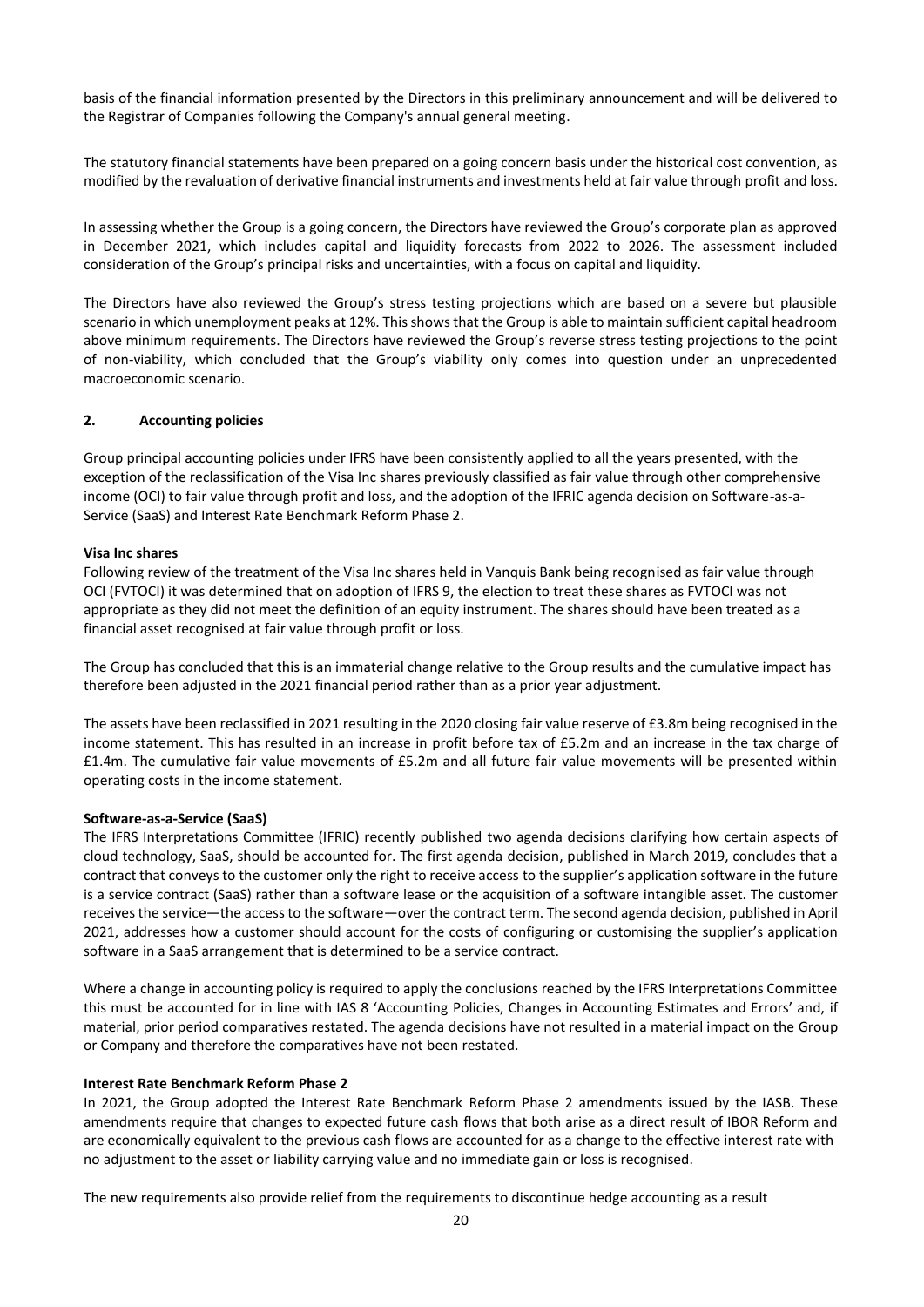basis of the financial information presented by the Directors in this preliminary announcement and will be delivered to the Registrar of Companies following the Company's annual general meeting.

The statutory financial statements have been prepared on a going concern basis under the historical cost convention, as modified by the revaluation of derivative financial instruments and investments held at fair value through profit and loss.

In assessing whether the Group is a going concern, the Directors have reviewed the Group's corporate plan as approved in December 2021, which includes capital and liquidity forecasts from 2022 to 2026. The assessment included consideration of the Group's principal risks and uncertainties, with a focus on capital and liquidity.

The Directors have also reviewed the Group's stress testing projections which are based on a severe but plausible scenario in which unemployment peaks at 12%. This shows that the Group is able to maintain sufficient capital headroom above minimum requirements. The Directors have reviewed the Group's reverse stress testing projections to the point of non-viability, which concluded that the Group's viability only comes into question under an unprecedented macroeconomic scenario.

### **2. Accounting policies**

Group principal accounting policies under IFRS have been consistently applied to all the years presented, with the exception of the reclassification of the Visa Inc shares previously classified as fair value through other comprehensive income (OCI) to fair value through profit and loss, and the adoption of the IFRIC agenda decision on Software-as-a-Service (SaaS) and Interest Rate Benchmark Reform Phase 2.

### **Visa Inc shares**

Following review of the treatment of the Visa Inc shares held in Vanquis Bank being recognised as fair value through OCI (FVTOCI) it was determined that on adoption of IFRS 9, the election to treat these shares as FVTOCI was not appropriate as they did not meet the definition of an equity instrument. The shares should have been treated as a financial asset recognised at fair value through profit or loss.

The Group has concluded that this is an immaterial change relative to the Group results and the cumulative impact has therefore been adjusted in the 2021 financial period rather than as a prior year adjustment.

The assets have been reclassified in 2021 resulting in the 2020 closing fair value reserve of £3.8m being recognised in the income statement. This has resulted in an increase in profit before tax of £5.2m and an increase in the tax charge of £1.4m. The cumulative fair value movements of £5.2m and all future fair value movements will be presented within operating costs in the income statement.

#### **Software-as-a-Service (SaaS)**

The IFRS Interpretations Committee (IFRIC) recently published two agenda decisions clarifying how certain aspects of cloud technology, SaaS, should be accounted for. The first agenda decision, published in March 2019, concludes that a contract that conveys to the customer only the right to receive access to the supplier's application software in the future is a service contract (SaaS) rather than a software lease or the acquisition of a software intangible asset. The customer receives the service—the access to the software—over the contract term. The second agenda decision, published in April 2021, addresses how a customer should account for the costs of configuring or customising the supplier's application software in a SaaS arrangement that is determined to be a service contract.

Where a change in accounting policy is required to apply the conclusions reached by the IFRS Interpretations Committee this must be accounted for in line with IAS 8 'Accounting Policies, Changes in Accounting Estimates and Errors' and, if material, prior period comparatives restated. The agenda decisions have not resulted in a material impact on the Group or Company and therefore the comparatives have not been restated.

#### **Interest Rate Benchmark Reform Phase 2**

In 2021, the Group adopted the Interest Rate Benchmark Reform Phase 2 amendments issued by the IASB. These amendments require that changes to expected future cash flows that both arise as a direct result of IBOR Reform and are economically equivalent to the previous cash flows are accounted for as a change to the effective interest rate with no adjustment to the asset or liability carrying value and no immediate gain or loss is recognised.

The new requirements also provide relief from the requirements to discontinue hedge accounting as a result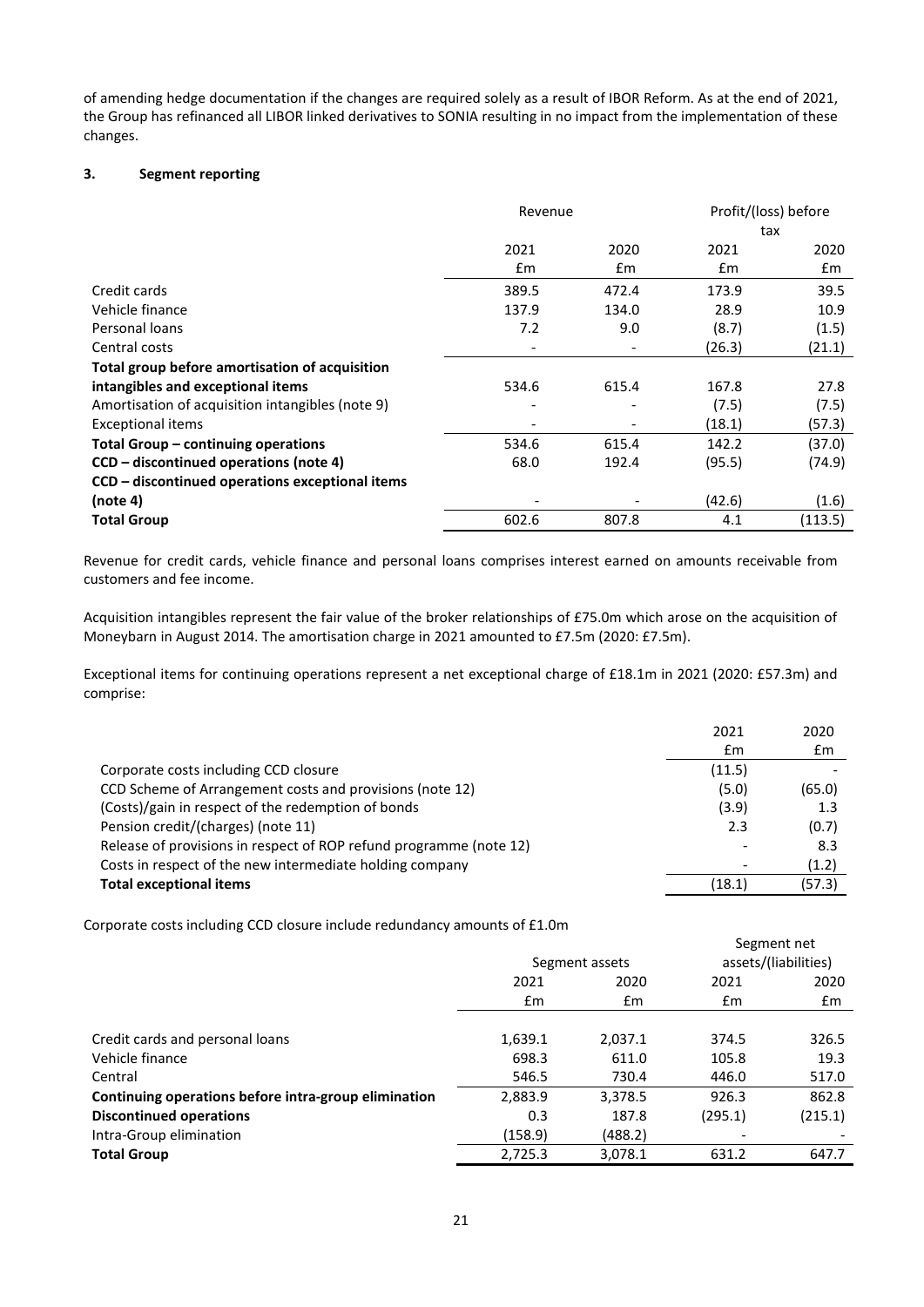of amending hedge documentation if the changes are required solely as a result of IBOR Reform. As at the end of 2021, the Group has refinanced all LIBOR linked derivatives to SONIA resulting in no impact from the implementation of these changes.

# **3. Segment reporting**

|                                                  | Revenue                      |       | Profit/(loss) before |         |  |
|--------------------------------------------------|------------------------------|-------|----------------------|---------|--|
|                                                  |                              |       | tax                  |         |  |
|                                                  | 2021                         | 2020  | 2021                 | 2020    |  |
|                                                  | £m                           | £m    | £m                   | £m      |  |
| Credit cards                                     | 389.5                        | 472.4 | 173.9                | 39.5    |  |
| Vehicle finance                                  | 137.9                        | 134.0 | 28.9                 | 10.9    |  |
| Personal loans                                   | 7.2                          | 9.0   | (8.7)                | (1.5)   |  |
| Central costs                                    |                              |       | (26.3)               | (21.1)  |  |
| Total group before amortisation of acquisition   |                              |       |                      |         |  |
| intangibles and exceptional items                | 534.6                        | 615.4 | 167.8                | 27.8    |  |
| Amortisation of acquisition intangibles (note 9) | $\qquad \qquad \blacksquare$ |       | (7.5)                | (7.5)   |  |
| <b>Exceptional items</b>                         |                              |       | (18.1)               | (57.3)  |  |
| Total Group – continuing operations              | 534.6                        | 615.4 | 142.2                | (37.0)  |  |
| CCD – discontinued operations (note 4)           | 68.0                         | 192.4 | (95.5)               | (74.9)  |  |
| CCD – discontinued operations exceptional items  |                              |       |                      |         |  |
| (note 4)                                         |                              |       | (42.6)               | (1.6)   |  |
| <b>Total Group</b>                               | 602.6                        | 807.8 | 4.1                  | (113.5) |  |

Revenue for credit cards, vehicle finance and personal loans comprises interest earned on amounts receivable from customers and fee income.

Acquisition intangibles represent the fair value of the broker relationships of £75.0m which arose on the acquisition of Moneybarn in August 2014. The amortisation charge in 2021 amounted to £7.5m (2020: £7.5m).

Exceptional items for continuing operations represent a net exceptional charge of £18.1m in 2021 (2020: £57.3m) and comprise:

|                                                                    | 2021   | 2020           |
|--------------------------------------------------------------------|--------|----------------|
|                                                                    | £m     | $\mathbf{f}$ m |
| Corporate costs including CCD closure                              | (11.5) |                |
| CCD Scheme of Arrangement costs and provisions (note 12)           | (5.0)  | (65.0)         |
| (Costs)/gain in respect of the redemption of bonds                 | (3.9)  | $1.3\,$        |
| Pension credit/(charges) (note 11)                                 | 2.3    | (0.7)          |
| Release of provisions in respect of ROP refund programme (note 12) |        | 8.3            |
| Costs in respect of the new intermediate holding company           |        | (1.2)          |
| <b>Total exceptional items</b>                                     | (18.1) | (57.3)         |

Corporate costs including CCD closure include redundancy amounts of £1.0m

|                                                      |         |                | Segment net          |         |  |
|------------------------------------------------------|---------|----------------|----------------------|---------|--|
|                                                      |         | Segment assets | assets/(liabilities) |         |  |
|                                                      | 2021    | 2020           |                      | 2020    |  |
|                                                      | £m      | £m             | $\mathsf{fm}$        | £m      |  |
|                                                      |         |                |                      |         |  |
| Credit cards and personal loans                      | 1,639.1 | 2,037.1        | 374.5                | 326.5   |  |
| Vehicle finance                                      | 698.3   | 611.0          | 105.8                | 19.3    |  |
| Central                                              | 546.5   | 730.4          | 446.0                | 517.0   |  |
| Continuing operations before intra-group elimination | 2,883.9 | 3,378.5        | 926.3                | 862.8   |  |
| <b>Discontinued operations</b>                       | 0.3     | 187.8          | (295.1)              | (215.1) |  |
| Intra-Group elimination                              | (158.9) | (488.2)        |                      |         |  |
| <b>Total Group</b>                                   | 2.725.3 | 3.078.1        | 631.2                | 647.7   |  |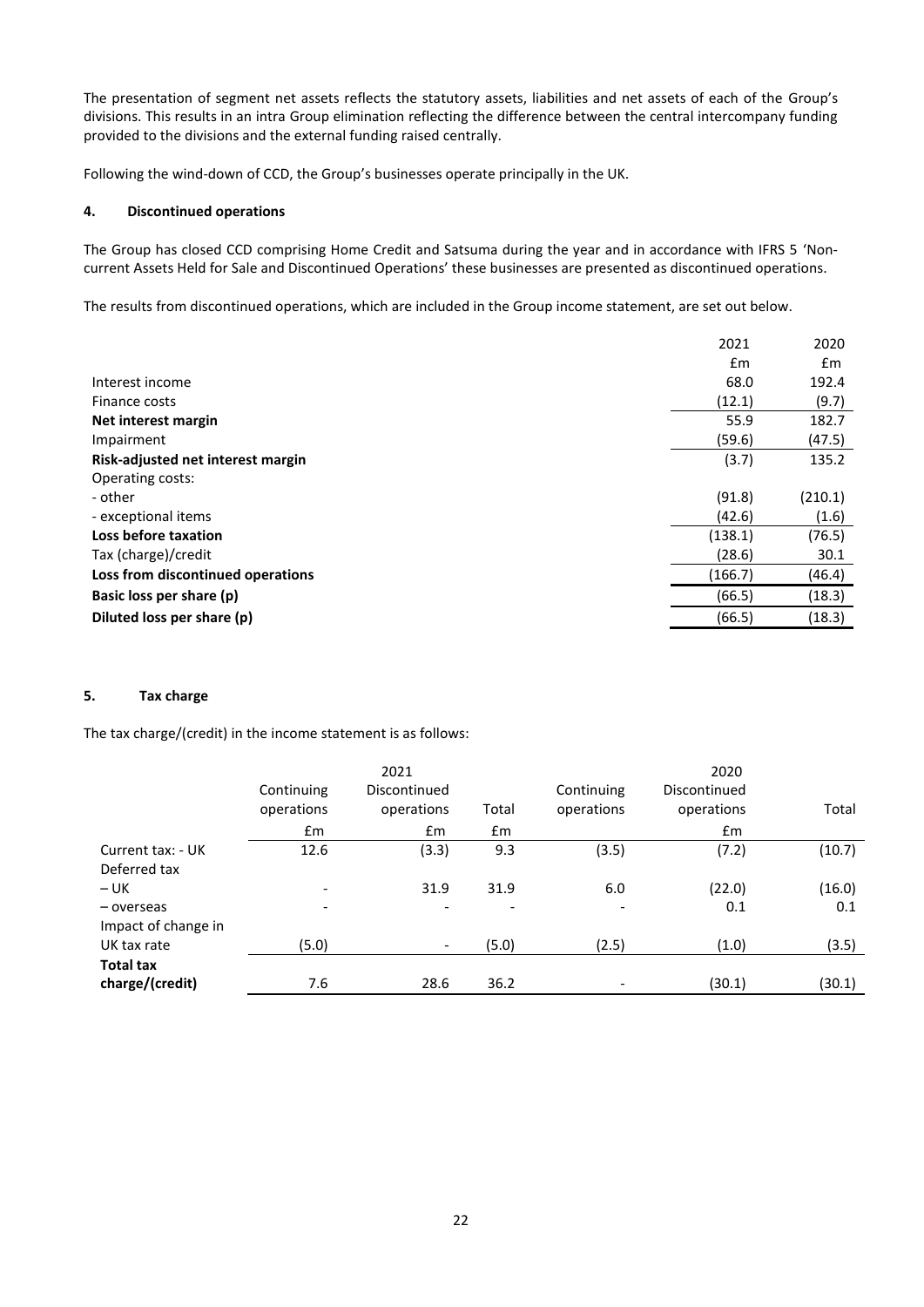The presentation of segment net assets reflects the statutory assets, liabilities and net assets of each of the Group's divisions. This results in an intra Group elimination reflecting the difference between the central intercompany funding provided to the divisions and the external funding raised centrally.

Following the wind-down of CCD, the Group's businesses operate principally in the UK.

# **4. Discontinued operations**

The Group has closed CCD comprising Home Credit and Satsuma during the year and in accordance with IFRS 5 'Noncurrent Assets Held for Sale and Discontinued Operations' these businesses are presented as discontinued operations.

The results from discontinued operations, which are included in the Group income statement, are set out below.

|                                   | 2021          | 2020          |
|-----------------------------------|---------------|---------------|
|                                   | $\mathsf{fm}$ | $\mathsf{fm}$ |
| Interest income                   | 68.0          | 192.4         |
| Finance costs                     | (12.1)        | (9.7)         |
| Net interest margin               | 55.9          | 182.7         |
| Impairment                        | (59.6)        | (47.5)        |
| Risk-adjusted net interest margin | (3.7)         | 135.2         |
| Operating costs:                  |               |               |
| - other                           | (91.8)        | (210.1)       |
| - exceptional items               | (42.6)        | (1.6)         |
| Loss before taxation              | (138.1)       | (76.5)        |
| Tax (charge)/credit               | (28.6)        | 30.1          |
| Loss from discontinued operations | (166.7)       | (46.4)        |
| Basic loss per share (p)          | (66.5)        | (18.3)        |
| Diluted loss per share (p)        | (66.5)        | (18.3)        |
|                                   |               |               |

## **5. Tax charge**

The tax charge/(credit) in the income statement is as follows:

|                                     | Continuing               | 2021<br>Discontinued     |                          | Continuing               | 2020<br>Discontinued |        |
|-------------------------------------|--------------------------|--------------------------|--------------------------|--------------------------|----------------------|--------|
|                                     | operations               | operations               | Total                    | operations               | operations           | Total  |
|                                     | £m                       | Em                       | $\mathsf{fm}$            |                          | $\mathsf{fm}$        |        |
| Current tax: - UK<br>Deferred tax   | 12.6                     | (3.3)                    | 9.3                      | (3.5)                    | (7.2)                | (10.7) |
| $- UK$                              | $\overline{\phantom{a}}$ | 31.9                     | 31.9                     | 6.0                      | (22.0)               | (16.0) |
| - overseas<br>Impact of change in   | $\overline{\phantom{a}}$ |                          | $\overline{\phantom{a}}$ | $\overline{\phantom{a}}$ | 0.1                  | 0.1    |
| UK tax rate                         | (5.0)                    | $\overline{\phantom{a}}$ | (5.0)                    | (2.5)                    | (1.0)                | (3.5)  |
| <b>Total tax</b><br>charge/(credit) | 7.6                      | 28.6                     | 36.2                     |                          | (30.1)               | (30.1) |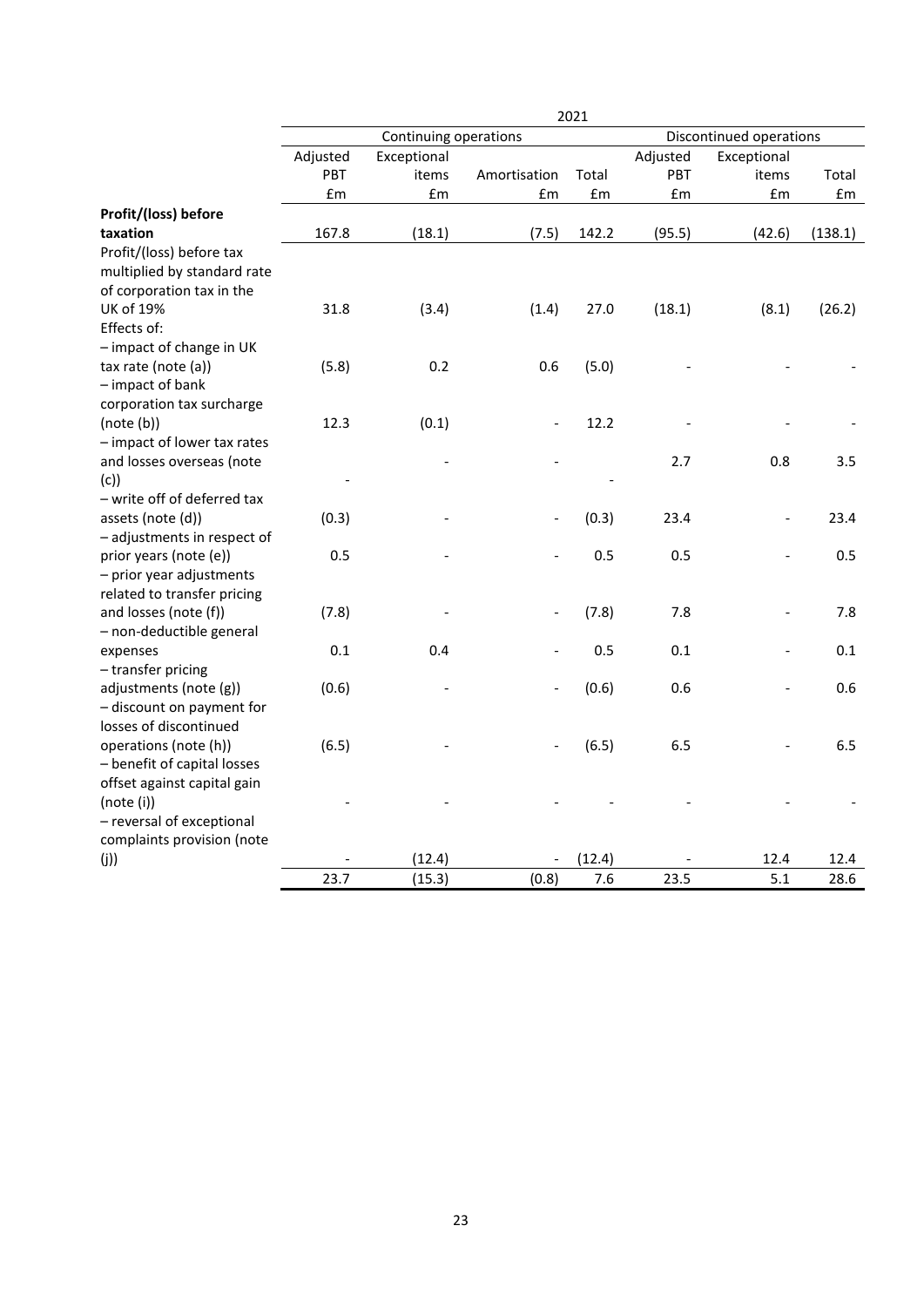|                             | 2021     |                       |                   |        |          |                          |         |  |
|-----------------------------|----------|-----------------------|-------------------|--------|----------|--------------------------|---------|--|
|                             |          | Continuing operations |                   |        |          | Discontinued operations  |         |  |
|                             | Adjusted | Exceptional           |                   |        | Adjusted | Exceptional              |         |  |
|                             | PBT      | items                 | Amortisation      | Total  | PBT      | items                    | Total   |  |
|                             | £m       | £m                    | £m                | £m     | £m       | £m                       | £m      |  |
| Profit/(loss) before        |          |                       |                   |        |          |                          |         |  |
| taxation                    | 167.8    | (18.1)                | (7.5)             | 142.2  | (95.5)   | (42.6)                   | (138.1) |  |
| Profit/(loss) before tax    |          |                       |                   |        |          |                          |         |  |
| multiplied by standard rate |          |                       |                   |        |          |                          |         |  |
| of corporation tax in the   |          |                       |                   |        |          |                          |         |  |
| <b>UK of 19%</b>            | 31.8     | (3.4)                 | (1.4)             | 27.0   | (18.1)   | (8.1)                    | (26.2)  |  |
| Effects of:                 |          |                       |                   |        |          |                          |         |  |
| - impact of change in UK    |          |                       |                   |        |          |                          |         |  |
| tax rate (note (a))         | (5.8)    | 0.2                   | 0.6               | (5.0)  |          |                          |         |  |
| - impact of bank            |          |                       |                   |        |          |                          |         |  |
| corporation tax surcharge   |          |                       |                   |        |          |                          |         |  |
| (note(b))                   | 12.3     | (0.1)                 | $\qquad \qquad -$ | 12.2   |          |                          |         |  |
| - impact of lower tax rates |          |                       |                   |        |          |                          |         |  |
| and losses overseas (note   |          |                       |                   |        | 2.7      | 0.8                      | 3.5     |  |
| (c)                         |          |                       |                   |        |          |                          |         |  |
| - write off of deferred tax |          |                       |                   |        |          |                          |         |  |
| assets (note (d))           | (0.3)    |                       |                   | (0.3)  | 23.4     | $\overline{\phantom{0}}$ | 23.4    |  |
| - adjustments in respect of |          |                       |                   |        |          |                          |         |  |
| prior years (note (e))      | 0.5      |                       |                   | 0.5    | 0.5      |                          | 0.5     |  |
| - prior year adjustments    |          |                       |                   |        |          |                          |         |  |
| related to transfer pricing |          |                       |                   |        |          |                          |         |  |
| and losses (note (f))       | (7.8)    |                       |                   | (7.8)  | 7.8      | $\overline{\phantom{0}}$ | 7.8     |  |
| - non-deductible general    |          |                       |                   |        |          |                          |         |  |
| expenses                    | 0.1      | 0.4                   |                   | 0.5    | 0.1      | $\overline{a}$           | 0.1     |  |
| - transfer pricing          |          |                       |                   |        |          |                          |         |  |
| adjustments (note (g))      | (0.6)    |                       |                   | (0.6)  | 0.6      |                          | 0.6     |  |
| - discount on payment for   |          |                       |                   |        |          |                          |         |  |
| losses of discontinued      |          |                       |                   |        |          |                          |         |  |
| operations (note (h))       | (6.5)    |                       |                   | (6.5)  | 6.5      |                          | 6.5     |  |
| - benefit of capital losses |          |                       |                   |        |          |                          |         |  |
| offset against capital gain |          |                       |                   |        |          |                          |         |  |
| (note (i))                  |          |                       |                   |        |          |                          |         |  |
| - reversal of exceptional   |          |                       |                   |        |          |                          |         |  |
| complaints provision (note  |          |                       |                   |        |          |                          |         |  |
| (j)                         |          | (12.4)                |                   | (12.4) |          | 12.4                     | 12.4    |  |
|                             | 23.7     | (15.3)                | (0.8)             | 7.6    | 23.5     | 5.1                      | 28.6    |  |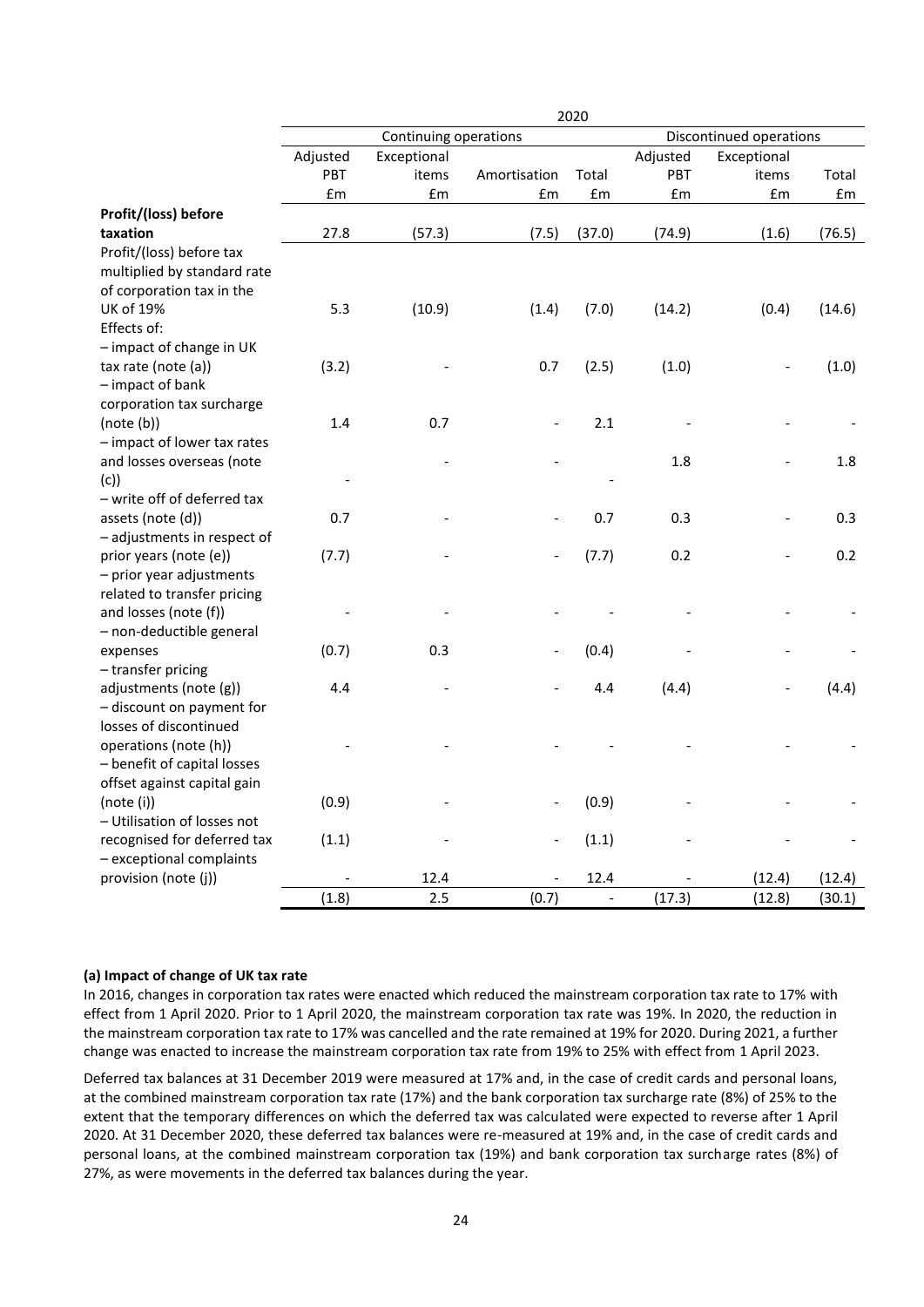|                             | 2020     |                       |                              |                          |          |                         |        |  |
|-----------------------------|----------|-----------------------|------------------------------|--------------------------|----------|-------------------------|--------|--|
|                             |          | Continuing operations |                              |                          |          | Discontinued operations |        |  |
|                             | Adjusted | Exceptional           |                              |                          | Adjusted | Exceptional             |        |  |
|                             | PBT      | items                 | Amortisation                 | Total                    | PBT      | items                   | Total  |  |
|                             | £m       | £m                    | £m                           | £m                       | £m       | £m                      | £m     |  |
| Profit/(loss) before        |          |                       |                              |                          |          |                         |        |  |
| taxation                    | 27.8     | (57.3)                | (7.5)                        | (37.0)                   | (74.9)   | (1.6)                   | (76.5) |  |
| Profit/(loss) before tax    |          |                       |                              |                          |          |                         |        |  |
| multiplied by standard rate |          |                       |                              |                          |          |                         |        |  |
| of corporation tax in the   |          |                       |                              |                          |          |                         |        |  |
| <b>UK of 19%</b>            | 5.3      | (10.9)                | (1.4)                        | (7.0)                    | (14.2)   | (0.4)                   | (14.6) |  |
| Effects of:                 |          |                       |                              |                          |          |                         |        |  |
| - impact of change in UK    |          |                       |                              |                          |          |                         |        |  |
| tax rate (note (a))         | (3.2)    |                       | 0.7                          | (2.5)                    | (1.0)    |                         | (1.0)  |  |
| - impact of bank            |          |                       |                              |                          |          |                         |        |  |
| corporation tax surcharge   |          |                       |                              |                          |          |                         |        |  |
| (note(b))                   | 1.4      | 0.7                   |                              | 2.1                      |          |                         |        |  |
| - impact of lower tax rates |          |                       |                              |                          |          |                         |        |  |
| and losses overseas (note   |          |                       |                              |                          | 1.8      |                         | 1.8    |  |
| (c)                         |          |                       |                              |                          |          |                         |        |  |
| - write off of deferred tax |          |                       |                              |                          |          |                         |        |  |
| assets (note (d))           | 0.7      |                       |                              | 0.7                      | 0.3      |                         | 0.3    |  |
| - adjustments in respect of |          |                       |                              |                          |          |                         |        |  |
| prior years (note (e))      | (7.7)    |                       |                              | (7.7)                    | 0.2      |                         | 0.2    |  |
| - prior year adjustments    |          |                       |                              |                          |          |                         |        |  |
| related to transfer pricing |          |                       |                              |                          |          |                         |        |  |
| and losses (note (f))       |          |                       |                              |                          |          |                         |        |  |
| - non-deductible general    |          |                       |                              |                          |          |                         |        |  |
| expenses                    | (0.7)    | 0.3                   |                              | (0.4)                    |          |                         |        |  |
| - transfer pricing          |          |                       |                              |                          |          |                         |        |  |
| adjustments (note (g))      | 4.4      |                       |                              | 4.4                      | (4.4)    |                         | (4.4)  |  |
| - discount on payment for   |          |                       |                              |                          |          |                         |        |  |
| losses of discontinued      |          |                       |                              |                          |          |                         |        |  |
| operations (note (h))       |          |                       |                              |                          |          |                         |        |  |
| - benefit of capital losses |          |                       |                              |                          |          |                         |        |  |
| offset against capital gain |          |                       |                              |                          |          |                         |        |  |
| (note(i))                   | (0.9)    |                       |                              | (0.9)                    |          |                         |        |  |
| - Utilisation of losses not |          |                       |                              |                          |          |                         |        |  |
| recognised for deferred tax | (1.1)    |                       | $\qquad \qquad \blacksquare$ | (1.1)                    |          |                         |        |  |
| - exceptional complaints    |          |                       |                              |                          |          |                         |        |  |
| provision (note (j))        |          | 12.4                  |                              | 12.4                     |          | (12.4)                  | (12.4) |  |
|                             | (1.8)    | 2.5                   | (0.7)                        | $\overline{\phantom{a}}$ | (17.3)   | (12.8)                  | (30.1) |  |

### **(a) Impact of change of UK tax rate**

In 2016, changes in corporation tax rates were enacted which reduced the mainstream corporation tax rate to 17% with effect from 1 April 2020. Prior to 1 April 2020, the mainstream corporation tax rate was 19%. In 2020, the reduction in the mainstream corporation tax rate to 17% was cancelled and the rate remained at 19% for 2020. During 2021, a further change was enacted to increase the mainstream corporation tax rate from 19% to 25% with effect from 1 April 2023.

Deferred tax balances at 31 December 2019 were measured at 17% and, in the case of credit cards and personal loans, at the combined mainstream corporation tax rate (17%) and the bank corporation tax surcharge rate (8%) of 25% to the extent that the temporary differences on which the deferred tax was calculated were expected to reverse after 1 April 2020. At 31 December 2020, these deferred tax balances were re-measured at 19% and, in the case of credit cards and personal loans, at the combined mainstream corporation tax (19%) and bank corporation tax surcharge rates (8%) of 27%, as were movements in the deferred tax balances during the year.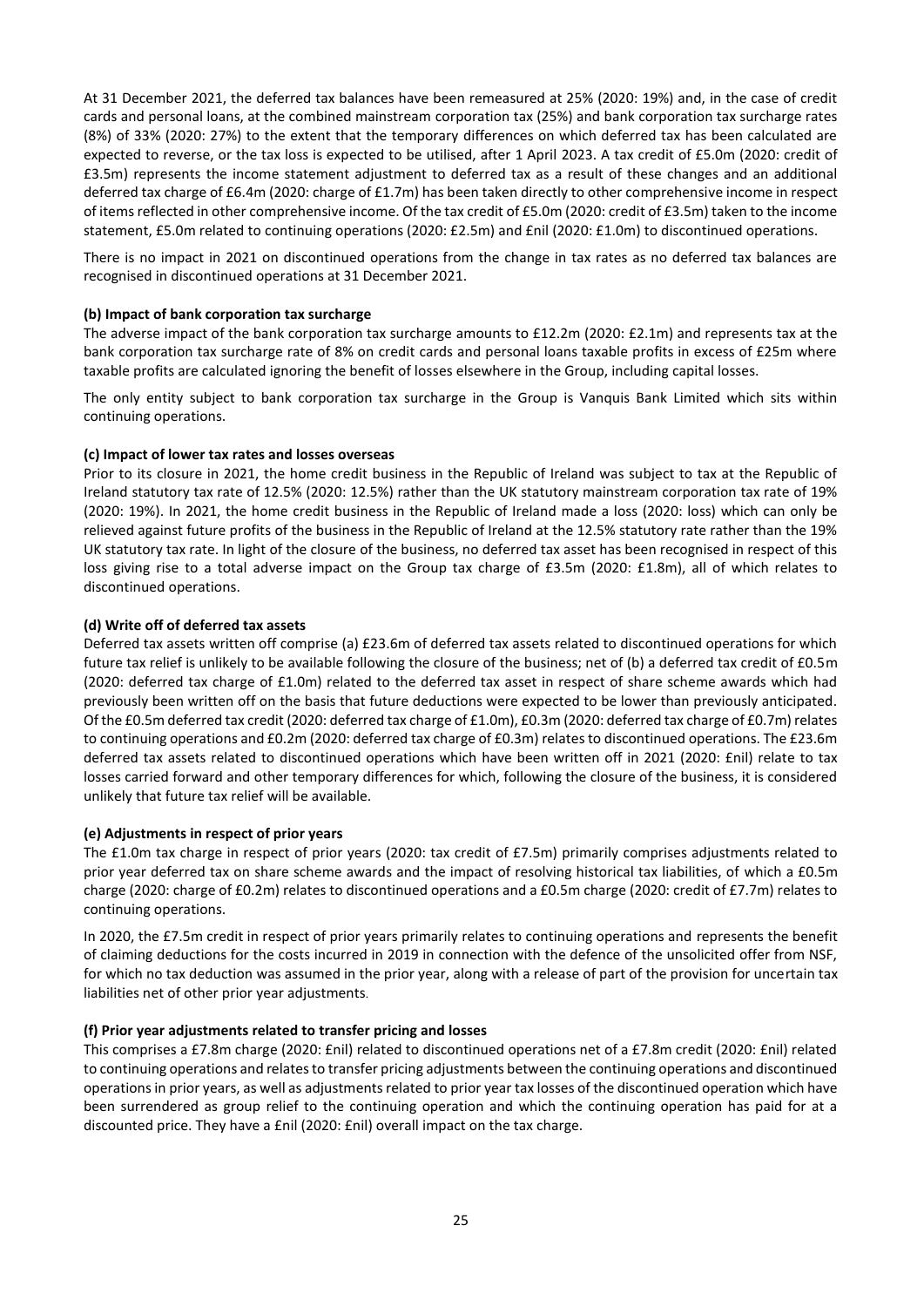At 31 December 2021, the deferred tax balances have been remeasured at 25% (2020: 19%) and, in the case of credit cards and personal loans, at the combined mainstream corporation tax (25%) and bank corporation tax surcharge rates (8%) of 33% (2020: 27%) to the extent that the temporary differences on which deferred tax has been calculated are expected to reverse, or the tax loss is expected to be utilised, after 1 April 2023. A tax credit of £5.0m (2020: credit of £3.5m) represents the income statement adjustment to deferred tax as a result of these changes and an additional deferred tax charge of £6.4m (2020: charge of £1.7m) has been taken directly to other comprehensive income in respect of items reflected in other comprehensive income. Of the tax credit of £5.0m (2020: credit of £3.5m) taken to the income statement, £5.0m related to continuing operations (2020: £2.5m) and £nil (2020: £1.0m) to discontinued operations.

There is no impact in 2021 on discontinued operations from the change in tax rates as no deferred tax balances are recognised in discontinued operations at 31 December 2021.

## **(b) Impact of bank corporation tax surcharge**

The adverse impact of the bank corporation tax surcharge amounts to £12.2m (2020: £2.1m) and represents tax at the bank corporation tax surcharge rate of 8% on credit cards and personal loans taxable profits in excess of £25m where taxable profits are calculated ignoring the benefit of losses elsewhere in the Group, including capital losses.

The only entity subject to bank corporation tax surcharge in the Group is Vanquis Bank Limited which sits within continuing operations.

#### **(c) Impact of lower tax rates and losses overseas**

Prior to its closure in 2021, the home credit business in the Republic of Ireland was subject to tax at the Republic of Ireland statutory tax rate of 12.5% (2020: 12.5%) rather than the UK statutory mainstream corporation tax rate of 19% (2020: 19%). In 2021, the home credit business in the Republic of Ireland made a loss (2020: loss) which can only be relieved against future profits of the business in the Republic of Ireland at the 12.5% statutory rate rather than the 19% UK statutory tax rate. In light of the closure of the business, no deferred tax asset has been recognised in respect of this loss giving rise to a total adverse impact on the Group tax charge of £3.5m (2020: £1.8m), all of which relates to discontinued operations.

### **(d) Write off of deferred tax assets**

Deferred tax assets written off comprise (a) £23.6m of deferred tax assets related to discontinued operations for which future tax relief is unlikely to be available following the closure of the business; net of (b) a deferred tax credit of £0.5m (2020: deferred tax charge of £1.0m) related to the deferred tax asset in respect of share scheme awards which had previously been written off on the basis that future deductions were expected to be lower than previously anticipated. Of the £0.5m deferred tax credit (2020: deferred tax charge of £1.0m), £0.3m (2020: deferred tax charge of £0.7m) relates to continuing operations and £0.2m (2020: deferred tax charge of £0.3m) relates to discontinued operations. The £23.6m deferred tax assets related to discontinued operations which have been written off in 2021 (2020: £nil) relate to tax losses carried forward and other temporary differences for which, following the closure of the business, it is considered unlikely that future tax relief will be available.

#### **(e) Adjustments in respect of prior years**

The £1.0m tax charge in respect of prior years (2020: tax credit of £7.5m) primarily comprises adjustments related to prior year deferred tax on share scheme awards and the impact of resolving historical tax liabilities, of which a £0.5m charge (2020: charge of £0.2m) relates to discontinued operations and a £0.5m charge (2020: credit of £7.7m) relates to continuing operations.

In 2020, the £7.5m credit in respect of prior years primarily relates to continuing operations and represents the benefit of claiming deductions for the costs incurred in 2019 in connection with the defence of the unsolicited offer from NSF, for which no tax deduction was assumed in the prior year, along with a release of part of the provision for uncertain tax liabilities net of other prior year adjustments.

#### **(f) Prior year adjustments related to transfer pricing and losses**

This comprises a £7.8m charge (2020: £nil) related to discontinued operations net of a £7.8m credit (2020: £nil) related to continuing operations and relates to transfer pricing adjustments between the continuing operations and discontinued operations in prior years, as well as adjustments related to prior year tax losses of the discontinued operation which have been surrendered as group relief to the continuing operation and which the continuing operation has paid for at a discounted price. They have a £nil (2020: £nil) overall impact on the tax charge.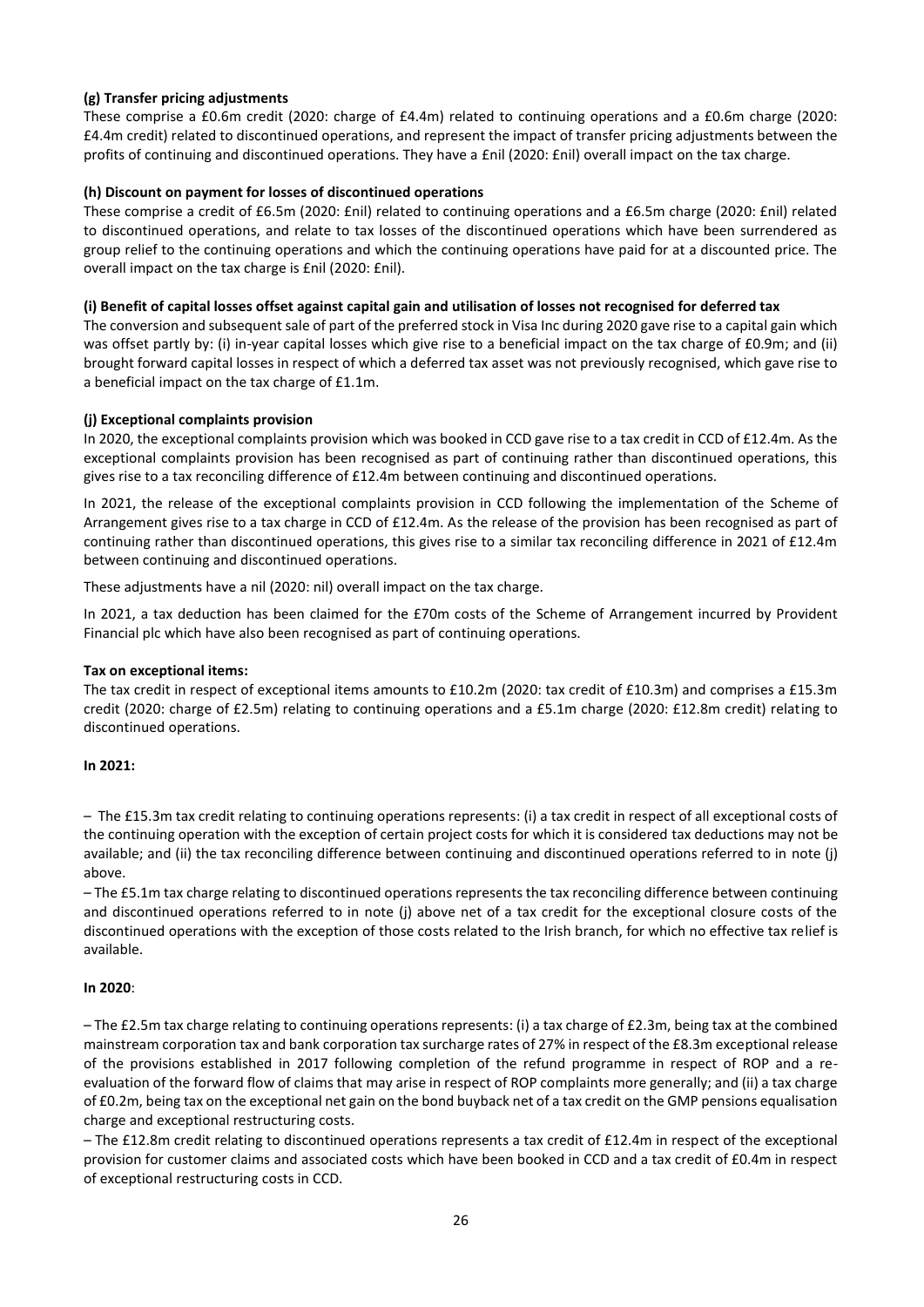# **(g) Transfer pricing adjustments**

These comprise a £0.6m credit (2020: charge of £4.4m) related to continuing operations and a £0.6m charge (2020: £4.4m credit) related to discontinued operations, and represent the impact of transfer pricing adjustments between the profits of continuing and discontinued operations. They have a £nil (2020: £nil) overall impact on the tax charge.

## **(h) Discount on payment for losses of discontinued operations**

These comprise a credit of £6.5m (2020: £nil) related to continuing operations and a £6.5m charge (2020: £nil) related to discontinued operations, and relate to tax losses of the discontinued operations which have been surrendered as group relief to the continuing operations and which the continuing operations have paid for at a discounted price. The overall impact on the tax charge is £nil (2020: £nil).

# **(i) Benefit of capital losses offset against capital gain and utilisation of losses not recognised for deferred tax**

The conversion and subsequent sale of part of the preferred stock in Visa Inc during 2020 gave rise to a capital gain which was offset partly by: (i) in-year capital losses which give rise to a beneficial impact on the tax charge of £0.9m; and (ii) brought forward capital losses in respect of which a deferred tax asset was not previously recognised, which gave rise to a beneficial impact on the tax charge of £1.1m.

# **(j) Exceptional complaints provision**

In 2020, the exceptional complaints provision which was booked in CCD gave rise to a tax credit in CCD of £12.4m. As the exceptional complaints provision has been recognised as part of continuing rather than discontinued operations, this gives rise to a tax reconciling difference of £12.4m between continuing and discontinued operations.

In 2021, the release of the exceptional complaints provision in CCD following the implementation of the Scheme of Arrangement gives rise to a tax charge in CCD of £12.4m. As the release of the provision has been recognised as part of continuing rather than discontinued operations, this gives rise to a similar tax reconciling difference in 2021 of £12.4m between continuing and discontinued operations.

These adjustments have a nil (2020: nil) overall impact on the tax charge.

In 2021, a tax deduction has been claimed for the £70m costs of the Scheme of Arrangement incurred by Provident Financial plc which have also been recognised as part of continuing operations.

## **Tax on exceptional items:**

The tax credit in respect of exceptional items amounts to £10.2m (2020: tax credit of £10.3m) and comprises a £15.3m credit (2020: charge of £2.5m) relating to continuing operations and a £5.1m charge (2020: £12.8m credit) relating to discontinued operations.

## **In 2021:**

– The £15.3m tax credit relating to continuing operations represents: (i) a tax credit in respect of all exceptional costs of the continuing operation with the exception of certain project costs for which it is considered tax deductions may not be available; and (ii) the tax reconciling difference between continuing and discontinued operations referred to in note (j) above.

– The £5.1m tax charge relating to discontinued operations represents the tax reconciling difference between continuing and discontinued operations referred to in note (j) above net of a tax credit for the exceptional closure costs of the discontinued operations with the exception of those costs related to the Irish branch, for which no effective tax relief is available.

## **In 2020**:

– The £2.5m tax charge relating to continuing operations represents: (i) a tax charge of £2.3m, being tax at the combined mainstream corporation tax and bank corporation tax surcharge rates of 27% in respect of the £8.3m exceptional release of the provisions established in 2017 following completion of the refund programme in respect of ROP and a reevaluation of the forward flow of claims that may arise in respect of ROP complaints more generally; and (ii) a tax charge of £0.2m, being tax on the exceptional net gain on the bond buyback net of a tax credit on the GMP pensions equalisation charge and exceptional restructuring costs.

– The £12.8m credit relating to discontinued operations represents a tax credit of £12.4m in respect of the exceptional provision for customer claims and associated costs which have been booked in CCD and a tax credit of £0.4m in respect of exceptional restructuring costs in CCD.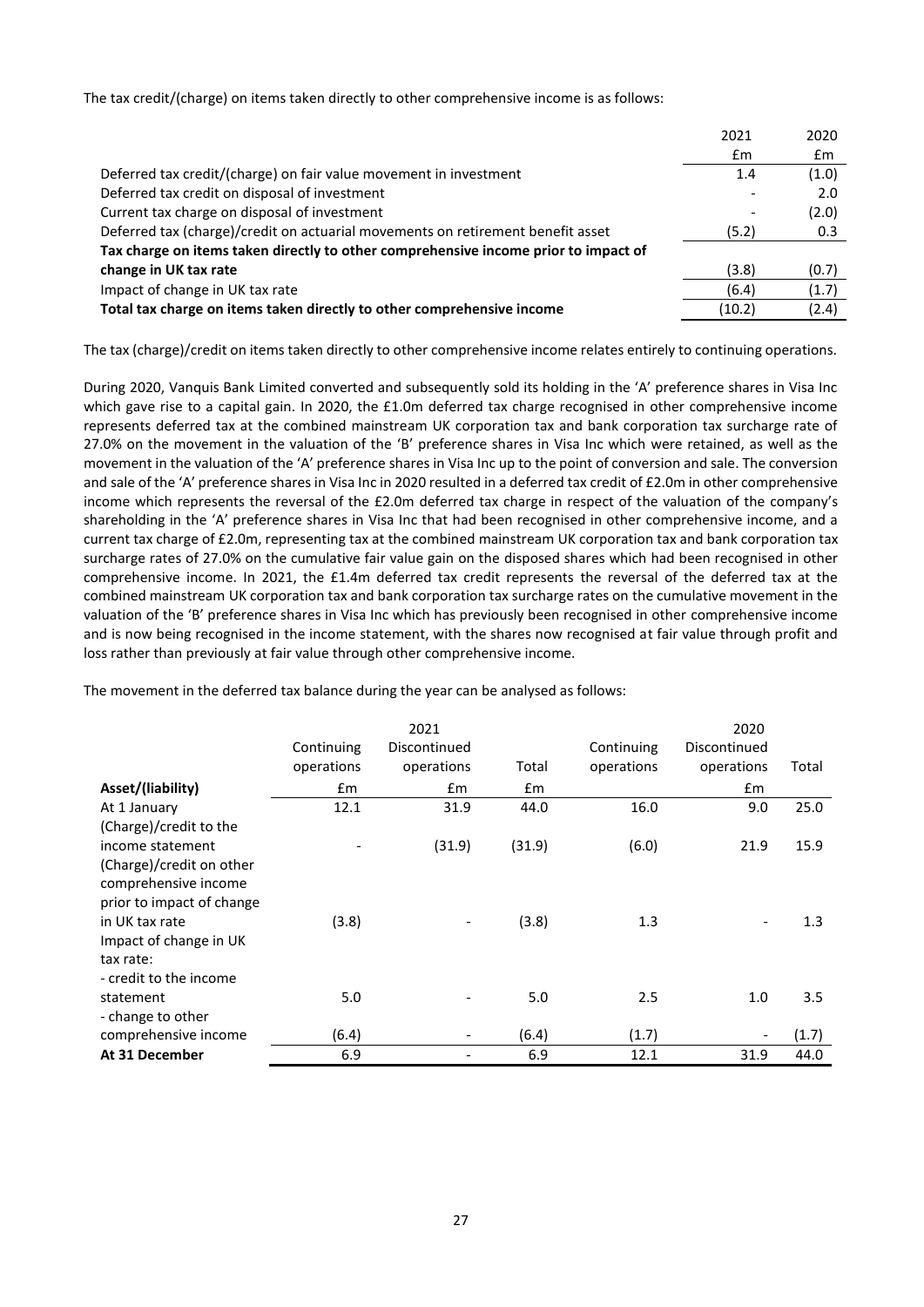The tax credit/(charge) on items taken directly to other comprehensive income is as follows:

|                                                                                     | 2021   | 2020  |
|-------------------------------------------------------------------------------------|--------|-------|
|                                                                                     | £m     | £m    |
| Deferred tax credit/(charge) on fair value movement in investment                   | 1.4    | (1.0) |
| Deferred tax credit on disposal of investment                                       |        | 2.0   |
| Current tax charge on disposal of investment                                        |        | (2.0) |
| Deferred tax (charge)/credit on actuarial movements on retirement benefit asset     | (5.2)  | 0.3   |
| Tax charge on items taken directly to other comprehensive income prior to impact of |        |       |
| change in UK tax rate                                                               | (3.8)  | (0.7) |
| Impact of change in UK tax rate                                                     | (6.4)  | (1.7) |
| Total tax charge on items taken directly to other comprehensive income              | (10.2) | (2.4) |
|                                                                                     |        |       |

The tax (charge)/credit on items taken directly to other comprehensive income relates entirely to continuing operations.

During 2020, Vanquis Bank Limited converted and subsequently sold its holding in the 'A' preference shares in Visa Inc which gave rise to a capital gain. In 2020, the £1.0m deferred tax charge recognised in other comprehensive income represents deferred tax at the combined mainstream UK corporation tax and bank corporation tax surcharge rate of 27.0% on the movement in the valuation of the 'B' preference shares in Visa Inc which were retained, as well as the movement in the valuation of the 'A' preference shares in Visa Inc up to the point of conversion and sale. The conversion and sale of the 'A' preference shares in Visa Inc in 2020 resulted in a deferred tax credit of £2.0m in other comprehensive income which represents the reversal of the £2.0m deferred tax charge in respect of the valuation of the company's shareholding in the 'A' preference shares in Visa Inc that had been recognised in other comprehensive income, and a current tax charge of £2.0m, representing tax at the combined mainstream UK corporation tax and bank corporation tax surcharge rates of 27.0% on the cumulative fair value gain on the disposed shares which had been recognised in other comprehensive income. In 2021, the £1.4m deferred tax credit represents the reversal of the deferred tax at the combined mainstream UK corporation tax and bank corporation tax surcharge rates on the cumulative movement in the valuation of the 'B' preference shares in Visa Inc which has previously been recognised in other comprehensive income and is now being recognised in the income statement, with the shares now recognised at fair value through profit and loss rather than previously at fair value through other comprehensive income.

|                           |            | 2021         |        | 2020       |              |       |
|---------------------------|------------|--------------|--------|------------|--------------|-------|
|                           | Continuing | Discontinued |        | Continuing | Discontinued |       |
|                           | operations | operations   | Total  | operations | operations   | Total |
| Asset/(liability)         | £m         | £m           | £m     |            | £m           |       |
| At 1 January              | 12.1       | 31.9         | 44.0   | 16.0       | 9.0          | 25.0  |
| (Charge)/credit to the    |            |              |        |            |              |       |
| income statement          |            | (31.9)       | (31.9) | (6.0)      | 21.9         | 15.9  |
| (Charge)/credit on other  |            |              |        |            |              |       |
| comprehensive income      |            |              |        |            |              |       |
| prior to impact of change |            |              |        |            |              |       |
| in UK tax rate            | (3.8)      |              | (3.8)  | 1.3        |              | 1.3   |
| Impact of change in UK    |            |              |        |            |              |       |
| tax rate:                 |            |              |        |            |              |       |
| - credit to the income    |            |              |        |            |              |       |
| statement                 | 5.0        |              | 5.0    | 2.5        | 1.0          | 3.5   |
| - change to other         |            |              |        |            |              |       |
| comprehensive income      | (6.4)      |              | (6.4)  | (1.7)      |              | (1.7) |
| At 31 December            | 6.9        |              | 6.9    | 12.1       | 31.9         | 44.0  |

The movement in the deferred tax balance during the year can be analysed as follows: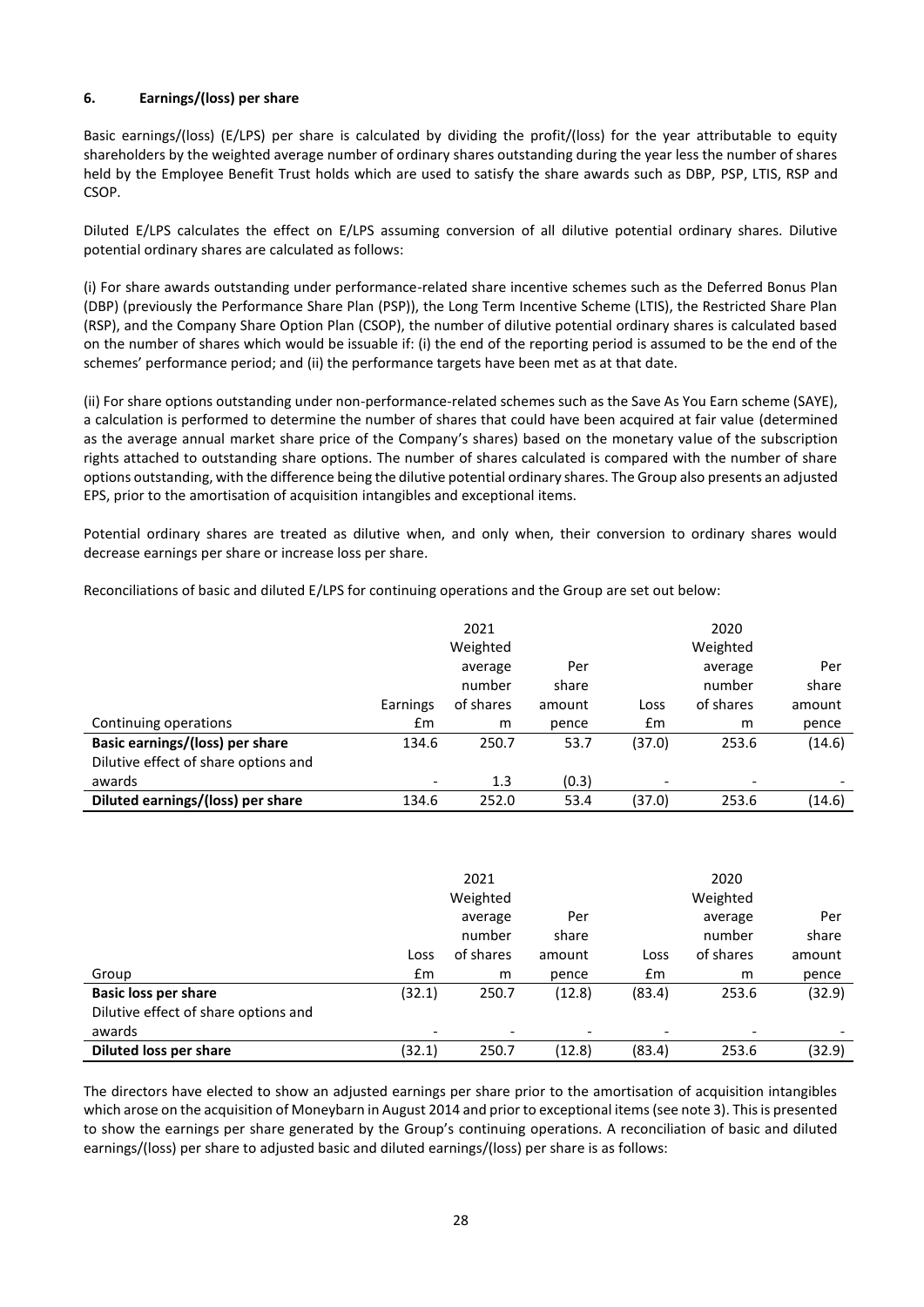# **6. Earnings/(loss) per share**

Basic earnings/(loss) (E/LPS) per share is calculated by dividing the profit/(loss) for the year attributable to equity shareholders by the weighted average number of ordinary shares outstanding during the year less the number of shares held by the Employee Benefit Trust holds which are used to satisfy the share awards such as DBP, PSP, LTIS, RSP and CSOP.

Diluted E/LPS calculates the effect on E/LPS assuming conversion of all dilutive potential ordinary shares. Dilutive potential ordinary shares are calculated as follows:

(i) For share awards outstanding under performance-related share incentive schemes such as the Deferred Bonus Plan (DBP) (previously the Performance Share Plan (PSP)), the Long Term Incentive Scheme (LTIS), the Restricted Share Plan (RSP), and the Company Share Option Plan (CSOP), the number of dilutive potential ordinary shares is calculated based on the number of shares which would be issuable if: (i) the end of the reporting period is assumed to be the end of the schemes' performance period; and (ii) the performance targets have been met as at that date.

(ii) For share options outstanding under non-performance-related schemes such as the Save As You Earn scheme (SAYE), a calculation is performed to determine the number of shares that could have been acquired at fair value (determined as the average annual market share price of the Company's shares) based on the monetary value of the subscription rights attached to outstanding share options. The number of shares calculated is compared with the number of share options outstanding, with the difference being the dilutive potential ordinary shares. The Group also presents an adjusted EPS, prior to the amortisation of acquisition intangibles and exceptional items.

Potential ordinary shares are treated as dilutive when, and only when, their conversion to ordinary shares would decrease earnings per share or increase loss per share.

Reconciliations of basic and diluted E/LPS for continuing operations and the Group are set out below:

|                                      |                          | 2021      |        |                          | 2020      |        |
|--------------------------------------|--------------------------|-----------|--------|--------------------------|-----------|--------|
|                                      |                          | Weighted  |        |                          | Weighted  |        |
|                                      |                          | average   | Per    |                          | average   | Per    |
|                                      |                          | number    | share  |                          | number    | share  |
|                                      | Earnings                 | of shares | amount | Loss                     | of shares | amount |
| Continuing operations                | Em                       | m         | pence  | $\mathsf{fm}$            | m         | pence  |
| Basic earnings/(loss) per share      | 134.6                    | 250.7     | 53.7   | (37.0)                   | 253.6     | (14.6) |
| Dilutive effect of share options and |                          |           |        |                          |           |        |
| awards                               | $\overline{\phantom{a}}$ | 1.3       | (0.3)  | $\overline{\phantom{a}}$ |           |        |
| Diluted earnings/(loss) per share    | 134.6                    | 252.0     | 53.4   | (37.0)                   | 253.6     | (14.6) |

|                                      |               | 2021                         |        |        | 2020      |        |
|--------------------------------------|---------------|------------------------------|--------|--------|-----------|--------|
|                                      |               | Weighted                     |        |        | Weighted  |        |
|                                      |               | average                      | Per    |        | average   | Per    |
|                                      |               | number                       | share  |        | number    | share  |
|                                      | Loss          | of shares                    | amount | Loss   | of shares | amount |
| Group                                | $\mathsf{fm}$ | m                            | pence  | £m     | m         | pence  |
| <b>Basic loss per share</b>          | (32.1)        | 250.7                        | (12.8) | (83.4) | 253.6     | (32.9) |
| Dilutive effect of share options and |               |                              |        |        |           |        |
| awards                               |               | $\qquad \qquad \blacksquare$ |        | ٠      |           |        |
| <b>Diluted loss per share</b>        | (32.1)        | 250.7                        | (12.8) | (83.4) | 253.6     | (32.9) |

The directors have elected to show an adjusted earnings per share prior to the amortisation of acquisition intangibles which arose on the acquisition of Moneybarn in August 2014 and prior to exceptional items (see note 3). This is presented to show the earnings per share generated by the Group's continuing operations. A reconciliation of basic and diluted earnings/(loss) per share to adjusted basic and diluted earnings/(loss) per share is as follows: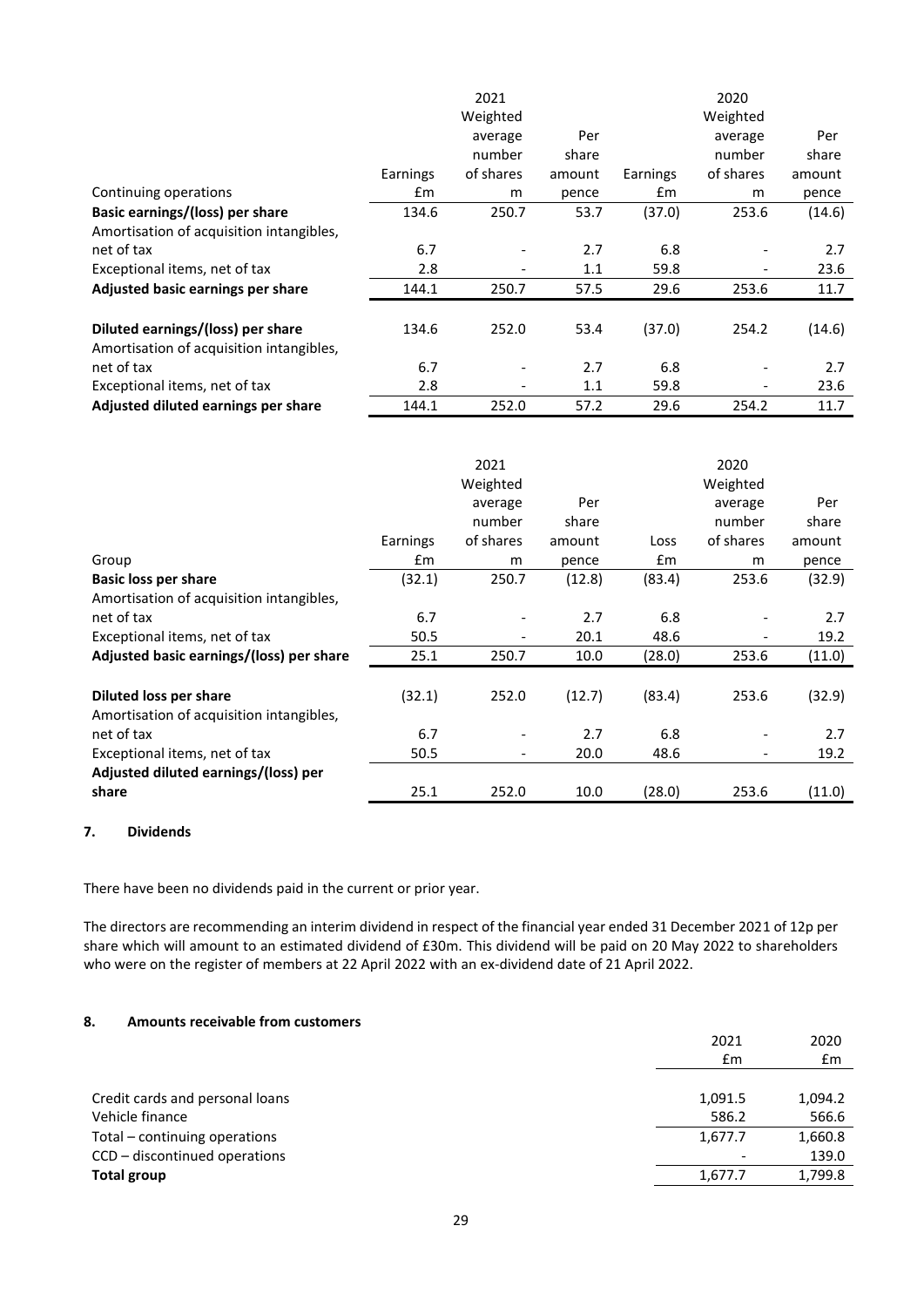|                                          |          | 2021                     |        |          | 2020                         |        |
|------------------------------------------|----------|--------------------------|--------|----------|------------------------------|--------|
|                                          |          | Weighted                 |        |          | Weighted                     |        |
|                                          |          | average                  | Per    |          | average                      | Per    |
|                                          |          | number                   | share  |          | number                       | share  |
|                                          | Earnings | of shares                | amount | Earnings | of shares                    | amount |
| Continuing operations                    | £m       | m                        | pence  | £m       | m                            | pence  |
| Basic earnings/(loss) per share          | 134.6    | 250.7                    | 53.7   | (37.0)   | 253.6                        | (14.6) |
| Amortisation of acquisition intangibles, |          |                          |        |          |                              |        |
| net of tax                               | 6.7      | $\overline{\phantom{a}}$ | 2.7    | 6.8      |                              | 2.7    |
| Exceptional items, net of tax            | 2.8      | $\overline{\phantom{a}}$ | 1.1    | 59.8     | $\qquad \qquad \blacksquare$ | 23.6   |
| Adjusted basic earnings per share        | 144.1    | 250.7                    | 57.5   | 29.6     | 253.6                        | 11.7   |
|                                          |          |                          |        |          |                              |        |
| Diluted earnings/(loss) per share        | 134.6    | 252.0                    | 53.4   | (37.0)   | 254.2                        | (14.6) |
| Amortisation of acquisition intangibles, |          |                          |        |          |                              |        |
| net of tax                               | 6.7      | $\overline{\phantom{a}}$ | 2.7    | 6.8      |                              | 2.7    |
| Exceptional items, net of tax            | 2.8      | $\overline{\phantom{a}}$ | 1.1    | 59.8     |                              | 23.6   |
| Adjusted diluted earnings per share      | 144.1    | 252.0                    | 57.2   | 29.6     | 254.2                        | 11.7   |

|                                          |               | 2021                     |        |               | 2020      |        |
|------------------------------------------|---------------|--------------------------|--------|---------------|-----------|--------|
|                                          |               | Weighted                 |        |               | Weighted  |        |
|                                          |               | average                  | Per    |               | average   | Per    |
|                                          |               | number                   | share  |               | number    | share  |
|                                          | Earnings      | of shares                | amount | Loss          | of shares | amount |
| Group                                    | $\mathsf{fm}$ | m                        | pence  | $\mathsf{fm}$ | m         | pence  |
| <b>Basic loss per share</b>              | (32.1)        | 250.7                    | (12.8) | (83.4)        | 253.6     | (32.9) |
| Amortisation of acquisition intangibles, |               |                          |        |               |           |        |
| net of tax                               | 6.7           |                          | 2.7    | 6.8           |           | 2.7    |
| Exceptional items, net of tax            | 50.5          |                          | 20.1   | 48.6          |           | 19.2   |
| Adjusted basic earnings/(loss) per share | 25.1          | 250.7                    | 10.0   | (28.0)        | 253.6     | (11.0) |
|                                          |               |                          |        |               |           |        |
| Diluted loss per share                   | (32.1)        | 252.0                    | (12.7) | (83.4)        | 253.6     | (32.9) |
| Amortisation of acquisition intangibles, |               |                          |        |               |           |        |
| net of tax                               | 6.7           | ٠                        | 2.7    | 6.8           |           | 2.7    |
| Exceptional items, net of tax            | 50.5          | $\overline{\phantom{a}}$ | 20.0   | 48.6          | -         | 19.2   |
| Adjusted diluted earnings/(loss) per     |               |                          |        |               |           |        |
| share                                    | 25.1          | 252.0                    | 10.0   | (28.0)        | 253.6     | (11.0) |

## **7. Dividends**

There have been no dividends paid in the current or prior year.

The directors are recommending an interim dividend in respect of the financial year ended 31 December 2021 of 12p per share which will amount to an estimated dividend of £30m. This dividend will be paid on 20 May 2022 to shareholders who were on the register of members at 22 April 2022 with an ex-dividend date of 21 April 2022.

# **8. Amounts receivable from customers**

|                                 | 2021    | 2020    |
|---------------------------------|---------|---------|
|                                 | Em      | Em      |
|                                 |         |         |
| Credit cards and personal loans | 1,091.5 | 1,094.2 |
| Vehicle finance                 | 586.2   | 566.6   |
| Total - continuing operations   | 1,677.7 | 1,660.8 |
| CCD - discontinued operations   |         | 139.0   |
| Total group                     | 1,677.7 | 1,799.8 |
|                                 |         |         |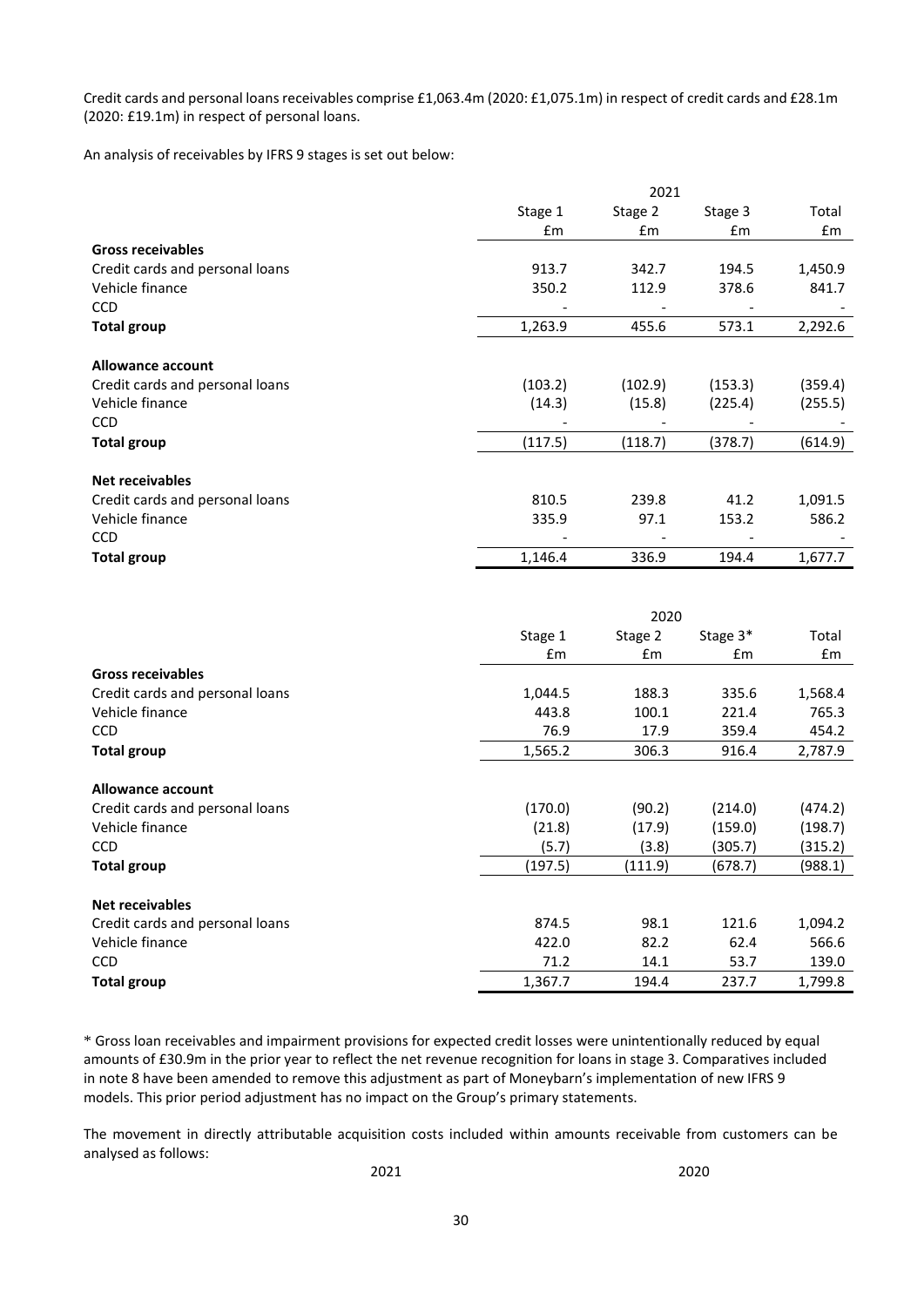Credit cards and personal loans receivables comprise £1,063.4m (2020: £1,075.1m) in respect of credit cards and £28.1m (2020: £19.1m) in respect of personal loans.

An analysis of receivables by IFRS 9 stages is set out below:

|                                 | 2021          |         |               |         |  |  |
|---------------------------------|---------------|---------|---------------|---------|--|--|
|                                 | Stage 1       | Stage 2 | Stage 3       | Total   |  |  |
|                                 | $\mathsf{fm}$ | £m      | $\mathsf{fm}$ | £m      |  |  |
| <b>Gross receivables</b>        |               |         |               |         |  |  |
| Credit cards and personal loans | 913.7         | 342.7   | 194.5         | 1,450.9 |  |  |
| Vehicle finance                 | 350.2         | 112.9   | 378.6         | 841.7   |  |  |
| <b>CCD</b>                      |               |         |               |         |  |  |
| <b>Total group</b>              | 1,263.9       | 455.6   | 573.1         | 2,292.6 |  |  |
|                                 |               |         |               |         |  |  |
| <b>Allowance account</b>        |               |         |               |         |  |  |
| Credit cards and personal loans | (103.2)       | (102.9) | (153.3)       | (359.4) |  |  |
| Vehicle finance                 | (14.3)        | (15.8)  | (225.4)       | (255.5) |  |  |
| <b>CCD</b>                      |               |         |               |         |  |  |
| <b>Total group</b>              | (117.5)       | (118.7) | (378.7)       | (614.9) |  |  |
|                                 |               |         |               |         |  |  |
| <b>Net receivables</b>          |               |         |               |         |  |  |
| Credit cards and personal loans | 810.5         | 239.8   | 41.2          | 1,091.5 |  |  |
| Vehicle finance                 | 335.9         | 97.1    | 153.2         | 586.2   |  |  |
| <b>CCD</b>                      |               |         |               |         |  |  |
| <b>Total group</b>              | 1,146.4       | 336.9   | 194.4         | 1,677.7 |  |  |

|                                 | 2020          |         |               |         |  |
|---------------------------------|---------------|---------|---------------|---------|--|
|                                 | Stage 1       | Stage 2 | Stage 3*      | Total   |  |
|                                 | $\mathsf{fm}$ | Em      | $\mathsf{fm}$ | £m      |  |
| <b>Gross receivables</b>        |               |         |               |         |  |
| Credit cards and personal loans | 1,044.5       | 188.3   | 335.6         | 1,568.4 |  |
| Vehicle finance                 | 443.8         | 100.1   | 221.4         | 765.3   |  |
| <b>CCD</b>                      | 76.9          | 17.9    | 359.4         | 454.2   |  |
| <b>Total group</b>              | 1,565.2       | 306.3   | 916.4         | 2,787.9 |  |
| Allowance account               |               |         |               |         |  |
| Credit cards and personal loans | (170.0)       | (90.2)  | (214.0)       | (474.2) |  |
| Vehicle finance                 | (21.8)        | (17.9)  | (159.0)       | (198.7) |  |
| <b>CCD</b>                      | (5.7)         | (3.8)   | (305.7)       | (315.2) |  |
| <b>Total group</b>              | (197.5)       | (111.9) | (678.7)       | (988.1) |  |
| <b>Net receivables</b>          |               |         |               |         |  |
| Credit cards and personal loans | 874.5         | 98.1    | 121.6         | 1,094.2 |  |
| Vehicle finance                 | 422.0         | 82.2    | 62.4          | 566.6   |  |
| <b>CCD</b>                      | 71.2          | 14.1    | 53.7          | 139.0   |  |
| <b>Total group</b>              | 1,367.7       | 194.4   | 237.7         | 1,799.8 |  |

\* Gross loan receivables and impairment provisions for expected credit losses were unintentionally reduced by equal amounts of £30.9m in the prior year to reflect the net revenue recognition for loans in stage 3. Comparatives included in note 8 have been amended to remove this adjustment as part of Moneybarn's implementation of new IFRS 9 models. This prior period adjustment has no impact on the Group's primary statements.

The movement in directly attributable acquisition costs included within amounts receivable from customers can be analysed as follows:

2021 2020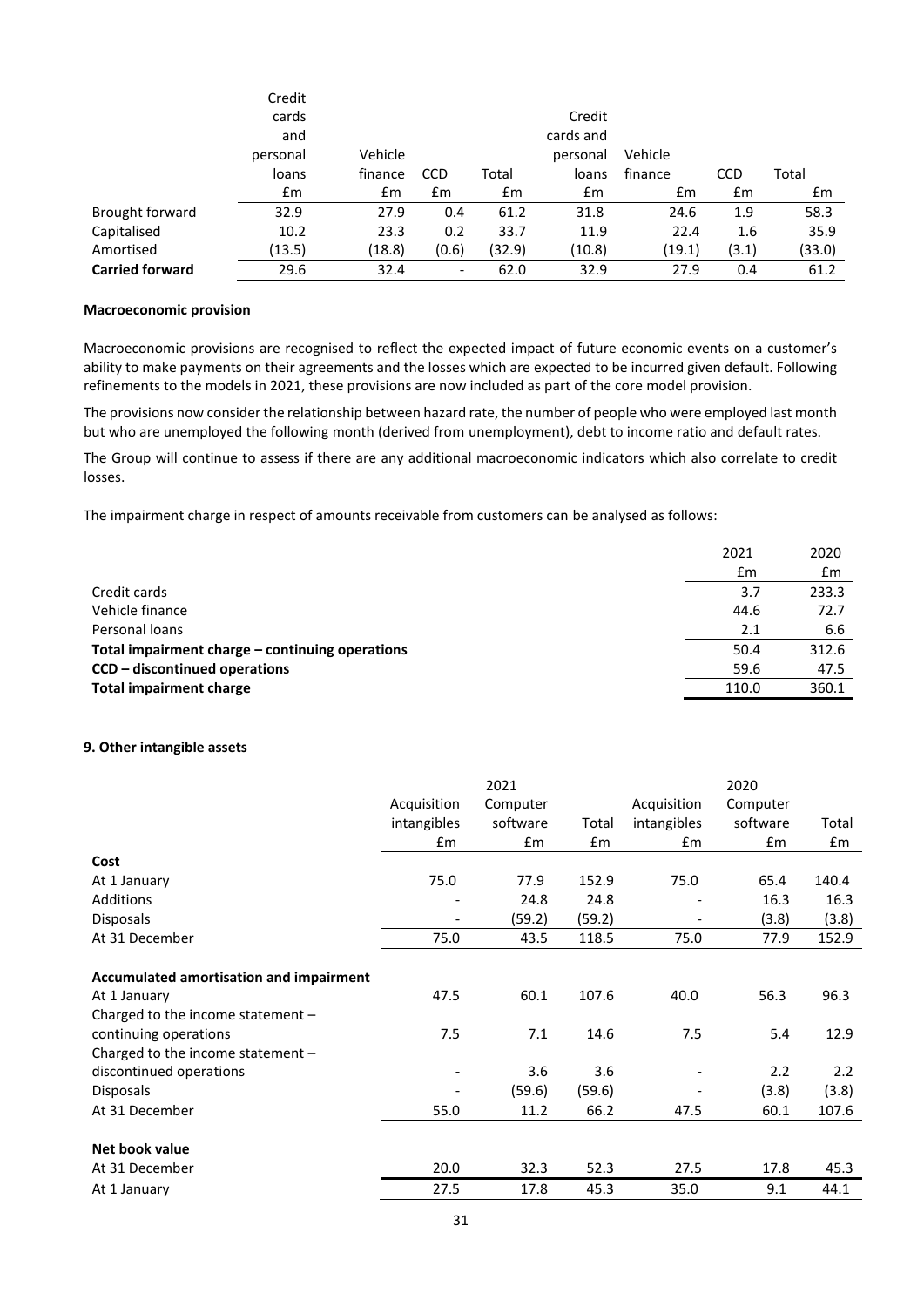|                        | Credit   |         |                          |        |               |         |            |        |
|------------------------|----------|---------|--------------------------|--------|---------------|---------|------------|--------|
|                        | cards    |         |                          |        | Credit        |         |            |        |
|                        | and      |         |                          |        | cards and     |         |            |        |
|                        | personal | Vehicle |                          |        | personal      | Vehicle |            |        |
|                        | loans    | finance | <b>CCD</b>               | Total  | loans         | finance | <b>CCD</b> | Total  |
|                        | Em       | £m      | £m                       | £m     | $\mathsf{fm}$ | £m      | £m         | £m     |
| Brought forward        | 32.9     | 27.9    | 0.4                      | 61.2   | 31.8          | 24.6    | 1.9        | 58.3   |
| Capitalised            | 10.2     | 23.3    | 0.2                      | 33.7   | 11.9          | 22.4    | 1.6        | 35.9   |
| Amortised              | (13.5)   | (18.8)  | (0.6)                    | (32.9) | (10.8)        | (19.1)  | (3.1)      | (33.0) |
| <b>Carried forward</b> | 29.6     | 32.4    | $\overline{\phantom{a}}$ | 62.0   | 32.9          | 27.9    | 0.4        | 61.2   |

#### **Macroeconomic provision**

Macroeconomic provisions are recognised to reflect the expected impact of future economic events on a customer's ability to make payments on their agreements and the losses which are expected to be incurred given default. Following refinements to the models in 2021, these provisions are now included as part of the core model provision.

The provisions now consider the relationship between hazard rate, the number of people who were employed last month but who are unemployed the following month (derived from unemployment), debt to income ratio and default rates.

The Group will continue to assess if there are any additional macroeconomic indicators which also correlate to credit losses.

The impairment charge in respect of amounts receivable from customers can be analysed as follows:

|                                                 | 2021  | 2020  |
|-------------------------------------------------|-------|-------|
|                                                 | £m    | £m    |
| Credit cards                                    | 3.7   | 233.3 |
| Vehicle finance                                 | 44.6  | 72.7  |
| Personal loans                                  | 2.1   | 6.6   |
| Total impairment charge - continuing operations | 50.4  | 312.6 |
| CCD – discontinued operations                   | 59.6  | 47.5  |
| <b>Total impairment charge</b>                  | 110.0 | 360.1 |

### **9. Other intangible assets**

|                                         | 2021        |               |        | 2020        |          |       |
|-----------------------------------------|-------------|---------------|--------|-------------|----------|-------|
|                                         | Acquisition | Computer      |        | Acquisition | Computer |       |
|                                         | intangibles | software      | Total  | intangibles | software | Total |
|                                         | £m          | $\mathsf{fm}$ | £m     | £m          | £m       | £m    |
| Cost                                    |             |               |        |             |          |       |
| At 1 January                            | 75.0        | 77.9          | 152.9  | 75.0        | 65.4     | 140.4 |
| Additions                               |             | 24.8          | 24.8   |             | 16.3     | 16.3  |
| <b>Disposals</b>                        |             | (59.2)        | (59.2) |             | (3.8)    | (3.8) |
| At 31 December                          | 75.0        | 43.5          | 118.5  | 75.0        | 77.9     | 152.9 |
|                                         |             |               |        |             |          |       |
| Accumulated amortisation and impairment |             |               |        |             |          |       |
| At 1 January                            | 47.5        | 60.1          | 107.6  | 40.0        | 56.3     | 96.3  |
| Charged to the income statement -       |             |               |        |             |          |       |
| continuing operations                   | 7.5         | 7.1           | 14.6   | 7.5         | 5.4      | 12.9  |
| Charged to the income statement $-$     |             |               |        |             |          |       |
| discontinued operations                 |             | 3.6           | 3.6    |             | 2.2      | 2.2   |
| <b>Disposals</b>                        |             | (59.6)        | (59.6) |             | (3.8)    | (3.8) |
| At 31 December                          | 55.0        | 11.2          | 66.2   | 47.5        | 60.1     | 107.6 |
| Net book value                          |             |               |        |             |          |       |
| At 31 December                          | 20.0        | 32.3          | 52.3   | 27.5        | 17.8     | 45.3  |
| At 1 January                            | 27.5        | 17.8          | 45.3   | 35.0        | 9.1      | 44.1  |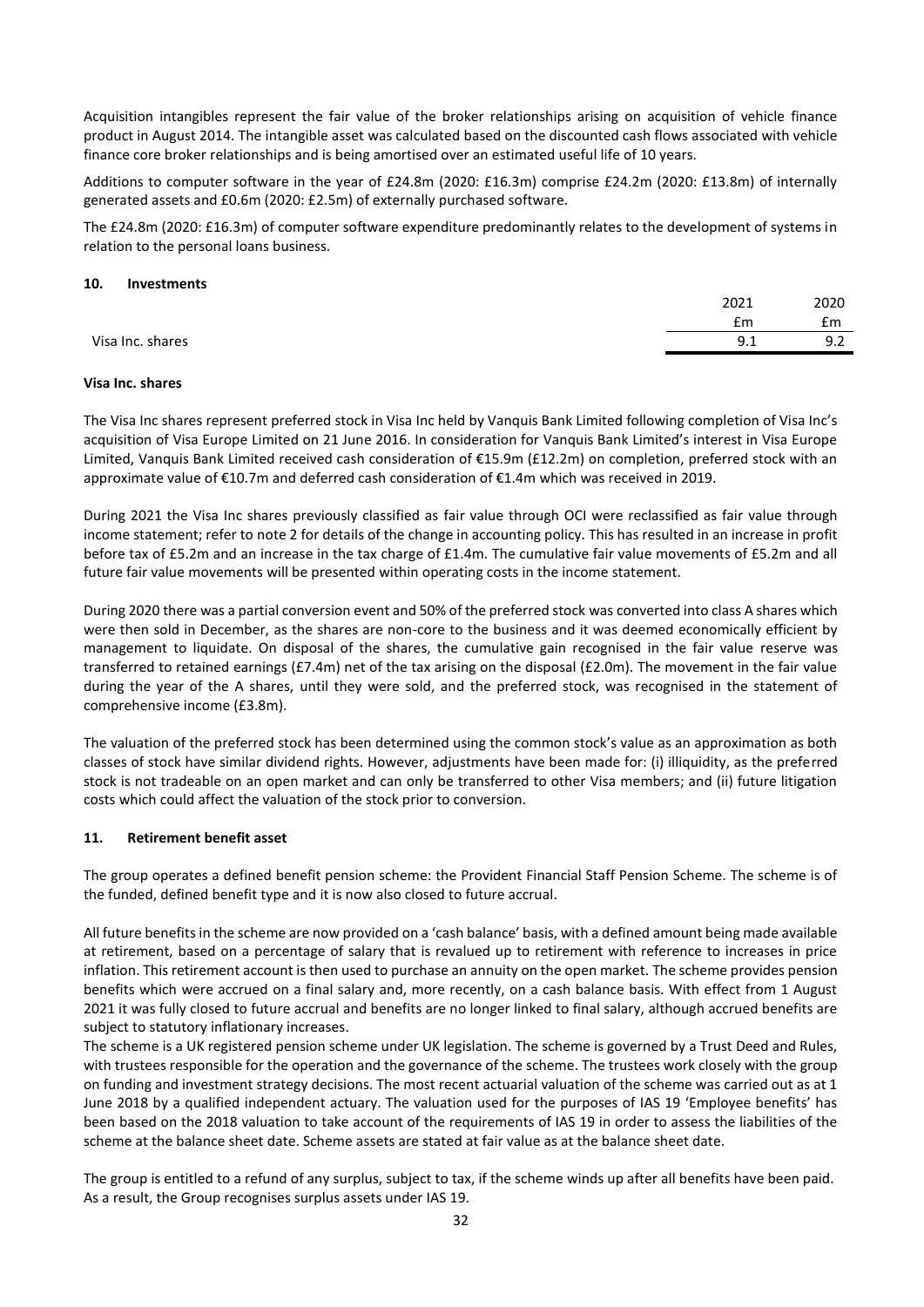Acquisition intangibles represent the fair value of the broker relationships arising on acquisition of vehicle finance product in August 2014. The intangible asset was calculated based on the discounted cash flows associated with vehicle finance core broker relationships and is being amortised over an estimated useful life of 10 years.

Additions to computer software in the year of £24.8m (2020: £16.3m) comprise £24.2m (2020: £13.8m) of internally generated assets and £0.6m (2020: £2.5m) of externally purchased software.

The £24.8m (2020: £16.3m) of computer software expenditure predominantly relates to the development of systems in relation to the personal loans business.

#### **10. Investments**

|                  | 2021 | 2020          |
|------------------|------|---------------|
|                  | £m   | £m            |
| Visa Inc. shares | 9.1  | ດາ<br><u></u> |
|                  |      |               |

### **Visa Inc. shares**

The Visa Inc shares represent preferred stock in Visa Inc held by Vanquis Bank Limited following completion of Visa Inc's acquisition of Visa Europe Limited on 21 June 2016. In consideration for Vanquis Bank Limited's interest in Visa Europe Limited, Vanquis Bank Limited received cash consideration of €15.9m (£12.2m) on completion, preferred stock with an approximate value of €10.7m and deferred cash consideration of €1.4m which was received in 2019.

During 2021 the Visa Inc shares previously classified as fair value through OCI were reclassified as fair value through income statement; refer to note 2 for details of the change in accounting policy. This has resulted in an increase in profit before tax of £5.2m and an increase in the tax charge of £1.4m. The cumulative fair value movements of £5.2m and all future fair value movements will be presented within operating costs in the income statement.

During 2020 there was a partial conversion event and 50% of the preferred stock was converted into class A shares which were then sold in December, as the shares are non-core to the business and it was deemed economically efficient by management to liquidate. On disposal of the shares, the cumulative gain recognised in the fair value reserve was transferred to retained earnings (£7.4m) net of the tax arising on the disposal (£2.0m). The movement in the fair value during the year of the A shares, until they were sold, and the preferred stock, was recognised in the statement of comprehensive income (£3.8m).

The valuation of the preferred stock has been determined using the common stock's value as an approximation as both classes of stock have similar dividend rights. However, adjustments have been made for: (i) illiquidity, as the preferred stock is not tradeable on an open market and can only be transferred to other Visa members; and (ii) future litigation costs which could affect the valuation of the stock prior to conversion.

#### **11. Retirement benefit asset**

The group operates a defined benefit pension scheme: the Provident Financial Staff Pension Scheme. The scheme is of the funded, defined benefit type and it is now also closed to future accrual.

All future benefits in the scheme are now provided on a 'cash balance' basis, with a defined amount being made available at retirement, based on a percentage of salary that is revalued up to retirement with reference to increases in price inflation. This retirement account is then used to purchase an annuity on the open market. The scheme provides pension benefits which were accrued on a final salary and, more recently, on a cash balance basis. With effect from 1 August 2021 it was fully closed to future accrual and benefits are no longer linked to final salary, although accrued benefits are subject to statutory inflationary increases.

The scheme is a UK registered pension scheme under UK legislation. The scheme is governed by a Trust Deed and Rules, with trustees responsible for the operation and the governance of the scheme. The trustees work closely with the group on funding and investment strategy decisions. The most recent actuarial valuation of the scheme was carried out as at 1 June 2018 by a qualified independent actuary. The valuation used for the purposes of IAS 19 'Employee benefits' has been based on the 2018 valuation to take account of the requirements of IAS 19 in order to assess the liabilities of the scheme at the balance sheet date. Scheme assets are stated at fair value as at the balance sheet date.

The group is entitled to a refund of any surplus, subject to tax, if the scheme winds up after all benefits have been paid. As a result, the Group recognises surplus assets under IAS 19.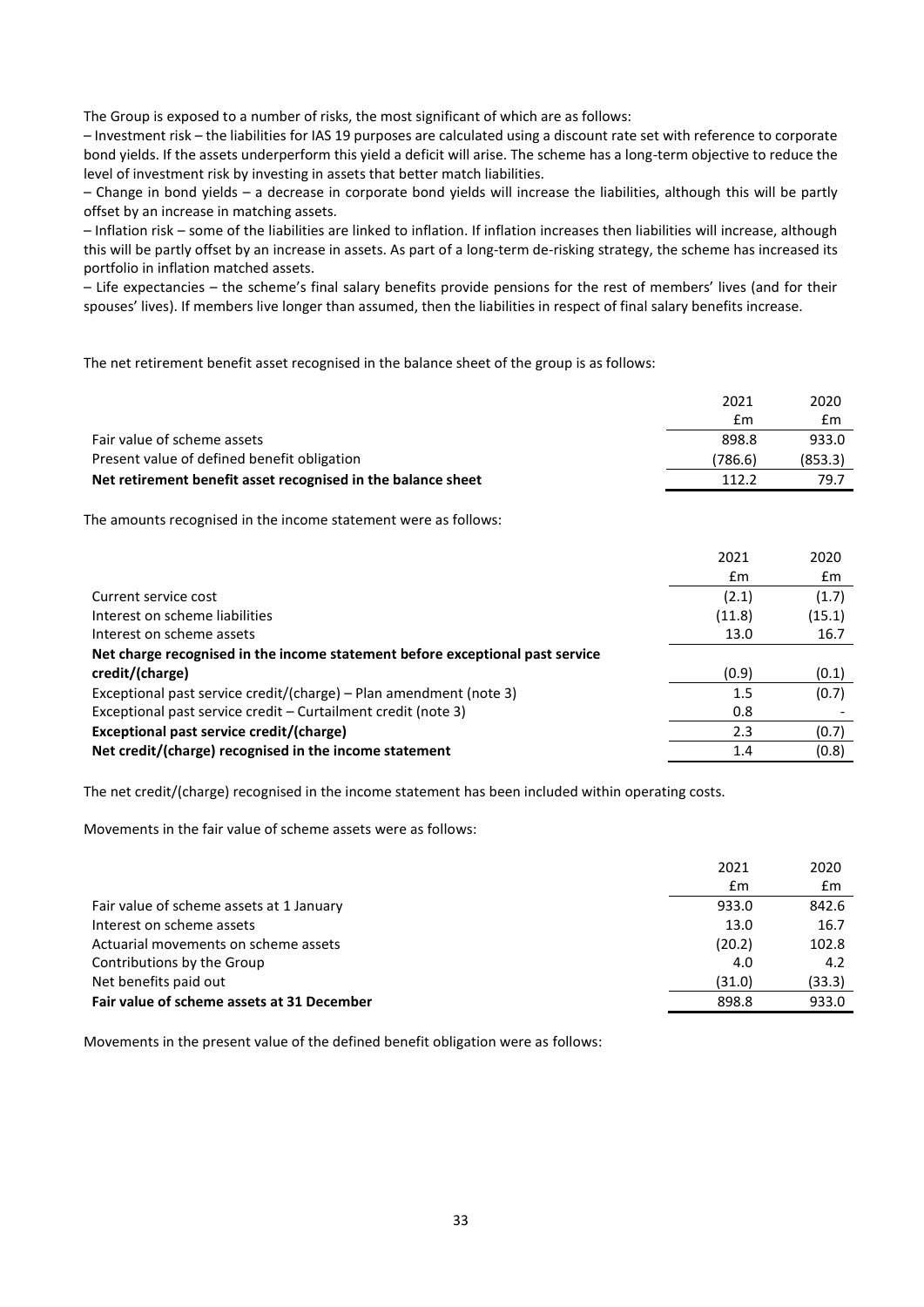The Group is exposed to a number of risks, the most significant of which are as follows:

– Investment risk – the liabilities for IAS 19 purposes are calculated using a discount rate set with reference to corporate bond yields. If the assets underperform this yield a deficit will arise. The scheme has a long-term objective to reduce the level of investment risk by investing in assets that better match liabilities.

– Change in bond yields – a decrease in corporate bond yields will increase the liabilities, although this will be partly offset by an increase in matching assets.

– Inflation risk – some of the liabilities are linked to inflation. If inflation increases then liabilities will increase, although this will be partly offset by an increase in assets. As part of a long-term de-risking strategy, the scheme has increased its portfolio in inflation matched assets.

– Life expectancies – the scheme's final salary benefits provide pensions for the rest of members' lives (and for their spouses' lives). If members live longer than assumed, then the liabilities in respect of final salary benefits increase.

The net retirement benefit asset recognised in the balance sheet of the group is as follows:

|                                                                 | 2021    | 2020    |
|-----------------------------------------------------------------|---------|---------|
|                                                                 | £m      | £m      |
| Fair value of scheme assets                                     | 898.8   | 933.0   |
| Present value of defined benefit obligation                     | (786.6) | (853.3) |
| Net retirement benefit asset recognised in the balance sheet    | 112.2   | 79.7    |
| The amounts recognised in the income statement were as follows: | 2021    | 2020    |
|                                                                 | £m      | £m      |
| Current service cost                                            | (2.1)   | (1.7)   |
| Interest on scheme liabilities                                  | (11.8)  | (15.1)  |
| Interest on scheme assets                                       | 13.0    | 16.7    |

| Interest on scheme assets                                                     | 13.0  | 16.7  |
|-------------------------------------------------------------------------------|-------|-------|
| Net charge recognised in the income statement before exceptional past service |       |       |
| credit/(charge)                                                               | (0.9) | (0.1) |
| Exceptional past service credit/(charge) - Plan amendment (note 3)            | 1.5   | (0.7) |
| Exceptional past service credit – Curtailment credit (note 3)                 | 0.8   |       |
| Exceptional past service credit/(charge)                                      | 2.3   | (0.7) |
| Net credit/(charge) recognised in the income statement                        | 1.4   | (0.8) |

The net credit/(charge) recognised in the income statement has been included within operating costs.

Movements in the fair value of scheme assets were as follows:

|                                            | 2021   | 2020   |
|--------------------------------------------|--------|--------|
|                                            | £m     | £m     |
| Fair value of scheme assets at 1 January   | 933.0  | 842.6  |
| Interest on scheme assets                  | 13.0   | 16.7   |
| Actuarial movements on scheme assets       | (20.2) | 102.8  |
| Contributions by the Group                 | 4.0    | 4.2    |
| Net benefits paid out                      | (31.0) | (33.3) |
| Fair value of scheme assets at 31 December | 898.8  | 933.0  |

Movements in the present value of the defined benefit obligation were as follows: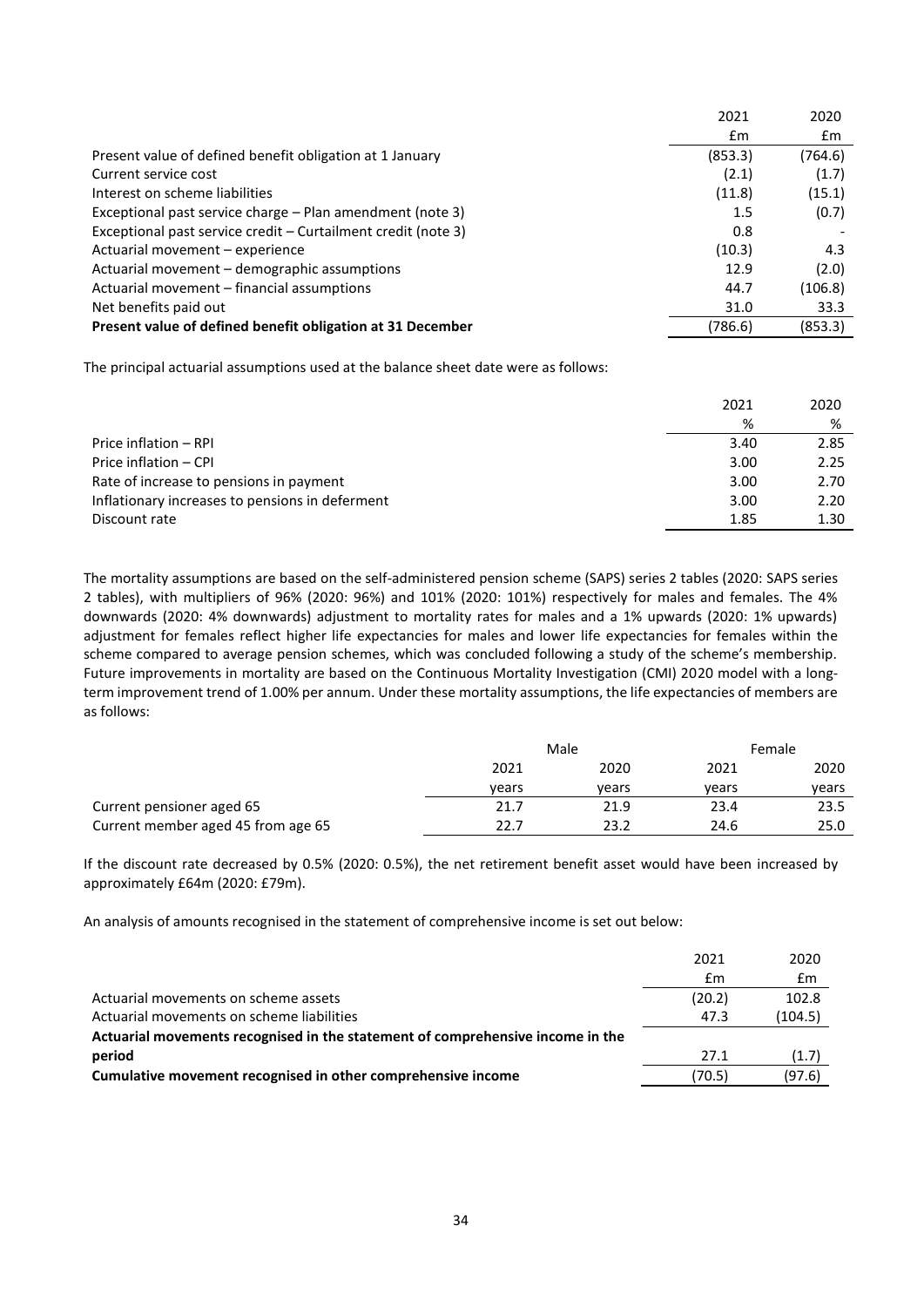|                                                               | 2021    | 2020    |
|---------------------------------------------------------------|---------|---------|
|                                                               | £m      | £m      |
| Present value of defined benefit obligation at 1 January      | (853.3) | (764.6) |
| Current service cost                                          | (2.1)   | (1.7)   |
| Interest on scheme liabilities                                | (11.8)  | (15.1)  |
| Exceptional past service charge – Plan amendment (note 3)     | 1.5     | (0.7)   |
| Exceptional past service credit – Curtailment credit (note 3) | 0.8     |         |
| Actuarial movement - experience                               | (10.3)  | 4.3     |
| Actuarial movement - demographic assumptions                  | 12.9    | (2.0)   |
| Actuarial movement – financial assumptions                    | 44.7    | (106.8) |
| Net benefits paid out                                         | 31.0    | 33.3    |
| Present value of defined benefit obligation at 31 December    | (786.6) | (853.3) |

The principal actuarial assumptions used at the balance sheet date were as follows:

|                                                 | 2021 | 2020 |
|-------------------------------------------------|------|------|
|                                                 | %    | %    |
| Price inflation - RPI                           | 3.40 | 2.85 |
| Price inflation - CPI                           | 3.00 | 2.25 |
| Rate of increase to pensions in payment         | 3.00 | 2.70 |
| Inflationary increases to pensions in deferment | 3.00 | 2.20 |
| Discount rate                                   | 1.85 | 1.30 |

The mortality assumptions are based on the self-administered pension scheme (SAPS) series 2 tables (2020: SAPS series 2 tables), with multipliers of 96% (2020: 96%) and 101% (2020: 101%) respectively for males and females. The 4% downwards (2020: 4% downwards) adjustment to mortality rates for males and a 1% upwards (2020: 1% upwards) adjustment for females reflect higher life expectancies for males and lower life expectancies for females within the scheme compared to average pension schemes, which was concluded following a study of the scheme's membership. Future improvements in mortality are based on the Continuous Mortality Investigation (CMI) 2020 model with a longterm improvement trend of 1.00% per annum. Under these mortality assumptions, the life expectancies of members are as follows:

|                                    | Male  |       |       | Female |  |
|------------------------------------|-------|-------|-------|--------|--|
|                                    | 2021  | 2020  | 2021  | 2020   |  |
|                                    | vears | vears | vears | vears  |  |
| Current pensioner aged 65          | 21.7  | 21.9  | 23.4  | 23.5   |  |
| Current member aged 45 from age 65 | 22.7  | 23.2  | 24.6  | 25.0   |  |

If the discount rate decreased by 0.5% (2020: 0.5%), the net retirement benefit asset would have been increased by approximately £64m (2020: £79m).

An analysis of amounts recognised in the statement of comprehensive income is set out below:

|                                                                                | 2021   | 2020    |
|--------------------------------------------------------------------------------|--------|---------|
|                                                                                | £m     | £m      |
| Actuarial movements on scheme assets                                           | (20.2) | 102.8   |
| Actuarial movements on scheme liabilities                                      | 47.3   | (104.5) |
| Actuarial movements recognised in the statement of comprehensive income in the |        |         |
| period                                                                         | 27.1   | (1.7)   |
| Cumulative movement recognised in other comprehensive income                   | (70.5) | (97.6)  |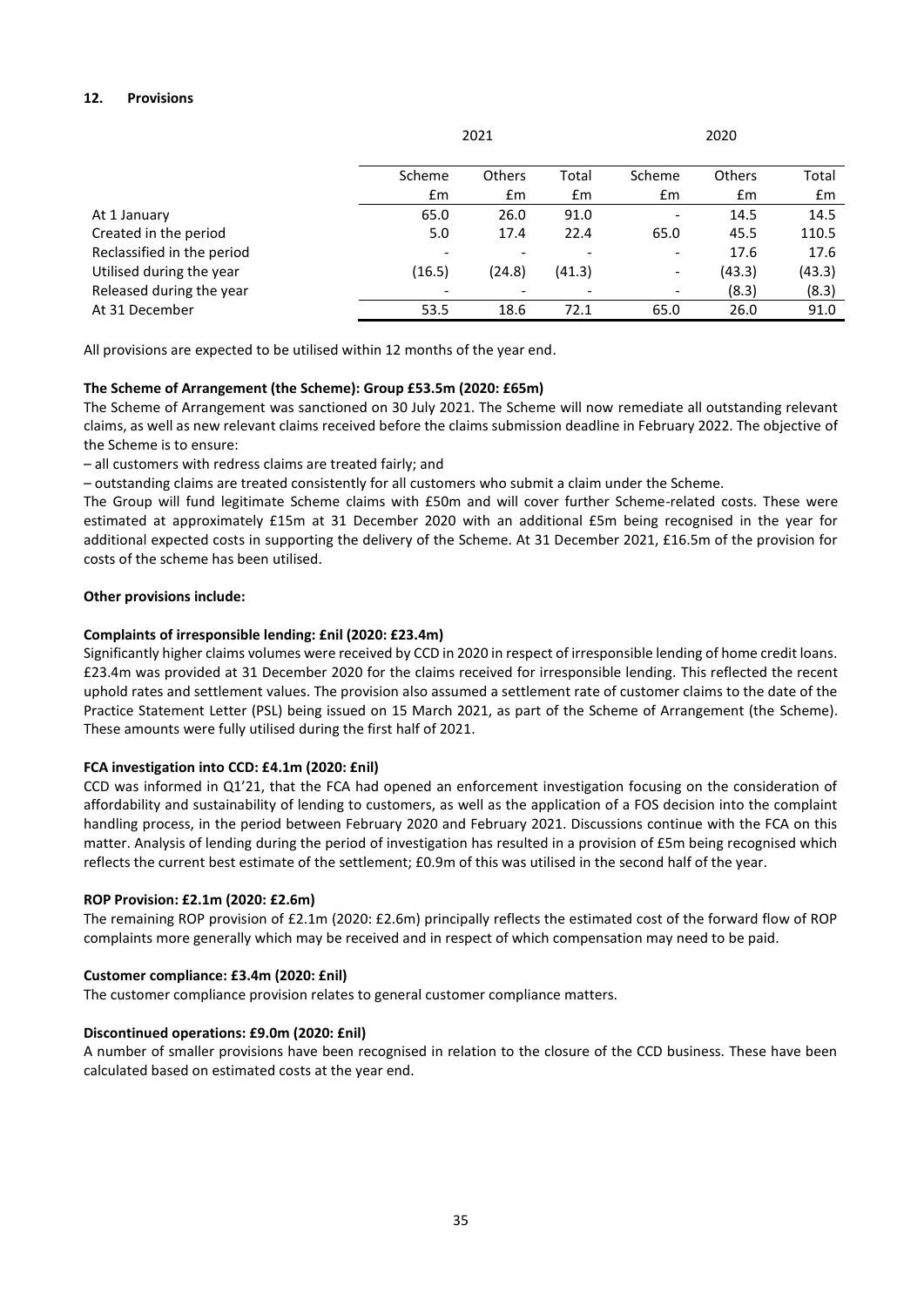# **12. Provisions**

|                            | Scheme                       | <b>Others</b> | Total  | Scheme                   | <b>Others</b> | Total         |
|----------------------------|------------------------------|---------------|--------|--------------------------|---------------|---------------|
|                            | $\mathsf{fm}$                | £m            | Em     | $\mathsf{fm}$            | $\mathsf{fm}$ | $\mathsf{fm}$ |
| At 1 January               | 65.0                         | 26.0          | 91.0   | $\overline{\phantom{a}}$ | 14.5          | 14.5          |
| Created in the period      | 5.0                          | 17.4          | 22.4   | 65.0                     | 45.5          | 110.5         |
| Reclassified in the period |                              |               | -      | $\overline{\phantom{a}}$ | 17.6          | 17.6          |
| Utilised during the year   | (16.5)                       | (24.8)        | (41.3) | $\overline{\phantom{a}}$ | (43.3)        | (43.3)        |
| Released during the year   | $\qquad \qquad \blacksquare$ |               | ٠      | $\overline{\phantom{a}}$ | (8.3)         | (8.3)         |
| At 31 December             | 53.5                         | 18.6          | 72.1   | 65.0                     | 26.0          | 91.0          |
|                            |                              |               |        |                          |               |               |

All provisions are expected to be utilised within 12 months of the year end.

### **The Scheme of Arrangement (the Scheme): Group £53.5m (2020: £65m)**

The Scheme of Arrangement was sanctioned on 30 July 2021. The Scheme will now remediate all outstanding relevant claims, as well as new relevant claims received before the claims submission deadline in February 2022. The objective of the Scheme is to ensure:

– all customers with redress claims are treated fairly; and

– outstanding claims are treated consistently for all customers who submit a claim under the Scheme.

The Group will fund legitimate Scheme claims with £50m and will cover further Scheme-related costs. These were estimated at approximately £15m at 31 December 2020 with an additional £5m being recognised in the year for additional expected costs in supporting the delivery of the Scheme. At 31 December 2021, £16.5m of the provision for costs of the scheme has been utilised.

### **Other provisions include:**

### **Complaints of irresponsible lending: £nil (2020: £23.4m)**

Significantly higher claims volumes were received by CCD in 2020 in respect of irresponsible lending of home credit loans. £23.4m was provided at 31 December 2020 for the claims received for irresponsible lending. This reflected the recent uphold rates and settlement values. The provision also assumed a settlement rate of customer claims to the date of the Practice Statement Letter (PSL) being issued on 15 March 2021, as part of the Scheme of Arrangement (the Scheme). These amounts were fully utilised during the first half of 2021.

#### **FCA investigation into CCD: £4.1m (2020: £nil)**

CCD was informed in Q1'21, that the FCA had opened an enforcement investigation focusing on the consideration of affordability and sustainability of lending to customers, as well as the application of a FOS decision into the complaint handling process, in the period between February 2020 and February 2021. Discussions continue with the FCA on this matter. Analysis of lending during the period of investigation has resulted in a provision of £5m being recognised which reflects the current best estimate of the settlement; £0.9m of this was utilised in the second half of the year.

#### **ROP Provision: £2.1m (2020: £2.6m)**

The remaining ROP provision of £2.1m (2020: £2.6m) principally reflects the estimated cost of the forward flow of ROP complaints more generally which may be received and in respect of which compensation may need to be paid.

#### **Customer compliance: £3.4m (2020: £nil)**

The customer compliance provision relates to general customer compliance matters.

#### **Discontinued operations: £9.0m (2020: £nil)**

A number of smaller provisions have been recognised in relation to the closure of the CCD business. These have been calculated based on estimated costs at the year end.

2021 2020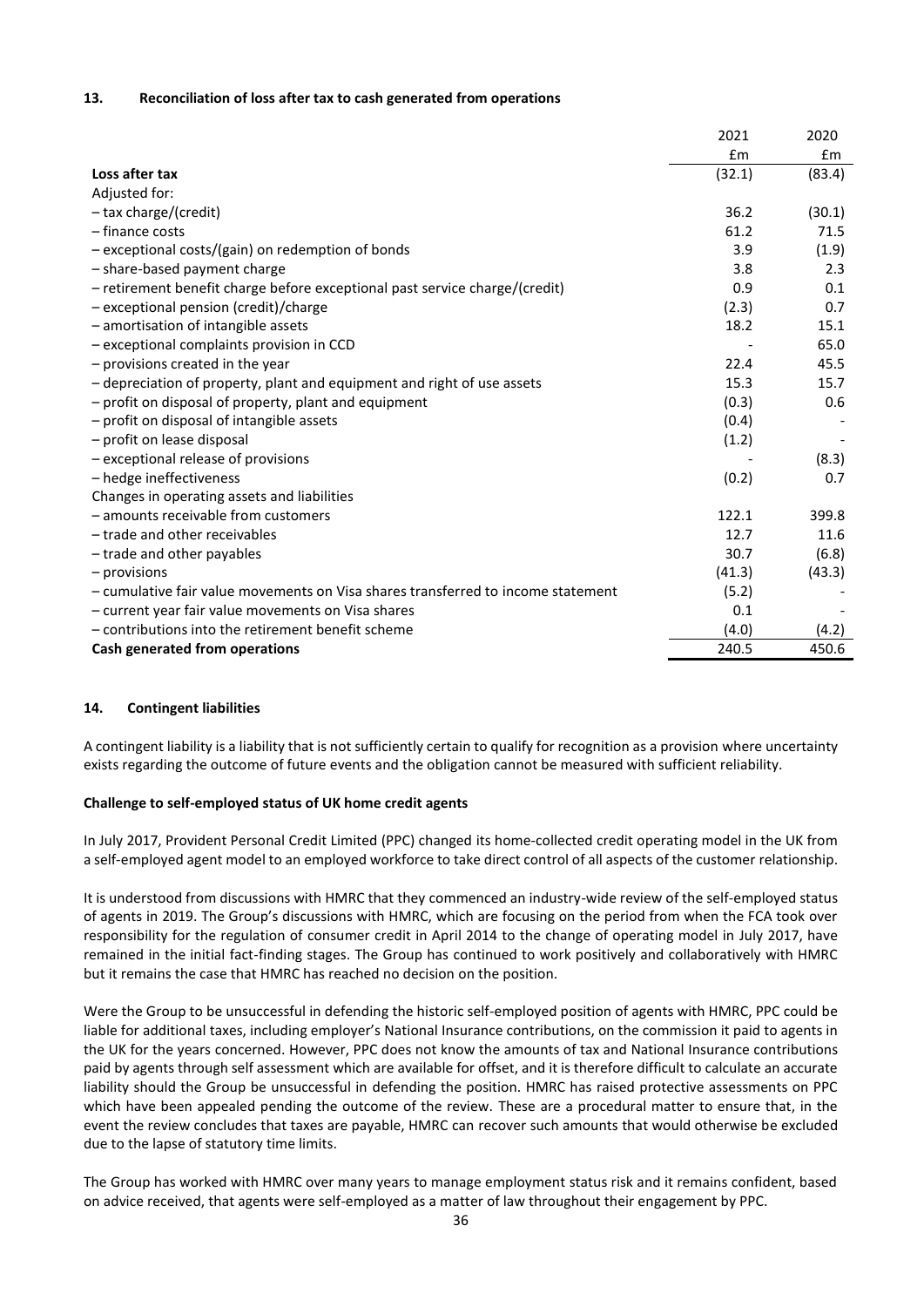### **13. Reconciliation of loss after tax to cash generated from operations**

| Loss after tax                                                                   | £m<br>(32.1) | Em<br>(83.4) |
|----------------------------------------------------------------------------------|--------------|--------------|
|                                                                                  |              |              |
|                                                                                  |              |              |
| Adjusted for:                                                                    |              |              |
| $-$ tax charge/(credit)                                                          | 36.2         | (30.1)       |
| $-$ finance costs                                                                | 61.2         | 71.5         |
| - exceptional costs/(gain) on redemption of bonds                                | 3.9          | (1.9)        |
| - share-based payment charge                                                     | 3.8          | 2.3          |
| - retirement benefit charge before exceptional past service charge/(credit)      | 0.9          | 0.1          |
| - exceptional pension (credit)/charge                                            | (2.3)        | 0.7          |
| - amortisation of intangible assets                                              | 18.2         | 15.1         |
| - exceptional complaints provision in CCD                                        |              | 65.0         |
| - provisions created in the year                                                 | 22.4         | 45.5         |
| - depreciation of property, plant and equipment and right of use assets          | 15.3         | 15.7         |
| - profit on disposal of property, plant and equipment                            | (0.3)        | 0.6          |
| - profit on disposal of intangible assets                                        | (0.4)        |              |
| - profit on lease disposal                                                       | (1.2)        |              |
| - exceptional release of provisions                                              |              | (8.3)        |
| - hedge ineffectiveness                                                          | (0.2)        | 0.7          |
| Changes in operating assets and liabilities                                      |              |              |
| - amounts receivable from customers                                              | 122.1        | 399.8        |
| - trade and other receivables                                                    | 12.7         | 11.6         |
| - trade and other payables                                                       | 30.7         | (6.8)        |
| $-$ provisions                                                                   | (41.3)       | (43.3)       |
| - cumulative fair value movements on Visa shares transferred to income statement | (5.2)        |              |
| - current year fair value movements on Visa shares                               | 0.1          |              |
| - contributions into the retirement benefit scheme                               | (4.0)        | (4.2)        |
| Cash generated from operations                                                   | 240.5        | 450.6        |

#### **14. Contingent liabilities**

A contingent liability is a liability that is not sufficiently certain to qualify for recognition as a provision where uncertainty exists regarding the outcome of future events and the obligation cannot be measured with sufficient reliability.

#### **Challenge to self-employed status of UK home credit agents**

In July 2017, Provident Personal Credit Limited (PPC) changed its home-collected credit operating model in the UK from a self-employed agent model to an employed workforce to take direct control of all aspects of the customer relationship.

It is understood from discussions with HMRC that they commenced an industry-wide review of the self-employed status of agents in 2019. The Group's discussions with HMRC, which are focusing on the period from when the FCA took over responsibility for the regulation of consumer credit in April 2014 to the change of operating model in July 2017, have remained in the initial fact-finding stages. The Group has continued to work positively and collaboratively with HMRC but it remains the case that HMRC has reached no decision on the position.

Were the Group to be unsuccessful in defending the historic self-employed position of agents with HMRC, PPC could be liable for additional taxes, including employer's National Insurance contributions, on the commission it paid to agents in the UK for the years concerned. However, PPC does not know the amounts of tax and National Insurance contributions paid by agents through self assessment which are available for offset, and it is therefore difficult to calculate an accurate liability should the Group be unsuccessful in defending the position. HMRC has raised protective assessments on PPC which have been appealed pending the outcome of the review. These are a procedural matter to ensure that, in the event the review concludes that taxes are payable, HMRC can recover such amounts that would otherwise be excluded due to the lapse of statutory time limits.

The Group has worked with HMRC over many years to manage employment status risk and it remains confident, based on advice received, that agents were self-employed as a matter of law throughout their engagement by PPC.